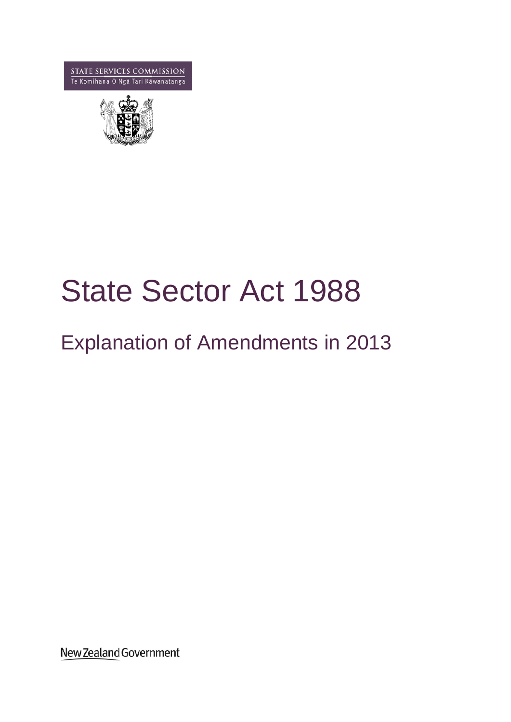**STATE SERVICES COMMISSION**<br>Te Komihana 0 Ngã Tari Kawanatanga



# State Sector Act 1988

# Explanation of Amendments in 2013

New Zealand Government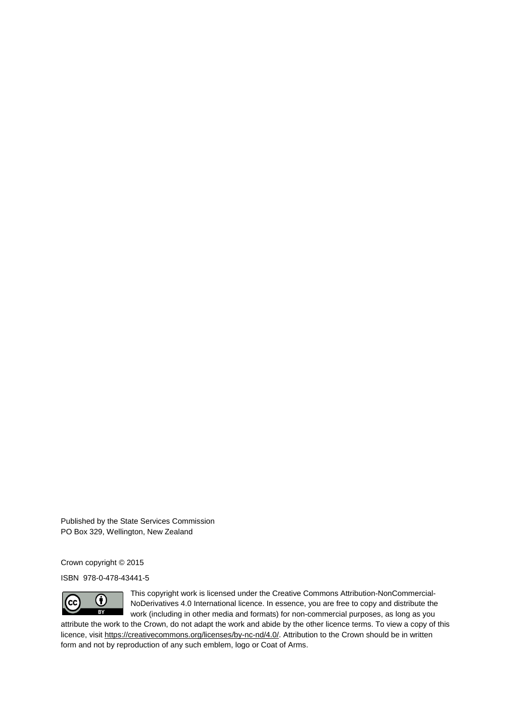Published by the State Services Commission PO Box 329, Wellington, New Zealand

Crown copyright © 2015

ISBN 978-0-478-43441-5



This copyright work is licensed under the Creative Commons Attribution-NonCommercial-NoDerivatives 4.0 International licence. In essence, you are free to copy and distribute the work (including in other media and formats) for non-commercial purposes, as long as you

attribute the work to the Crown, do not adapt the work and abide by the other licence terms. To view a copy of this licence, visit [https://creativecommons.org/licenses/by-nc-nd/4.0/.](https://creativecommons.org/licenses/by-nc-nd/4.0/) Attribution to the Crown should be in written form and not by reproduction of any such emblem, logo or Coat of Arms.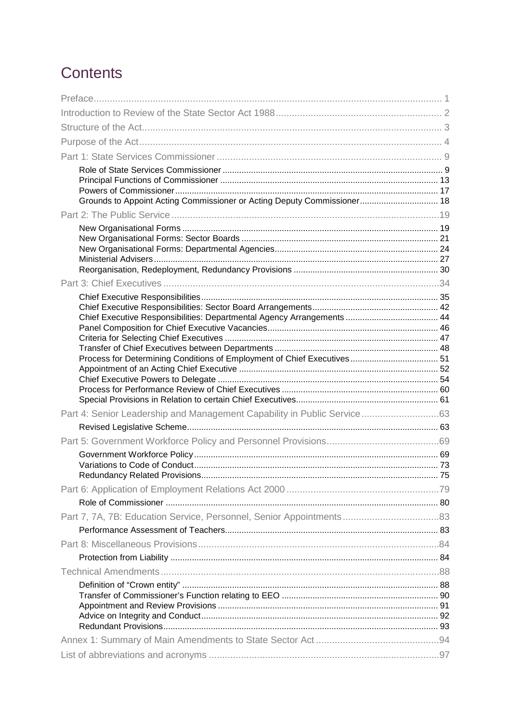# Contents

| Grounds to Appoint Acting Commissioner or Acting Deputy Commissioner 18 |  |
|-------------------------------------------------------------------------|--|
|                                                                         |  |
|                                                                         |  |
|                                                                         |  |
|                                                                         |  |
|                                                                         |  |
|                                                                         |  |
|                                                                         |  |
|                                                                         |  |
|                                                                         |  |
|                                                                         |  |
|                                                                         |  |
|                                                                         |  |
|                                                                         |  |
|                                                                         |  |
| Part 4: Senior Leadership and Management Capability in Public Service63 |  |
|                                                                         |  |
|                                                                         |  |
|                                                                         |  |
|                                                                         |  |
|                                                                         |  |
|                                                                         |  |
|                                                                         |  |
|                                                                         |  |
|                                                                         |  |
|                                                                         |  |
|                                                                         |  |
|                                                                         |  |
|                                                                         |  |
|                                                                         |  |
|                                                                         |  |
|                                                                         |  |
|                                                                         |  |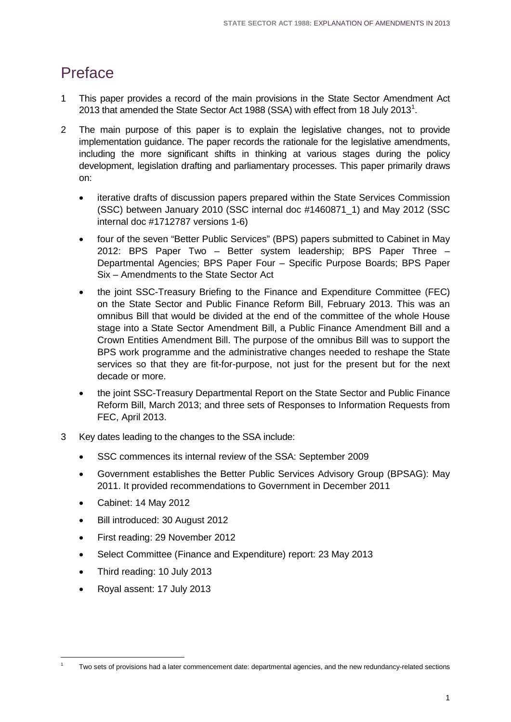# <span id="page-4-0"></span>Preface

- 1 This paper provides a record of the main provisions in the State Sector Amendment Act 20[1](#page-4-1)3 that amended the State Sector Act 1988 (SSA) with effect from 18 July 2013<sup>1</sup>.
- 2 The main purpose of this paper is to explain the legislative changes, not to provide implementation guidance. The paper records the rationale for the legislative amendments, including the more significant shifts in thinking at various stages during the policy development, legislation drafting and parliamentary processes. This paper primarily draws on:
	- iterative drafts of discussion papers prepared within the State Services Commission (SSC) between January 2010 (SSC internal doc #1460871\_1) and May 2012 (SSC internal doc #1712787 versions 1-6)
	- four of the seven "Better Public Services" (BPS) papers submitted to Cabinet in May 2012: BPS Paper Two – Better system leadership; BPS Paper Three – Departmental Agencies; BPS Paper Four – Specific Purpose Boards; BPS Paper Six – Amendments to the State Sector Act
	- the joint SSC-Treasury Briefing to the Finance and Expenditure Committee (FEC) on the State Sector and Public Finance Reform Bill, February 2013. This was an omnibus Bill that would be divided at the end of the committee of the whole House stage into a State Sector Amendment Bill, a Public Finance Amendment Bill and a Crown Entities Amendment Bill. The purpose of the omnibus Bill was to support the BPS work programme and the administrative changes needed to reshape the State services so that they are fit-for-purpose, not just for the present but for the next decade or more.
	- the joint SSC-Treasury Departmental Report on the State Sector and Public Finance Reform Bill, March 2013; and three sets of Responses to Information Requests from FEC, April 2013.
- 3 Key dates leading to the changes to the SSA include:
	- SSC commences its internal review of the SSA: September 2009
	- Government establishes the Better Public Services Advisory Group (BPSAG): May 2011. It provided recommendations to Government in December 2011
	- Cabinet: 14 May 2012
	- Bill introduced: 30 August 2012
	- First reading: 29 November 2012
	- Select Committee (Finance and Expenditure) report: 23 May 2013
	- Third reading: 10 July 2013
	- Royal assent: 17 July 2013

<span id="page-4-1"></span><sup>1</sup> Two sets of provisions had a later commencement date: departmental agencies, and the new redundancy-related sections -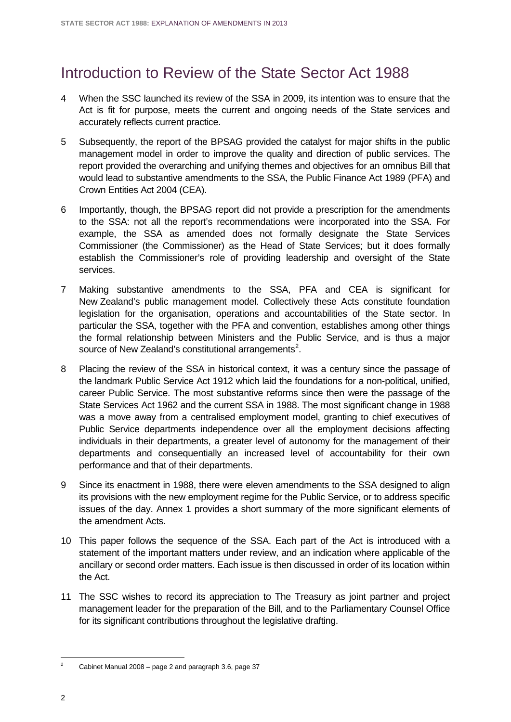# <span id="page-5-0"></span>Introduction to Review of the State Sector Act 1988

- 4 When the SSC launched its review of the SSA in 2009, its intention was to ensure that the Act is fit for purpose, meets the current and ongoing needs of the State services and accurately reflects current practice.
- 5 Subsequently, the report of the BPSAG provided the catalyst for major shifts in the public management model in order to improve the quality and direction of public services. The report provided the overarching and unifying themes and objectives for an omnibus Bill that would lead to substantive amendments to the SSA, the Public Finance Act 1989 (PFA) and Crown Entities Act 2004 (CEA).
- 6 Importantly, though, the BPSAG report did not provide a prescription for the amendments to the SSA: not all the report's recommendations were incorporated into the SSA. For example, the SSA as amended does not formally designate the State Services Commissioner (the Commissioner) as the Head of State Services; but it does formally establish the Commissioner's role of providing leadership and oversight of the State services.
- 7 Making substantive amendments to the SSA, PFA and CEA is significant for New Zealand's public management model. Collectively these Acts constitute foundation legislation for the organisation, operations and accountabilities of the State sector. In particular the SSA, together with the PFA and convention, establishes among other things the formal relationship between Ministers and the Public Service, and is thus a major source of New Zealand's constitutional arrangements<sup>[2](#page-5-1)</sup>.
- 8 Placing the review of the SSA in historical context, it was a century since the passage of the landmark Public Service Act 1912 which laid the foundations for a non-political, unified, career Public Service. The most substantive reforms since then were the passage of the State Services Act 1962 and the current SSA in 1988. The most significant change in 1988 was a move away from a centralised employment model, granting to chief executives of Public Service departments independence over all the employment decisions affecting individuals in their departments, a greater level of autonomy for the management of their departments and consequentially an increased level of accountability for their own performance and that of their departments.
- 9 Since its enactment in 1988, there were eleven amendments to the SSA designed to align its provisions with the new employment regime for the Public Service, or to address specific issues of the day. Annex 1 provides a short summary of the more significant elements of the amendment Acts.
- 10 This paper follows the sequence of the SSA. Each part of the Act is introduced with a statement of the important matters under review, and an indication where applicable of the ancillary or second order matters. Each issue is then discussed in order of its location within the Act.
- 11 The SSC wishes to record its appreciation to The Treasury as joint partner and project management leader for the preparation of the Bill, and to the Parliamentary Counsel Office for its significant contributions throughout the legislative drafting.

-

<span id="page-5-1"></span><sup>2</sup> Cabinet Manual 2008 – page 2 and paragraph 3.6, page 37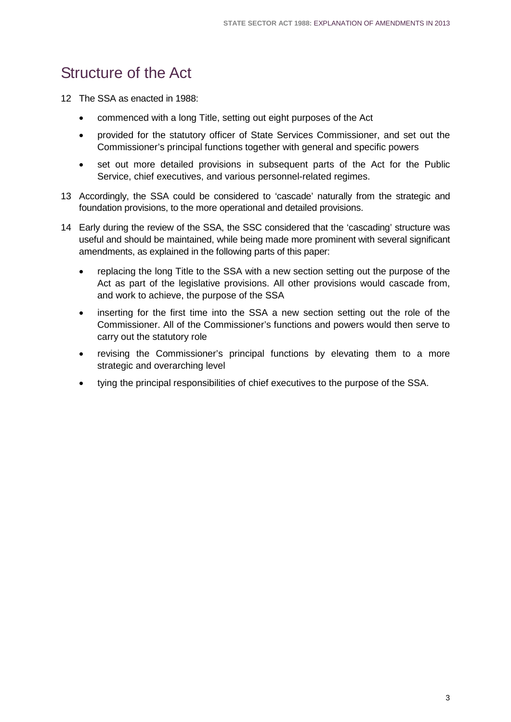# <span id="page-6-0"></span>Structure of the Act

12 The SSA as enacted in 1988:

- commenced with a long Title, setting out eight purposes of the Act
- provided for the statutory officer of State Services Commissioner, and set out the Commissioner's principal functions together with general and specific powers
- set out more detailed provisions in subsequent parts of the Act for the Public Service, chief executives, and various personnel-related regimes.
- 13 Accordingly, the SSA could be considered to 'cascade' naturally from the strategic and foundation provisions, to the more operational and detailed provisions.
- 14 Early during the review of the SSA, the SSC considered that the 'cascading' structure was useful and should be maintained, while being made more prominent with several significant amendments, as explained in the following parts of this paper:
	- replacing the long Title to the SSA with a new section setting out the purpose of the Act as part of the legislative provisions. All other provisions would cascade from, and work to achieve, the purpose of the SSA
	- inserting for the first time into the SSA a new section setting out the role of the Commissioner. All of the Commissioner's functions and powers would then serve to carry out the statutory role
	- revising the Commissioner's principal functions by elevating them to a more strategic and overarching level
	- tying the principal responsibilities of chief executives to the purpose of the SSA.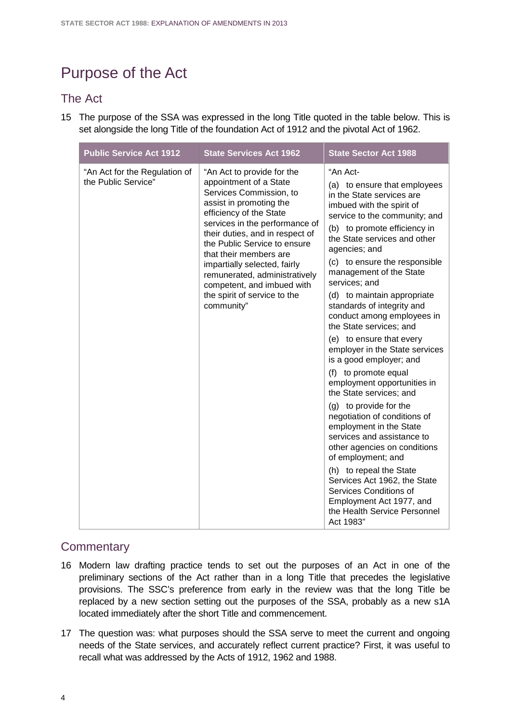# <span id="page-7-0"></span>Purpose of the Act

### The Act

15 The purpose of the SSA was expressed in the long Title quoted in the table below. This is set alongside the long Title of the foundation Act of 1912 and the pivotal Act of 1962.

| <b>Public Service Act 1912</b><br><b>State Services Act 1962</b><br><b>State Sector Act 1988</b>                                                                                                                                                                                                                                                                                                                                                                                                                                                                                                                                                                                                                                                                                                                                                                                                                                                                                                                                                                                                                                                                                                                                                                                                                                                                                                                       |  |
|------------------------------------------------------------------------------------------------------------------------------------------------------------------------------------------------------------------------------------------------------------------------------------------------------------------------------------------------------------------------------------------------------------------------------------------------------------------------------------------------------------------------------------------------------------------------------------------------------------------------------------------------------------------------------------------------------------------------------------------------------------------------------------------------------------------------------------------------------------------------------------------------------------------------------------------------------------------------------------------------------------------------------------------------------------------------------------------------------------------------------------------------------------------------------------------------------------------------------------------------------------------------------------------------------------------------------------------------------------------------------------------------------------------------|--|
| "An Act-<br>"An Act for the Regulation of<br>"An Act to provide for the<br>the Public Service"<br>appointment of a State<br>(a) to ensure that employees<br>Services Commission, to<br>in the State services are<br>assist in promoting the<br>imbued with the spirit of<br>efficiency of the State<br>service to the community; and<br>services in the performance of<br>(b) to promote efficiency in<br>their duties, and in respect of<br>the State services and other<br>the Public Service to ensure<br>agencies; and<br>that their members are<br>(c) to ensure the responsible<br>impartially selected, fairly<br>management of the State<br>remunerated, administratively<br>services; and<br>competent, and imbued with<br>the spirit of service to the<br>(d) to maintain appropriate<br>community"<br>standards of integrity and<br>conduct among employees in<br>the State services; and<br>(e) to ensure that every<br>employer in the State services<br>is a good employer; and<br>(f) to promote equal<br>employment opportunities in<br>the State services; and<br>(g) to provide for the<br>negotiation of conditions of<br>employment in the State<br>services and assistance to<br>other agencies on conditions<br>of employment; and<br>(h) to repeal the State<br>Services Act 1962, the State<br>Services Conditions of<br>Employment Act 1977, and<br>the Health Service Personnel<br>Act 1983" |  |

# **Commentary**

- 16 Modern law drafting practice tends to set out the purposes of an Act in one of the preliminary sections of the Act rather than in a long Title that precedes the legislative provisions. The SSC's preference from early in the review was that the long Title be replaced by a new section setting out the purposes of the SSA, probably as a new s1A located immediately after the short Title and commencement.
- 17 The question was: what purposes should the SSA serve to meet the current and ongoing needs of the State services, and accurately reflect current practice? First, it was useful to recall what was addressed by the Acts of 1912, 1962 and 1988.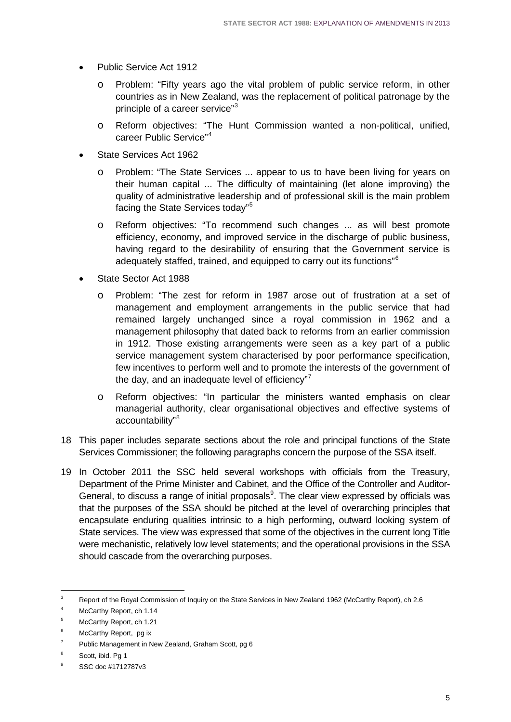- Public Service Act 1912
	- o Problem: "Fifty years ago the vital problem of public service reform, in other countries as in New Zealand, was the replacement of political patronage by the principle of a career service"<sup>[3](#page-8-0)</sup>
	- o Reform objectives: "The Hunt Commission wanted a non-political, unified, career Public Service"[4](#page-8-1)
- State Services Act 1962
	- o Problem: "The State Services ... appear to us to have been living for years on their human capital ... The difficulty of maintaining (let alone improving) the quality of administrative leadership and of professional skill is the main problem facing the State Services today"[5](#page-8-2)
	- o Reform objectives: "To recommend such changes ... as will best promote efficiency, economy, and improved service in the discharge of public business, having regard to the desirability of ensuring that the Government service is adequately staffed, trained, and equipped to carry out its functions"[6](#page-8-3)
- State Sector Act 1988
	- o Problem: "The zest for reform in 1987 arose out of frustration at a set of management and employment arrangements in the public service that had remained largely unchanged since a royal commission in 1962 and a management philosophy that dated back to reforms from an earlier commission in 1912. Those existing arrangements were seen as a key part of a public service management system characterised by poor performance specification, few incentives to perform well and to promote the interests of the government of the day, and an inadequate level of efficiency" $7$
	- o Reform objectives: "In particular the ministers wanted emphasis on clear managerial authority, clear organisational objectives and effective systems of accountability"[8](#page-8-5)
- 18 This paper includes separate sections about the role and principal functions of the State Services Commissioner; the following paragraphs concern the purpose of the SSA itself.
- 19 In October 2011 the SSC held several workshops with officials from the Treasury, Department of the Prime Minister and Cabinet, and the Office of the Controller and Auditor-General, to discuss a range of initial proposals<sup>[9](#page-8-6)</sup>. The clear view expressed by officials was that the purposes of the SSA should be pitched at the level of overarching principles that encapsulate enduring qualities intrinsic to a high performing, outward looking system of State services. The view was expressed that some of the objectives in the current long Title were mechanistic, relatively low level statements; and the operational provisions in the SSA should cascade from the overarching purposes.

<span id="page-8-0"></span><sup>3</sup> Report of the Royal Commission of Inquiry on the State Services in New Zealand 1962 (McCarthy Report), ch 2.6  $\overline{3}$ 

<span id="page-8-1"></span><sup>4</sup> McCarthy Report, ch 1.14

<span id="page-8-2"></span><sup>5</sup> McCarthy Report, ch 1.21

<span id="page-8-3"></span><sup>&</sup>lt;sup>6</sup> McCarthy Report, pg ix

<span id="page-8-4"></span> $7$  Public Management in New Zealand, Graham Scott, pg 6

<span id="page-8-5"></span><sup>&</sup>lt;sup>8</sup> Scott, ibid. Pg 1

<span id="page-8-6"></span><sup>9</sup> SSC doc #1712787v3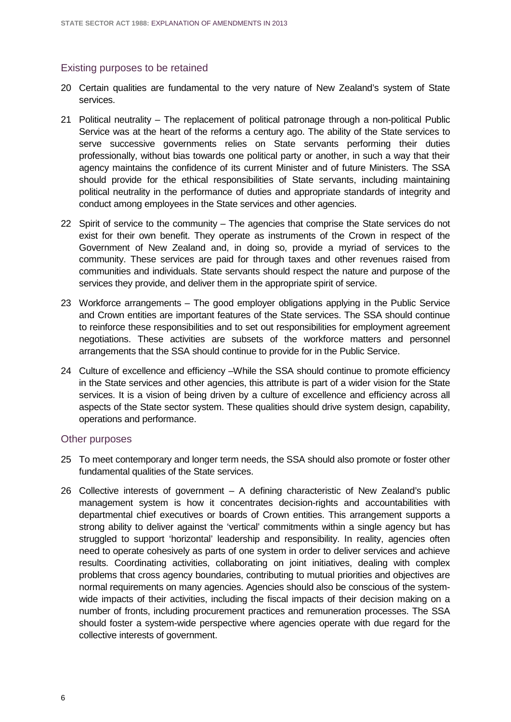#### Existing purposes to be retained

- 20 Certain qualities are fundamental to the very nature of New Zealand's system of State services.
- 21 Political neutrality The replacement of political patronage through a non-political Public Service was at the heart of the reforms a century ago. The ability of the State services to serve successive governments relies on State servants performing their duties professionally, without bias towards one political party or another, in such a way that their agency maintains the confidence of its current Minister and of future Ministers. The SSA should provide for the ethical responsibilities of State servants, including maintaining political neutrality in the performance of duties and appropriate standards of integrity and conduct among employees in the State services and other agencies.
- 22 Spirit of service to the community The agencies that comprise the State services do not exist for their own benefit. They operate as instruments of the Crown in respect of the Government of New Zealand and, in doing so, provide a myriad of services to the community. These services are paid for through taxes and other revenues raised from communities and individuals. State servants should respect the nature and purpose of the services they provide, and deliver them in the appropriate spirit of service.
- 23 Workforce arrangements The good employer obligations applying in the Public Service and Crown entities are important features of the State services. The SSA should continue to reinforce these responsibilities and to set out responsibilities for employment agreement negotiations. These activities are subsets of the workforce matters and personnel arrangements that the SSA should continue to provide for in the Public Service.
- 24 Culture of excellence and efficiency –While the SSA should continue to promote efficiency in the State services and other agencies, this attribute is part of a wider vision for the State services. It is a vision of being driven by a culture of excellence and efficiency across all aspects of the State sector system. These qualities should drive system design, capability, operations and performance.

#### Other purposes

- 25 To meet contemporary and longer term needs, the SSA should also promote or foster other fundamental qualities of the State services.
- 26 Collective interests of government A defining characteristic of New Zealand's public management system is how it concentrates decision-rights and accountabilities with departmental chief executives or boards of Crown entities. This arrangement supports a strong ability to deliver against the 'vertical' commitments within a single agency but has struggled to support 'horizontal' leadership and responsibility. In reality, agencies often need to operate cohesively as parts of one system in order to deliver services and achieve results. Coordinating activities, collaborating on joint initiatives, dealing with complex problems that cross agency boundaries, contributing to mutual priorities and objectives are normal requirements on many agencies. Agencies should also be conscious of the systemwide impacts of their activities, including the fiscal impacts of their decision making on a number of fronts, including procurement practices and remuneration processes. The SSA should foster a system-wide perspective where agencies operate with due regard for the collective interests of government.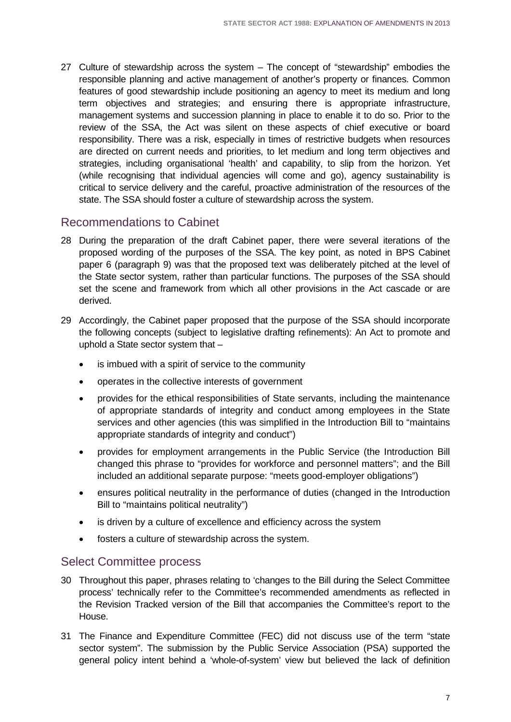27 Culture of stewardship across the system – The concept of "stewardship" embodies the responsible planning and active management of another's property or finances. Common features of good stewardship include positioning an agency to meet its medium and long term objectives and strategies; and ensuring there is appropriate infrastructure, management systems and succession planning in place to enable it to do so. Prior to the review of the SSA, the Act was silent on these aspects of chief executive or board responsibility. There was a risk, especially in times of restrictive budgets when resources are directed on current needs and priorities, to let medium and long term objectives and strategies, including organisational 'health' and capability, to slip from the horizon. Yet (while recognising that individual agencies will come and go), agency sustainability is critical to service delivery and the careful, proactive administration of the resources of the state. The SSA should foster a culture of stewardship across the system.

### Recommendations to Cabinet

- 28 During the preparation of the draft Cabinet paper, there were several iterations of the proposed wording of the purposes of the SSA. The key point, as noted in BPS Cabinet paper 6 (paragraph 9) was that the proposed text was deliberately pitched at the level of the State sector system, rather than particular functions. The purposes of the SSA should set the scene and framework from which all other provisions in the Act cascade or are derived.
- 29 Accordingly, the Cabinet paper proposed that the purpose of the SSA should incorporate the following concepts (subject to legislative drafting refinements): An Act to promote and uphold a State sector system that –
	- is imbued with a spirit of service to the community
	- operates in the collective interests of government
	- provides for the ethical responsibilities of State servants, including the maintenance of appropriate standards of integrity and conduct among employees in the State services and other agencies (this was simplified in the Introduction Bill to "maintains appropriate standards of integrity and conduct")
	- provides for employment arrangements in the Public Service (the Introduction Bill changed this phrase to "provides for workforce and personnel matters"; and the Bill included an additional separate purpose: "meets good-employer obligations")
	- ensures political neutrality in the performance of duties (changed in the Introduction Bill to "maintains political neutrality")
	- is driven by a culture of excellence and efficiency across the system
	- fosters a culture of stewardship across the system.

### Select Committee process

- 30 Throughout this paper, phrases relating to 'changes to the Bill during the Select Committee process' technically refer to the Committee's recommended amendments as reflected in the Revision Tracked version of the Bill that accompanies the Committee's report to the House.
- 31 The Finance and Expenditure Committee (FEC) did not discuss use of the term "state sector system". The submission by the Public Service Association (PSA) supported the general policy intent behind a 'whole-of-system' view but believed the lack of definition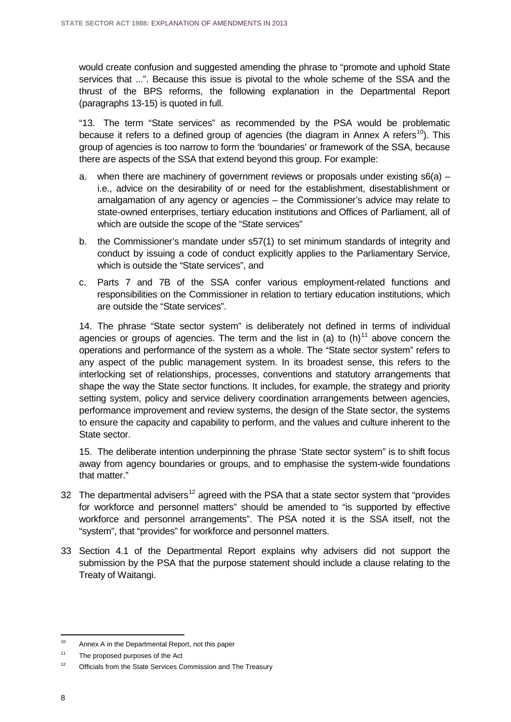would create confusion and suggested amending the phrase to "promote and uphold State services that ...". Because this issue is pivotal to the whole scheme of the SSA and the thrust of the BPS reforms, the following explanation in the Departmental Report (paragraphs 13-15) is quoted in full.

"13. The term "State services" as recommended by the PSA would be problematic because it refers to a defined group of agencies (the diagram in Annex A refers<sup>[10](#page-11-0)</sup>). This group of agencies is too narrow to form the 'boundaries' or framework of the SSA, because there are aspects of the SSA that extend beyond this group. For example:

- a. when there are machinery of government reviews or proposals under existing  $s6(a)$  i.e., advice on the desirability of or need for the establishment, disestablishment or amalgamation of any agency or agencies – the Commissioner's advice may relate to state-owned enterprises, tertiary education institutions and Offices of Parliament, all of which are outside the scope of the "State services"
- b. the Commissioner's mandate under s57(1) to set minimum standards of integrity and conduct by issuing a code of conduct explicitly applies to the Parliamentary Service, which is outside the "State services", and
- c. Parts 7 and 7B of the SSA confer various employment-related functions and responsibilities on the Commissioner in relation to tertiary education institutions, which are outside the "State services".

14. The phrase "State sector system" is deliberately not defined in terms of individual agencies or groups of agencies. The term and the list in (a) to  $(h)^{11}$  $(h)^{11}$  $(h)^{11}$  above concern the operations and performance of the system as a whole. The "State sector system" refers to any aspect of the public management system. In its broadest sense, this refers to the interlocking set of relationships, processes, conventions and statutory arrangements that shape the way the State sector functions. It includes, for example, the strategy and priority setting system, policy and service delivery coordination arrangements between agencies, performance improvement and review systems, the design of the State sector, the systems to ensure the capacity and capability to perform, and the values and culture inherent to the State sector.

15. The deliberate intention underpinning the phrase 'State sector system" is to shift focus away from agency boundaries or groups, and to emphasise the system-wide foundations that matter."

- 32 The departmental advisers<sup>[12](#page-11-2)</sup> agreed with the PSA that a state sector system that "provides for workforce and personnel matters" should be amended to "is supported by effective workforce and personnel arrangements". The PSA noted it is the SSA itself, not the "system", that "provides" for workforce and personnel matters.
- 33 Section 4.1 of the Departmental Report explains why advisers did not support the submission by the PSA that the purpose statement should include a clause relating to the Treaty of Waitangi.

<span id="page-11-0"></span>Annex A in the Departmental Report, not this paper  $10$ 

<span id="page-11-1"></span><sup>&</sup>lt;sup>11</sup> The proposed purposes of the Act

<span id="page-11-2"></span><sup>&</sup>lt;sup>12</sup> Officials from the State Services Commission and The Treasury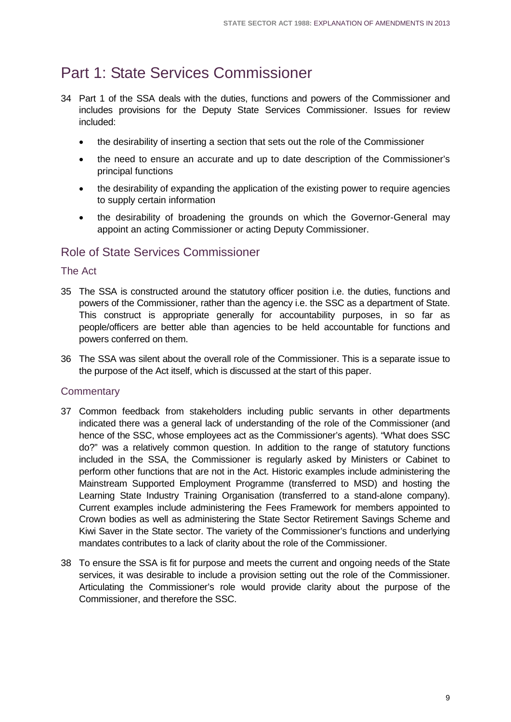# <span id="page-12-0"></span>Part 1: State Services Commissioner

- 34 Part 1 of the SSA deals with the duties, functions and powers of the Commissioner and includes provisions for the Deputy State Services Commissioner. Issues for review included:
	- the desirability of inserting a section that sets out the role of the Commissioner
	- the need to ensure an accurate and up to date description of the Commissioner's principal functions
	- the desirability of expanding the application of the existing power to require agencies to supply certain information
	- the desirability of broadening the grounds on which the Governor-General may appoint an acting Commissioner or acting Deputy Commissioner.

### <span id="page-12-1"></span>Role of State Services Commissioner

#### The Act

- 35 The SSA is constructed around the statutory officer position i.e. the duties, functions and powers of the Commissioner, rather than the agency i.e. the SSC as a department of State. This construct is appropriate generally for accountability purposes, in so far as people/officers are better able than agencies to be held accountable for functions and powers conferred on them.
- 36 The SSA was silent about the overall role of the Commissioner. This is a separate issue to the purpose of the Act itself, which is discussed at the start of this paper.

#### **Commentary**

- 37 Common feedback from stakeholders including public servants in other departments indicated there was a general lack of understanding of the role of the Commissioner (and hence of the SSC, whose employees act as the Commissioner's agents). "What does SSC do?" was a relatively common question. In addition to the range of statutory functions included in the SSA, the Commissioner is regularly asked by Ministers or Cabinet to perform other functions that are not in the Act. Historic examples include administering the Mainstream Supported Employment Programme (transferred to MSD) and hosting the Learning State Industry Training Organisation (transferred to a stand-alone company). Current examples include administering the Fees Framework for members appointed to Crown bodies as well as administering the State Sector Retirement Savings Scheme and Kiwi Saver in the State sector. The variety of the Commissioner's functions and underlying mandates contributes to a lack of clarity about the role of the Commissioner.
- 38 To ensure the SSA is fit for purpose and meets the current and ongoing needs of the State services, it was desirable to include a provision setting out the role of the Commissioner. Articulating the Commissioner's role would provide clarity about the purpose of the Commissioner, and therefore the SSC.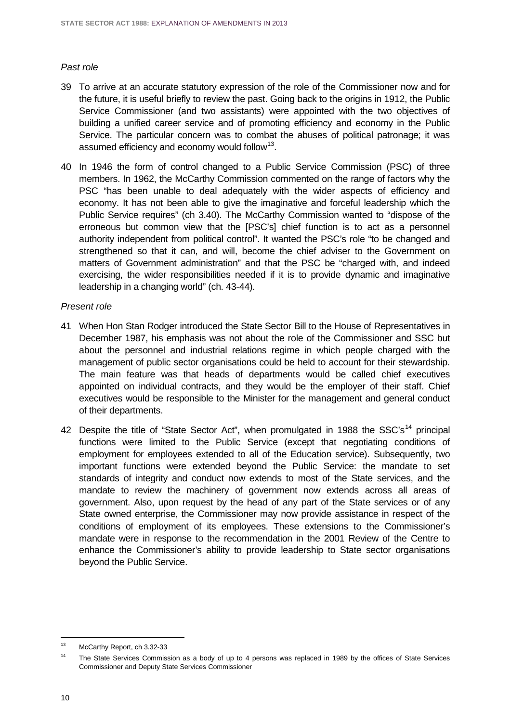#### *Past role*

- 39 To arrive at an accurate statutory expression of the role of the Commissioner now and for the future, it is useful briefly to review the past. Going back to the origins in 1912, the Public Service Commissioner (and two assistants) were appointed with the two objectives of building a unified career service and of promoting efficiency and economy in the Public Service. The particular concern was to combat the abuses of political patronage; it was assumed efficiency and economy would follow<sup>[13](#page-13-0)</sup>.
- 40 In 1946 the form of control changed to a Public Service Commission (PSC) of three members. In 1962, the McCarthy Commission commented on the range of factors why the PSC "has been unable to deal adequately with the wider aspects of efficiency and economy. It has not been able to give the imaginative and forceful leadership which the Public Service requires" (ch 3.40). The McCarthy Commission wanted to "dispose of the erroneous but common view that the [PSC's] chief function is to act as a personnel authority independent from political control". It wanted the PSC's role "to be changed and strengthened so that it can, and will, become the chief adviser to the Government on matters of Government administration" and that the PSC be "charged with, and indeed exercising, the wider responsibilities needed if it is to provide dynamic and imaginative leadership in a changing world" (ch. 43-44).

#### *Present role*

- 41 When Hon Stan Rodger introduced the State Sector Bill to the House of Representatives in December 1987, his emphasis was not about the role of the Commissioner and SSC but about the personnel and industrial relations regime in which people charged with the management of public sector organisations could be held to account for their stewardship. The main feature was that heads of departments would be called chief executives appointed on individual contracts, and they would be the employer of their staff. Chief executives would be responsible to the Minister for the management and general conduct of their departments.
- 42 Despite the title of "State Sector Act", when promulgated in 1988 the SSC's<sup>[14](#page-13-1)</sup> principal functions were limited to the Public Service (except that negotiating conditions of employment for employees extended to all of the Education service). Subsequently, two important functions were extended beyond the Public Service: the mandate to set standards of integrity and conduct now extends to most of the State services, and the mandate to review the machinery of government now extends across all areas of government. Also, upon request by the head of any part of the State services or of any State owned enterprise, the Commissioner may now provide assistance in respect of the conditions of employment of its employees. These extensions to the Commissioner's mandate were in response to the recommendation in the 2001 Review of the Centre to enhance the Commissioner's ability to provide leadership to State sector organisations beyond the Public Service.

<span id="page-13-0"></span>McCarthy Report, ch 3.32-33  $13$ 

<span id="page-13-1"></span><sup>&</sup>lt;sup>14</sup> The State Services Commission as a body of up to 4 persons was replaced in 1989 by the offices of State Services Commissioner and Deputy State Services Commissioner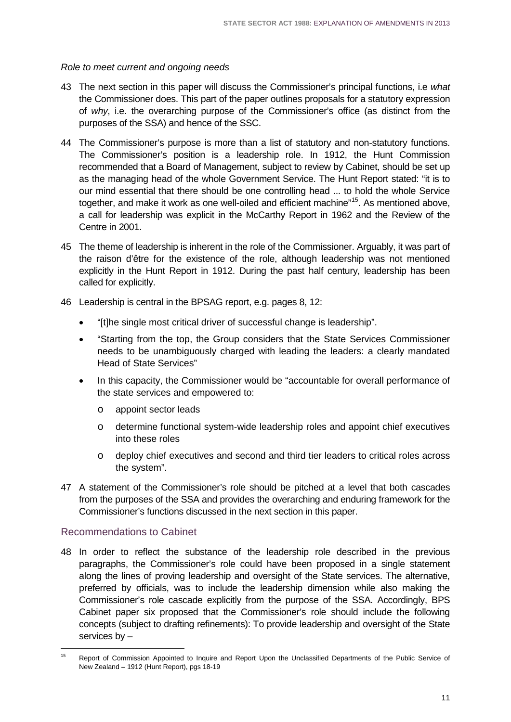*Role to meet current and ongoing needs*

- 43 The next section in this paper will discuss the Commissioner's principal functions, i.e *what* the Commissioner does. This part of the paper outlines proposals for a statutory expression of *why*, i.e. the overarching purpose of the Commissioner's office (as distinct from the purposes of the SSA) and hence of the SSC.
- 44 The Commissioner's purpose is more than a list of statutory and non-statutory functions. The Commissioner's position is a leadership role. In 1912, the Hunt Commission recommended that a Board of Management, subject to review by Cabinet, should be set up as the managing head of the whole Government Service. The Hunt Report stated: "it is to our mind essential that there should be one controlling head ... to hold the whole Service together, and make it work as one well-oiled and efficient machine"[15](#page-14-0). As mentioned above, a call for leadership was explicit in the McCarthy Report in 1962 and the Review of the Centre in 2001.
- 45 The theme of leadership is inherent in the role of the Commissioner. Arguably, it was part of the raison d'être for the existence of the role, although leadership was not mentioned explicitly in the Hunt Report in 1912. During the past half century, leadership has been called for explicitly.
- 46 Leadership is central in the BPSAG report, e.g. pages 8, 12:
	- "[t]he single most critical driver of successful change is leadership".
	- "Starting from the top, the Group considers that the State Services Commissioner needs to be unambiguously charged with leading the leaders: a clearly mandated Head of State Services"
	- In this capacity, the Commissioner would be "accountable for overall performance of the state services and empowered to:
		- o appoint sector leads
		- o determine functional system-wide leadership roles and appoint chief executives into these roles
		- o deploy chief executives and second and third tier leaders to critical roles across the system".
- 47 A statement of the Commissioner's role should be pitched at a level that both cascades from the purposes of the SSA and provides the overarching and enduring framework for the Commissioner's functions discussed in the next section in this paper.

#### Recommendations to Cabinet

48 In order to reflect the substance of the leadership role described in the previous paragraphs, the Commissioner's role could have been proposed in a single statement along the lines of proving leadership and oversight of the State services. The alternative, preferred by officials, was to include the leadership dimension while also making the Commissioner's role cascade explicitly from the purpose of the SSA. Accordingly, BPS Cabinet paper six proposed that the Commissioner's role should include the following concepts (subject to drafting refinements): To provide leadership and oversight of the State services by –

<span id="page-14-0"></span>Report of Commission Appointed to Inquire and Report Upon the Unclassified Departments of the Public Service of New Zealand – 1912 (Hunt Report), pgs 18-19  $45<sup>2</sup>$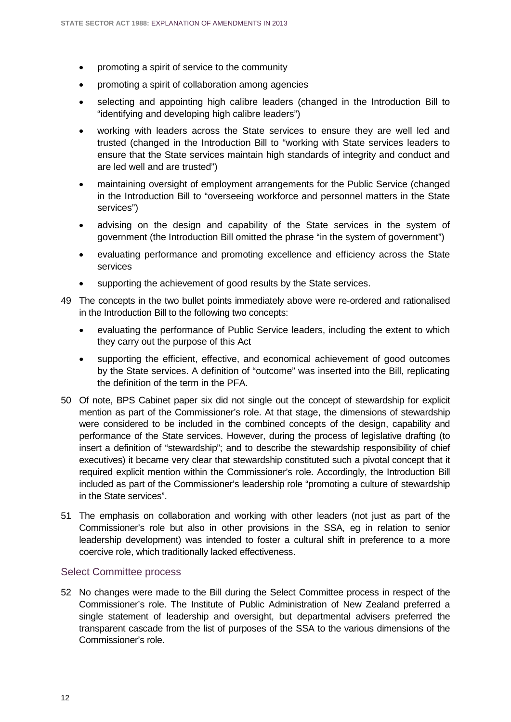- promoting a spirit of service to the community
- promoting a spirit of collaboration among agencies
- selecting and appointing high calibre leaders (changed in the Introduction Bill to "identifying and developing high calibre leaders")
- working with leaders across the State services to ensure they are well led and trusted (changed in the Introduction Bill to "working with State services leaders to ensure that the State services maintain high standards of integrity and conduct and are led well and are trusted")
- maintaining oversight of employment arrangements for the Public Service (changed in the Introduction Bill to "overseeing workforce and personnel matters in the State services")
- advising on the design and capability of the State services in the system of government (the Introduction Bill omitted the phrase "in the system of government")
- evaluating performance and promoting excellence and efficiency across the State services
- supporting the achievement of good results by the State services.
- 49 The concepts in the two bullet points immediately above were re-ordered and rationalised in the Introduction Bill to the following two concepts:
	- evaluating the performance of Public Service leaders, including the extent to which they carry out the purpose of this Act
	- supporting the efficient, effective, and economical achievement of good outcomes by the State services. A definition of "outcome" was inserted into the Bill, replicating the definition of the term in the PFA.
- 50 Of note, BPS Cabinet paper six did not single out the concept of stewardship for explicit mention as part of the Commissioner's role. At that stage, the dimensions of stewardship were considered to be included in the combined concepts of the design, capability and performance of the State services. However, during the process of legislative drafting (to insert a definition of "stewardship"; and to describe the stewardship responsibility of chief executives) it became very clear that stewardship constituted such a pivotal concept that it required explicit mention within the Commissioner's role. Accordingly, the Introduction Bill included as part of the Commissioner's leadership role "promoting a culture of stewardship in the State services".
- 51 The emphasis on collaboration and working with other leaders (not just as part of the Commissioner's role but also in other provisions in the SSA, eg in relation to senior leadership development) was intended to foster a cultural shift in preference to a more coercive role, which traditionally lacked effectiveness.

#### Select Committee process

52 No changes were made to the Bill during the Select Committee process in respect of the Commissioner's role. The Institute of Public Administration of New Zealand preferred a single statement of leadership and oversight, but departmental advisers preferred the transparent cascade from the list of purposes of the SSA to the various dimensions of the Commissioner's role.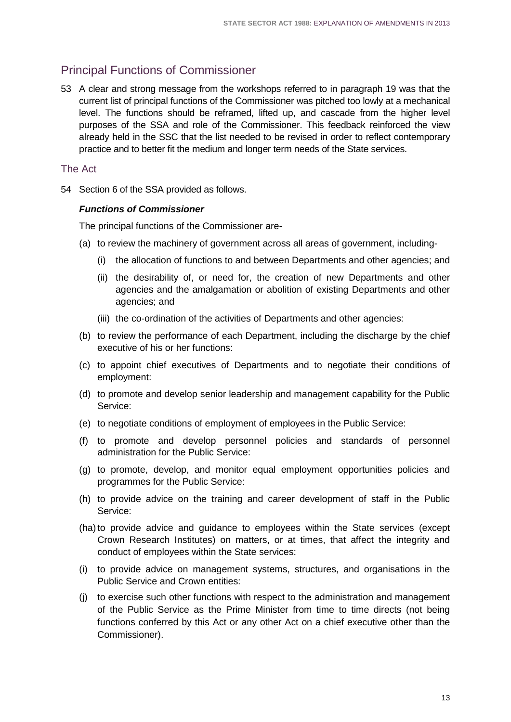## <span id="page-16-0"></span>Principal Functions of Commissioner

53 A clear and strong message from the workshops referred to in paragraph 19 was that the current list of principal functions of the Commissioner was pitched too lowly at a mechanical level. The functions should be reframed, lifted up, and cascade from the higher level purposes of the SSA and role of the Commissioner. This feedback reinforced the view already held in the SSC that the list needed to be revised in order to reflect contemporary practice and to better fit the medium and longer term needs of the State services.

#### The Act

54 Section 6 of the SSA provided as follows.

#### *Functions of Commissioner*

The principal functions of the Commissioner are-

- (a) to review the machinery of government across all areas of government, including-
	- (i) the allocation of functions to and between Departments and other agencies; and
	- (ii) the desirability of, or need for, the creation of new Departments and other agencies and the amalgamation or abolition of existing Departments and other agencies; and
	- (iii) the co-ordination of the activities of Departments and other agencies:
- (b) to review the performance of each Department, including the discharge by the chief executive of his or her functions:
- (c) to appoint chief executives of Departments and to negotiate their conditions of employment:
- (d) to promote and develop senior leadership and management capability for the Public Service:
- (e) to negotiate conditions of employment of employees in the Public Service:
- (f) to promote and develop personnel policies and standards of personnel administration for the Public Service:
- (g) to promote, develop, and monitor equal employment opportunities policies and programmes for the Public Service:
- (h) to provide advice on the training and career development of staff in the Public Service:
- (ha)to provide advice and guidance to employees within the State services (except Crown Research Institutes) on matters, or at times, that affect the integrity and conduct of employees within the State services:
- (i) to provide advice on management systems, structures, and organisations in the Public Service and Crown entities:
- (j) to exercise such other functions with respect to the administration and management of the Public Service as the Prime Minister from time to time directs (not being functions conferred by this Act or any other Act on a chief executive other than the Commissioner).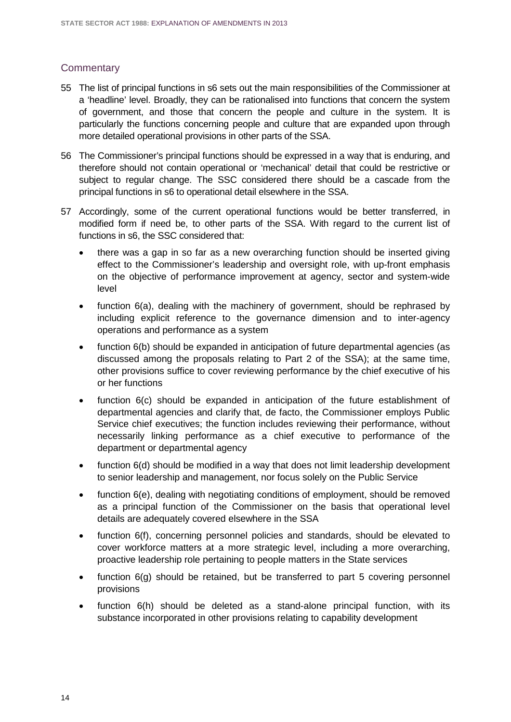#### **Commentary**

- 55 The list of principal functions in s6 sets out the main responsibilities of the Commissioner at a 'headline' level. Broadly, they can be rationalised into functions that concern the system of government, and those that concern the people and culture in the system. It is particularly the functions concerning people and culture that are expanded upon through more detailed operational provisions in other parts of the SSA.
- 56 The Commissioner's principal functions should be expressed in a way that is enduring, and therefore should not contain operational or 'mechanical' detail that could be restrictive or subject to regular change. The SSC considered there should be a cascade from the principal functions in s6 to operational detail elsewhere in the SSA.
- 57 Accordingly, some of the current operational functions would be better transferred, in modified form if need be, to other parts of the SSA. With regard to the current list of functions in s6, the SSC considered that:
	- there was a gap in so far as a new overarching function should be inserted giving effect to the Commissioner's leadership and oversight role, with up-front emphasis on the objective of performance improvement at agency, sector and system-wide level
	- function 6(a), dealing with the machinery of government, should be rephrased by including explicit reference to the governance dimension and to inter-agency operations and performance as a system
	- function 6(b) should be expanded in anticipation of future departmental agencies (as discussed among the proposals relating to Part 2 of the SSA); at the same time, other provisions suffice to cover reviewing performance by the chief executive of his or her functions
	- function 6(c) should be expanded in anticipation of the future establishment of departmental agencies and clarify that, de facto, the Commissioner employs Public Service chief executives; the function includes reviewing their performance, without necessarily linking performance as a chief executive to performance of the department or departmental agency
	- function 6(d) should be modified in a way that does not limit leadership development to senior leadership and management, nor focus solely on the Public Service
	- function 6(e), dealing with negotiating conditions of employment, should be removed as a principal function of the Commissioner on the basis that operational level details are adequately covered elsewhere in the SSA
	- function 6(f), concerning personnel policies and standards, should be elevated to cover workforce matters at a more strategic level, including a more overarching, proactive leadership role pertaining to people matters in the State services
	- function  $6(q)$  should be retained, but be transferred to part 5 covering personnel provisions
	- function 6(h) should be deleted as a stand-alone principal function, with its substance incorporated in other provisions relating to capability development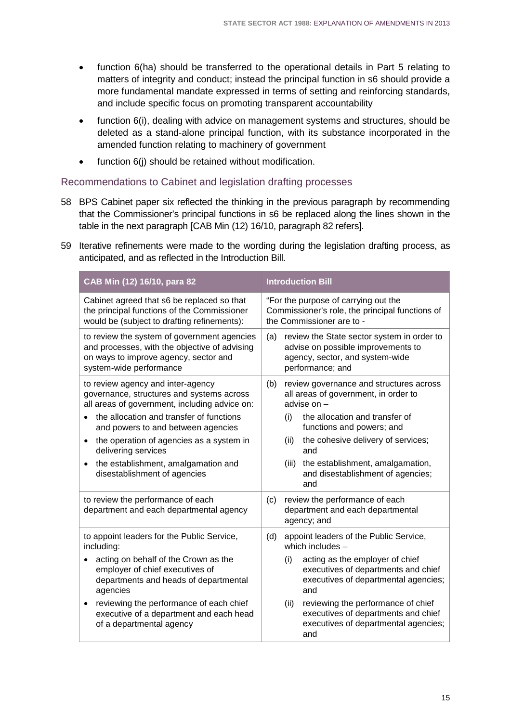- function 6(ha) should be transferred to the operational details in Part 5 relating to matters of integrity and conduct; instead the principal function in s6 should provide a more fundamental mandate expressed in terms of setting and reinforcing standards, and include specific focus on promoting transparent accountability
- function 6(i), dealing with advice on management systems and structures, should be deleted as a stand-alone principal function, with its substance incorporated in the amended function relating to machinery of government
- function 6(j) should be retained without modification.

#### Recommendations to Cabinet and legislation drafting processes

- 58 BPS Cabinet paper six reflected the thinking in the previous paragraph by recommending that the Commissioner's principal functions in s6 be replaced along the lines shown in the table in the next paragraph [CAB Min (12) 16/10, paragraph 82 refers].
- 59 Iterative refinements were made to the wording during the legislation drafting process, as anticipated, and as reflected in the Introduction Bill.

| CAB Min (12) 16/10, para 82                                                                                                                                      | <b>Introduction Bill</b>                                                                                                                       |
|------------------------------------------------------------------------------------------------------------------------------------------------------------------|------------------------------------------------------------------------------------------------------------------------------------------------|
| Cabinet agreed that s6 be replaced so that<br>the principal functions of the Commissioner<br>would be (subject to drafting refinements):                         | "For the purpose of carrying out the<br>Commissioner's role, the principal functions of<br>the Commissioner are to -                           |
| to review the system of government agencies<br>and processes, with the objective of advising<br>on ways to improve agency, sector and<br>system-wide performance | review the State sector system in order to<br>(a)<br>advise on possible improvements to<br>agency, sector, and system-wide<br>performance; and |
| to review agency and inter-agency<br>governance, structures and systems across<br>all areas of government, including advice on:                                  | (b)<br>review governance and structures across<br>all areas of government, in order to<br>advise on -                                          |
| the allocation and transfer of functions<br>and powers to and between agencies                                                                                   | the allocation and transfer of<br>(i)<br>functions and powers; and                                                                             |
| the operation of agencies as a system in<br>delivering services                                                                                                  | the cohesive delivery of services;<br>(ii)<br>and                                                                                              |
| the establishment, amalgamation and<br>٠<br>disestablishment of agencies                                                                                         | the establishment, amalgamation,<br>(iii)<br>and disestablishment of agencies;<br>and                                                          |
| to review the performance of each<br>department and each departmental agency                                                                                     | review the performance of each<br>(c)<br>department and each departmental<br>agency; and                                                       |
| to appoint leaders for the Public Service,<br>including:                                                                                                         | appoint leaders of the Public Service,<br>(d)<br>which includes $-$                                                                            |
| acting on behalf of the Crown as the<br>employer of chief executives of<br>departments and heads of departmental<br>agencies                                     | acting as the employer of chief<br>(i)<br>executives of departments and chief<br>executives of departmental agencies;<br>and                   |
| reviewing the performance of each chief<br>executive of a department and each head<br>of a departmental agency                                                   | reviewing the performance of chief<br>(ii)<br>executives of departments and chief<br>executives of departmental agencies;<br>and               |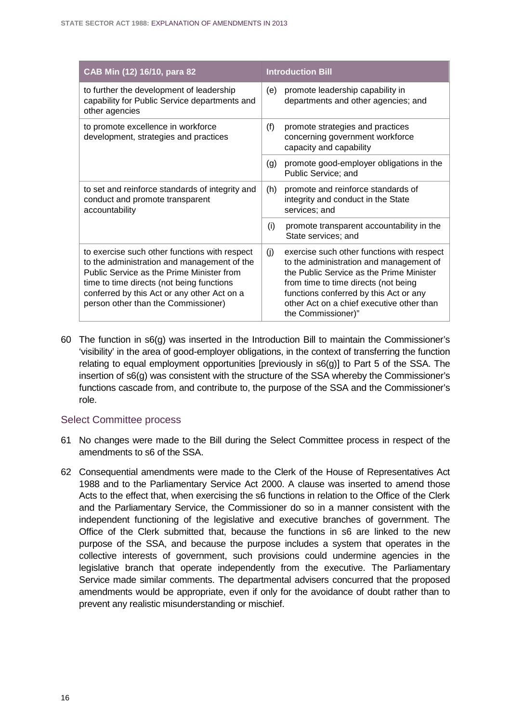| CAB Min (12) 16/10, para 82                                                                                                                                                                                                                                                  | <b>Introduction Bill</b>                                                                                                                                                                                                                                                                      |
|------------------------------------------------------------------------------------------------------------------------------------------------------------------------------------------------------------------------------------------------------------------------------|-----------------------------------------------------------------------------------------------------------------------------------------------------------------------------------------------------------------------------------------------------------------------------------------------|
| to further the development of leadership<br>capability for Public Service departments and<br>other agencies                                                                                                                                                                  | promote leadership capability in<br>(e)<br>departments and other agencies; and                                                                                                                                                                                                                |
| to promote excellence in workforce<br>development, strategies and practices                                                                                                                                                                                                  | (f)<br>promote strategies and practices<br>concerning government workforce<br>capacity and capability                                                                                                                                                                                         |
|                                                                                                                                                                                                                                                                              | promote good-employer obligations in the<br>(g)<br>Public Service; and                                                                                                                                                                                                                        |
| to set and reinforce standards of integrity and<br>conduct and promote transparent<br>accountability                                                                                                                                                                         | (h)<br>promote and reinforce standards of<br>integrity and conduct in the State<br>services; and                                                                                                                                                                                              |
|                                                                                                                                                                                                                                                                              | (i)<br>promote transparent accountability in the<br>State services; and                                                                                                                                                                                                                       |
| to exercise such other functions with respect<br>to the administration and management of the<br>Public Service as the Prime Minister from<br>time to time directs (not being functions<br>conferred by this Act or any other Act on a<br>person other than the Commissioner) | (j)<br>exercise such other functions with respect<br>to the administration and management of<br>the Public Service as the Prime Minister<br>from time to time directs (not being<br>functions conferred by this Act or any<br>other Act on a chief executive other than<br>the Commissioner)" |

60 The function in s6(g) was inserted in the Introduction Bill to maintain the Commissioner's 'visibility' in the area of good-employer obligations, in the context of transferring the function relating to equal employment opportunities [previously in s6(g)] to Part 5 of the SSA. The insertion of s6(g) was consistent with the structure of the SSA whereby the Commissioner's functions cascade from, and contribute to, the purpose of the SSA and the Commissioner's role.

#### Select Committee process

- 61 No changes were made to the Bill during the Select Committee process in respect of the amendments to s6 of the SSA.
- 62 Consequential amendments were made to the Clerk of the House of Representatives Act 1988 and to the Parliamentary Service Act 2000. A clause was inserted to amend those Acts to the effect that, when exercising the s6 functions in relation to the Office of the Clerk and the Parliamentary Service, the Commissioner do so in a manner consistent with the independent functioning of the legislative and executive branches of government. The Office of the Clerk submitted that, because the functions in s6 are linked to the new purpose of the SSA, and because the purpose includes a system that operates in the collective interests of government, such provisions could undermine agencies in the legislative branch that operate independently from the executive. The Parliamentary Service made similar comments. The departmental advisers concurred that the proposed amendments would be appropriate, even if only for the avoidance of doubt rather than to prevent any realistic misunderstanding or mischief.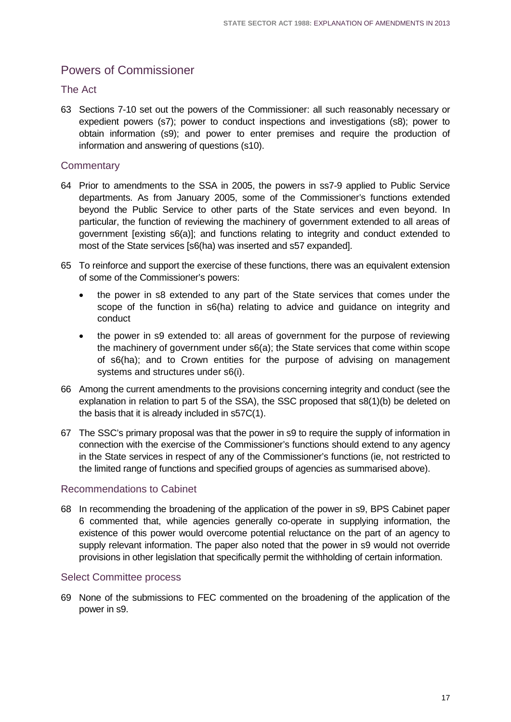# <span id="page-20-0"></span>Powers of Commissioner

#### The Act

63 Sections 7-10 set out the powers of the Commissioner: all such reasonably necessary or expedient powers (s7); power to conduct inspections and investigations (s8); power to obtain information (s9); and power to enter premises and require the production of information and answering of questions (s10).

#### **Commentary**

- 64 Prior to amendments to the SSA in 2005, the powers in ss7-9 applied to Public Service departments. As from January 2005, some of the Commissioner's functions extended beyond the Public Service to other parts of the State services and even beyond. In particular, the function of reviewing the machinery of government extended to all areas of government [existing s6(a)]; and functions relating to integrity and conduct extended to most of the State services [s6(ha) was inserted and s57 expanded].
- 65 To reinforce and support the exercise of these functions, there was an equivalent extension of some of the Commissioner's powers:
	- the power in s8 extended to any part of the State services that comes under the scope of the function in s6(ha) relating to advice and guidance on integrity and conduct
	- the power in s9 extended to: all areas of government for the purpose of reviewing the machinery of government under s6(a); the State services that come within scope of s6(ha); and to Crown entities for the purpose of advising on management systems and structures under s6(i).
- 66 Among the current amendments to the provisions concerning integrity and conduct (see the explanation in relation to part 5 of the SSA), the SSC proposed that s8(1)(b) be deleted on the basis that it is already included in s57C(1).
- 67 The SSC's primary proposal was that the power in s9 to require the supply of information in connection with the exercise of the Commissioner's functions should extend to any agency in the State services in respect of any of the Commissioner's functions (ie, not restricted to the limited range of functions and specified groups of agencies as summarised above).

#### Recommendations to Cabinet

68 In recommending the broadening of the application of the power in s9, BPS Cabinet paper 6 commented that, while agencies generally co-operate in supplying information, the existence of this power would overcome potential reluctance on the part of an agency to supply relevant information. The paper also noted that the power in s9 would not override provisions in other legislation that specifically permit the withholding of certain information.

#### Select Committee process

69 None of the submissions to FEC commented on the broadening of the application of the power in s9.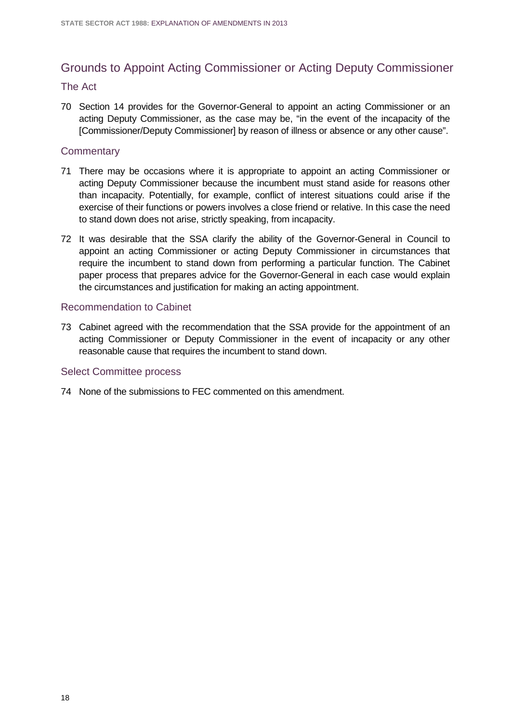# <span id="page-21-0"></span>Grounds to Appoint Acting Commissioner or Acting Deputy Commissioner

#### The Act

70 Section 14 provides for the Governor-General to appoint an acting Commissioner or an acting Deputy Commissioner, as the case may be, "in the event of the incapacity of the [Commissioner/Deputy Commissioner] by reason of illness or absence or any other cause".

#### **Commentary**

- 71 There may be occasions where it is appropriate to appoint an acting Commissioner or acting Deputy Commissioner because the incumbent must stand aside for reasons other than incapacity. Potentially, for example, conflict of interest situations could arise if the exercise of their functions or powers involves a close friend or relative. In this case the need to stand down does not arise, strictly speaking, from incapacity.
- 72 It was desirable that the SSA clarify the ability of the Governor-General in Council to appoint an acting Commissioner or acting Deputy Commissioner in circumstances that require the incumbent to stand down from performing a particular function. The Cabinet paper process that prepares advice for the Governor-General in each case would explain the circumstances and justification for making an acting appointment.

#### Recommendation to Cabinet

73 Cabinet agreed with the recommendation that the SSA provide for the appointment of an acting Commissioner or Deputy Commissioner in the event of incapacity or any other reasonable cause that requires the incumbent to stand down.

#### Select Committee process

74 None of the submissions to FEC commented on this amendment.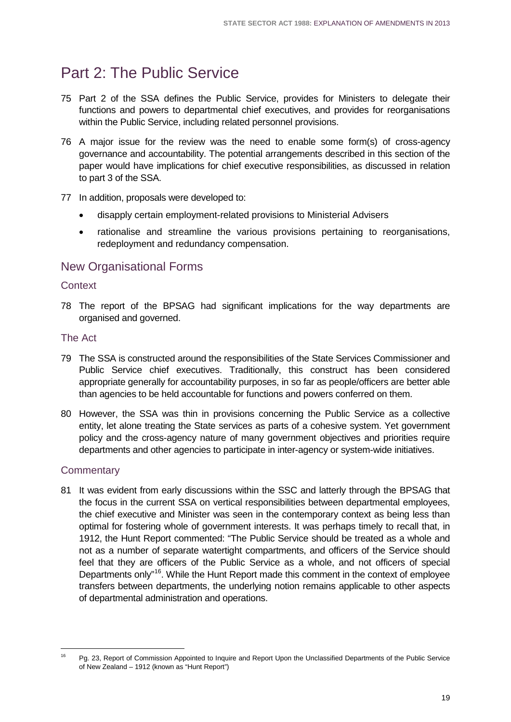# <span id="page-22-0"></span>Part 2: The Public Service

- 75 Part 2 of the SSA defines the Public Service, provides for Ministers to delegate their functions and powers to departmental chief executives, and provides for reorganisations within the Public Service, including related personnel provisions.
- 76 A major issue for the review was the need to enable some form(s) of cross-agency governance and accountability. The potential arrangements described in this section of the paper would have implications for chief executive responsibilities, as discussed in relation to part 3 of the SSA.
- 77 In addition, proposals were developed to:
	- disapply certain employment-related provisions to Ministerial Advisers
	- rationalise and streamline the various provisions pertaining to reorganisations, redeployment and redundancy compensation.

## <span id="page-22-1"></span>New Organisational Forms

#### **Context**

78 The report of the BPSAG had significant implications for the way departments are organised and governed.

#### The Act

- 79 The SSA is constructed around the responsibilities of the State Services Commissioner and Public Service chief executives. Traditionally, this construct has been considered appropriate generally for accountability purposes, in so far as people/officers are better able than agencies to be held accountable for functions and powers conferred on them.
- 80 However, the SSA was thin in provisions concerning the Public Service as a collective entity, let alone treating the State services as parts of a cohesive system. Yet government policy and the cross-agency nature of many government objectives and priorities require departments and other agencies to participate in inter-agency or system-wide initiatives.

#### **Commentary**

81 It was evident from early discussions within the SSC and latterly through the BPSAG that the focus in the current SSA on vertical responsibilities between departmental employees, the chief executive and Minister was seen in the contemporary context as being less than optimal for fostering whole of government interests. It was perhaps timely to recall that, in 1912, the Hunt Report commented: "The Public Service should be treated as a whole and not as a number of separate watertight compartments, and officers of the Service should feel that they are officers of the Public Service as a whole, and not officers of special Departments only"<sup>16</sup>. While the Hunt Report made this comment in the context of employee transfers between departments, the underlying notion remains applicable to other aspects of departmental administration and operations.

<span id="page-22-2"></span><sup>16</sup> Pg. 23, Report of Commission Appointed to Inquire and Report Upon the Unclassified Departments of the Public Service of New Zealand – 1912 (known as "Hunt Report")  $\overline{46}$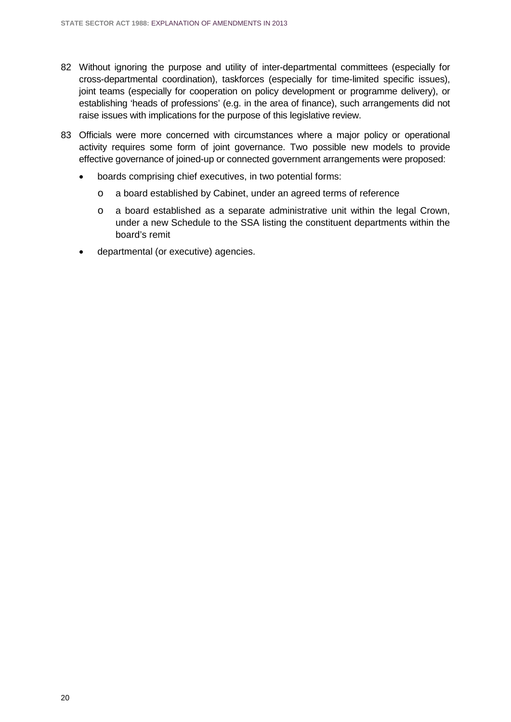- 82 Without ignoring the purpose and utility of inter-departmental committees (especially for cross-departmental coordination), taskforces (especially for time-limited specific issues), joint teams (especially for cooperation on policy development or programme delivery), or establishing 'heads of professions' (e.g. in the area of finance), such arrangements did not raise issues with implications for the purpose of this legislative review.
- 83 Officials were more concerned with circumstances where a major policy or operational activity requires some form of joint governance. Two possible new models to provide effective governance of joined-up or connected government arrangements were proposed:
	- boards comprising chief executives, in two potential forms:
		- o a board established by Cabinet, under an agreed terms of reference
		- o a board established as a separate administrative unit within the legal Crown, under a new Schedule to the SSA listing the constituent departments within the board's remit
	- departmental (or executive) agencies.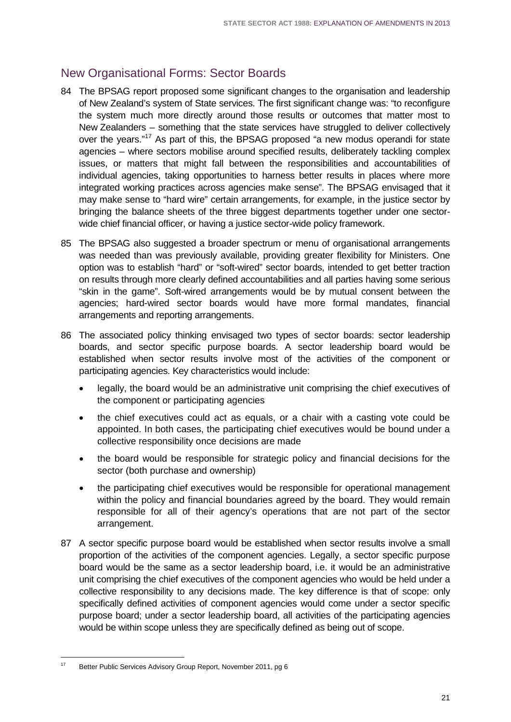# <span id="page-24-0"></span>New Organisational Forms: Sector Boards

- 84 The BPSAG report proposed some significant changes to the organisation and leadership of New Zealand's system of State services. The first significant change was: "to reconfigure the system much more directly around those results or outcomes that matter most to New Zealanders – something that the state services have struggled to deliver collectively over the years."<sup>[17](#page-24-1)</sup> As part of this, the BPSAG proposed "a new modus operandi for state agencies – where sectors mobilise around specified results, deliberately tackling complex issues, or matters that might fall between the responsibilities and accountabilities of individual agencies, taking opportunities to harness better results in places where more integrated working practices across agencies make sense". The BPSAG envisaged that it may make sense to "hard wire" certain arrangements, for example, in the justice sector by bringing the balance sheets of the three biggest departments together under one sectorwide chief financial officer, or having a justice sector-wide policy framework.
- 85 The BPSAG also suggested a broader spectrum or menu of organisational arrangements was needed than was previously available, providing greater flexibility for Ministers. One option was to establish "hard" or "soft-wired" sector boards, intended to get better traction on results through more clearly defined accountabilities and all parties having some serious "skin in the game". Soft-wired arrangements would be by mutual consent between the agencies; hard-wired sector boards would have more formal mandates, financial arrangements and reporting arrangements.
- 86 The associated policy thinking envisaged two types of sector boards: sector leadership boards, and sector specific purpose boards. A sector leadership board would be established when sector results involve most of the activities of the component or participating agencies. Key characteristics would include:
	- legally, the board would be an administrative unit comprising the chief executives of the component or participating agencies
	- the chief executives could act as equals, or a chair with a casting vote could be appointed. In both cases, the participating chief executives would be bound under a collective responsibility once decisions are made
	- the board would be responsible for strategic policy and financial decisions for the sector (both purchase and ownership)
	- the participating chief executives would be responsible for operational management within the policy and financial boundaries agreed by the board. They would remain responsible for all of their agency's operations that are not part of the sector arrangement.
- 87 A sector specific purpose board would be established when sector results involve a small proportion of the activities of the component agencies. Legally, a sector specific purpose board would be the same as a sector leadership board, i.e. it would be an administrative unit comprising the chief executives of the component agencies who would be held under a collective responsibility to any decisions made. The key difference is that of scope: only specifically defined activities of component agencies would come under a sector specific purpose board; under a sector leadership board, all activities of the participating agencies would be within scope unless they are specifically defined as being out of scope.

<span id="page-24-1"></span><sup>17</sup> Better Public Services Advisory Group Report, November 2011, pg 6  $17$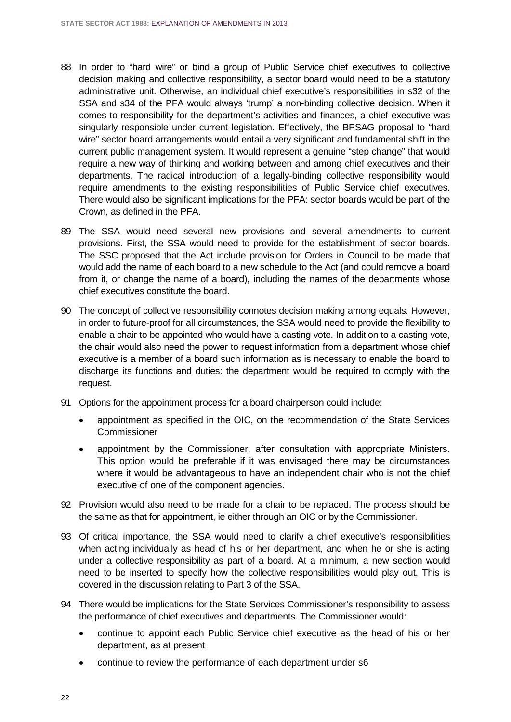- 88 In order to "hard wire" or bind a group of Public Service chief executives to collective decision making and collective responsibility, a sector board would need to be a statutory administrative unit. Otherwise, an individual chief executive's responsibilities in s32 of the SSA and s34 of the PFA would always 'trump' a non-binding collective decision. When it comes to responsibility for the department's activities and finances, a chief executive was singularly responsible under current legislation. Effectively, the BPSAG proposal to "hard wire" sector board arrangements would entail a very significant and fundamental shift in the current public management system. It would represent a genuine "step change" that would require a new way of thinking and working between and among chief executives and their departments. The radical introduction of a legally-binding collective responsibility would require amendments to the existing responsibilities of Public Service chief executives. There would also be significant implications for the PFA: sector boards would be part of the Crown, as defined in the PFA.
- 89 The SSA would need several new provisions and several amendments to current provisions. First, the SSA would need to provide for the establishment of sector boards. The SSC proposed that the Act include provision for Orders in Council to be made that would add the name of each board to a new schedule to the Act (and could remove a board from it, or change the name of a board), including the names of the departments whose chief executives constitute the board.
- 90 The concept of collective responsibility connotes decision making among equals. However, in order to future-proof for all circumstances, the SSA would need to provide the flexibility to enable a chair to be appointed who would have a casting vote. In addition to a casting vote, the chair would also need the power to request information from a department whose chief executive is a member of a board such information as is necessary to enable the board to discharge its functions and duties: the department would be required to comply with the request.
- 91 Options for the appointment process for a board chairperson could include:
	- appointment as specified in the OIC, on the recommendation of the State Services **Commissioner**
	- appointment by the Commissioner, after consultation with appropriate Ministers. This option would be preferable if it was envisaged there may be circumstances where it would be advantageous to have an independent chair who is not the chief executive of one of the component agencies.
- 92 Provision would also need to be made for a chair to be replaced. The process should be the same as that for appointment, ie either through an OIC or by the Commissioner.
- 93 Of critical importance, the SSA would need to clarify a chief executive's responsibilities when acting individually as head of his or her department, and when he or she is acting under a collective responsibility as part of a board. At a minimum, a new section would need to be inserted to specify how the collective responsibilities would play out. This is covered in the discussion relating to Part 3 of the SSA.
- 94 There would be implications for the State Services Commissioner's responsibility to assess the performance of chief executives and departments. The Commissioner would:
	- continue to appoint each Public Service chief executive as the head of his or her department, as at present
	- continue to review the performance of each department under s6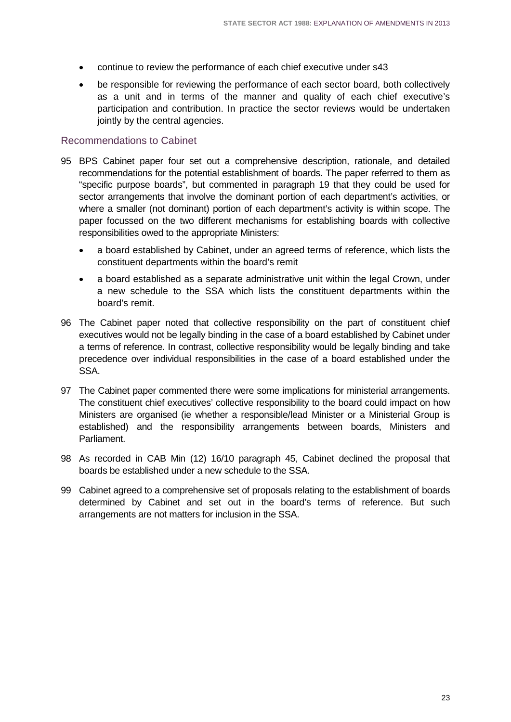- continue to review the performance of each chief executive under s43
- be responsible for reviewing the performance of each sector board, both collectively as a unit and in terms of the manner and quality of each chief executive's participation and contribution. In practice the sector reviews would be undertaken jointly by the central agencies.

#### Recommendations to Cabinet

- 95 BPS Cabinet paper four set out a comprehensive description, rationale, and detailed recommendations for the potential establishment of boards. The paper referred to them as "specific purpose boards", but commented in paragraph 19 that they could be used for sector arrangements that involve the dominant portion of each department's activities, or where a smaller (not dominant) portion of each department's activity is within scope. The paper focussed on the two different mechanisms for establishing boards with collective responsibilities owed to the appropriate Ministers:
	- a board established by Cabinet, under an agreed terms of reference, which lists the constituent departments within the board's remit
	- a board established as a separate administrative unit within the legal Crown, under a new schedule to the SSA which lists the constituent departments within the board's remit.
- 96 The Cabinet paper noted that collective responsibility on the part of constituent chief executives would not be legally binding in the case of a board established by Cabinet under a terms of reference. In contrast, collective responsibility would be legally binding and take precedence over individual responsibilities in the case of a board established under the SSA.
- 97 The Cabinet paper commented there were some implications for ministerial arrangements. The constituent chief executives' collective responsibility to the board could impact on how Ministers are organised (ie whether a responsible/lead Minister or a Ministerial Group is established) and the responsibility arrangements between boards, Ministers and Parliament.
- 98 As recorded in CAB Min (12) 16/10 paragraph 45, Cabinet declined the proposal that boards be established under a new schedule to the SSA.
- 99 Cabinet agreed to a comprehensive set of proposals relating to the establishment of boards determined by Cabinet and set out in the board's terms of reference. But such arrangements are not matters for inclusion in the SSA.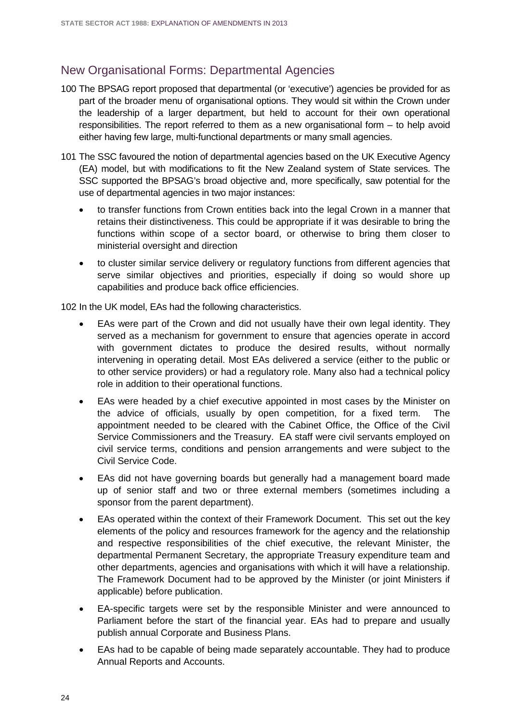### <span id="page-27-0"></span>New Organisational Forms: Departmental Agencies

- 100 The BPSAG report proposed that departmental (or 'executive') agencies be provided for as part of the broader menu of organisational options. They would sit within the Crown under the leadership of a larger department, but held to account for their own operational responsibilities. The report referred to them as a new organisational form – to help avoid either having few large, multi-functional departments or many small agencies.
- 101 The SSC favoured the notion of departmental agencies based on the UK Executive Agency (EA) model, but with modifications to fit the New Zealand system of State services. The SSC supported the BPSAG's broad objective and, more specifically, saw potential for the use of departmental agencies in two major instances:
	- to transfer functions from Crown entities back into the legal Crown in a manner that retains their distinctiveness. This could be appropriate if it was desirable to bring the functions within scope of a sector board, or otherwise to bring them closer to ministerial oversight and direction
	- to cluster similar service delivery or regulatory functions from different agencies that serve similar objectives and priorities, especially if doing so would shore up capabilities and produce back office efficiencies.

102 In the UK model, EAs had the following characteristics.

- EAs were part of the Crown and did not usually have their own legal identity. They served as a mechanism for government to ensure that agencies operate in accord with government dictates to produce the desired results, without normally intervening in operating detail. Most EAs delivered a service (either to the public or to other service providers) or had a regulatory role. Many also had a technical policy role in addition to their operational functions.
- EAs were headed by a chief executive appointed in most cases by the Minister on the advice of officials, usually by open competition, for a fixed term. The appointment needed to be cleared with the Cabinet Office, the Office of the Civil Service Commissioners and the Treasury. EA staff were civil servants employed on civil service terms, conditions and pension arrangements and were subject to the Civil Service Code.
- EAs did not have governing boards but generally had a management board made up of senior staff and two or three external members (sometimes including a sponsor from the parent department).
- EAs operated within the context of their Framework Document. This set out the key elements of the policy and resources framework for the agency and the relationship and respective responsibilities of the chief executive, the relevant Minister, the departmental Permanent Secretary, the appropriate Treasury expenditure team and other departments, agencies and organisations with which it will have a relationship. The Framework Document had to be approved by the Minister (or joint Ministers if applicable) before publication.
- EA-specific targets were set by the responsible Minister and were announced to Parliament before the start of the financial year. EAs had to prepare and usually publish annual Corporate and Business Plans.
- EAs had to be capable of being made separately accountable. They had to produce Annual Reports and Accounts.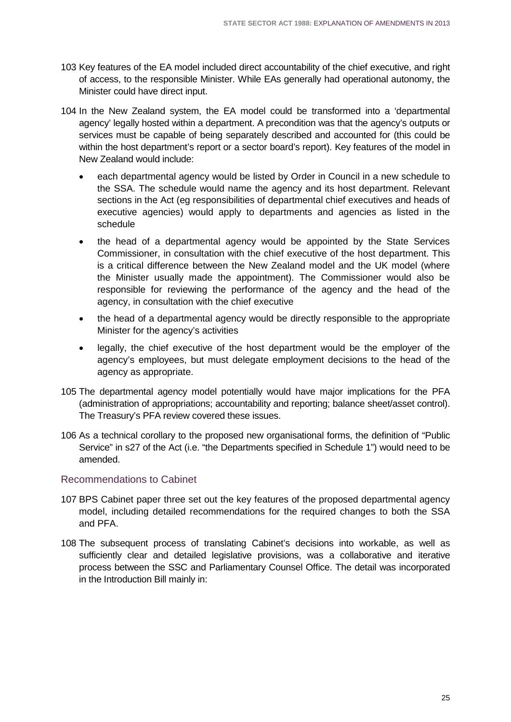- 103 Key features of the EA model included direct accountability of the chief executive, and right of access, to the responsible Minister. While EAs generally had operational autonomy, the Minister could have direct input.
- 104 In the New Zealand system, the EA model could be transformed into a 'departmental agency' legally hosted within a department. A precondition was that the agency's outputs or services must be capable of being separately described and accounted for (this could be within the host department's report or a sector board's report). Key features of the model in New Zealand would include:
	- each departmental agency would be listed by Order in Council in a new schedule to the SSA. The schedule would name the agency and its host department. Relevant sections in the Act (eg responsibilities of departmental chief executives and heads of executive agencies) would apply to departments and agencies as listed in the schedule
	- the head of a departmental agency would be appointed by the State Services Commissioner, in consultation with the chief executive of the host department. This is a critical difference between the New Zealand model and the UK model (where the Minister usually made the appointment). The Commissioner would also be responsible for reviewing the performance of the agency and the head of the agency, in consultation with the chief executive
	- the head of a departmental agency would be directly responsible to the appropriate Minister for the agency's activities
	- legally, the chief executive of the host department would be the employer of the agency's employees, but must delegate employment decisions to the head of the agency as appropriate.
- 105 The departmental agency model potentially would have major implications for the PFA (administration of appropriations; accountability and reporting; balance sheet/asset control). The Treasury's PFA review covered these issues.
- 106 As a technical corollary to the proposed new organisational forms, the definition of "Public Service" in s27 of the Act (i.e. "the Departments specified in Schedule 1") would need to be amended.

#### Recommendations to Cabinet

- 107 BPS Cabinet paper three set out the key features of the proposed departmental agency model, including detailed recommendations for the required changes to both the SSA and PFA.
- 108 The subsequent process of translating Cabinet's decisions into workable, as well as sufficiently clear and detailed legislative provisions, was a collaborative and iterative process between the SSC and Parliamentary Counsel Office. The detail was incorporated in the Introduction Bill mainly in: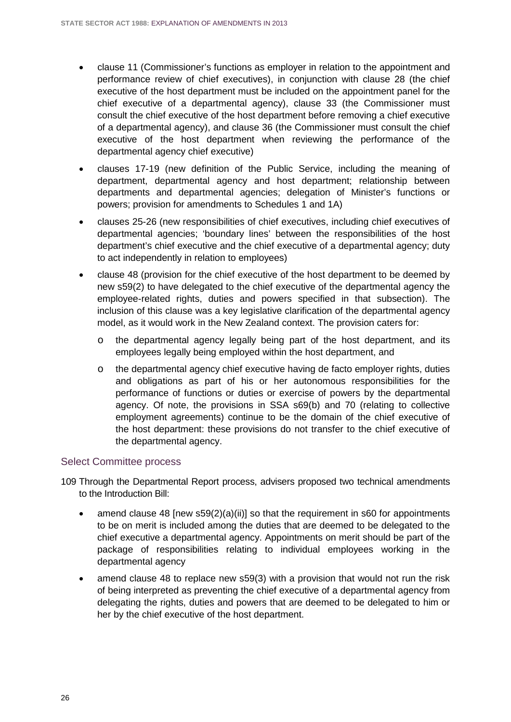- clause 11 (Commissioner's functions as employer in relation to the appointment and performance review of chief executives), in conjunction with clause 28 (the chief executive of the host department must be included on the appointment panel for the chief executive of a departmental agency), clause 33 (the Commissioner must consult the chief executive of the host department before removing a chief executive of a departmental agency), and clause 36 (the Commissioner must consult the chief executive of the host department when reviewing the performance of the departmental agency chief executive)
- clauses 17-19 (new definition of the Public Service, including the meaning of department, departmental agency and host department; relationship between departments and departmental agencies; delegation of Minister's functions or powers; provision for amendments to Schedules 1 and 1A)
- clauses 25-26 (new responsibilities of chief executives, including chief executives of departmental agencies; 'boundary lines' between the responsibilities of the host department's chief executive and the chief executive of a departmental agency; duty to act independently in relation to employees)
- clause 48 (provision for the chief executive of the host department to be deemed by new s59(2) to have delegated to the chief executive of the departmental agency the employee-related rights, duties and powers specified in that subsection). The inclusion of this clause was a key legislative clarification of the departmental agency model, as it would work in the New Zealand context. The provision caters for:
	- o the departmental agency legally being part of the host department, and its employees legally being employed within the host department, and
	- o the departmental agency chief executive having de facto employer rights, duties and obligations as part of his or her autonomous responsibilities for the performance of functions or duties or exercise of powers by the departmental agency. Of note, the provisions in SSA s69(b) and 70 (relating to collective employment agreements) continue to be the domain of the chief executive of the host department: these provisions do not transfer to the chief executive of the departmental agency.

#### Select Committee process

109 Through the Departmental Report process, advisers proposed two technical amendments to the Introduction Bill:

- amend clause 48 [new  $s59(2)(a)(ii)$ ] so that the requirement in s60 for appointments to be on merit is included among the duties that are deemed to be delegated to the chief executive a departmental agency. Appointments on merit should be part of the package of responsibilities relating to individual employees working in the departmental agency
- amend clause 48 to replace new s59(3) with a provision that would not run the risk of being interpreted as preventing the chief executive of a departmental agency from delegating the rights, duties and powers that are deemed to be delegated to him or her by the chief executive of the host department.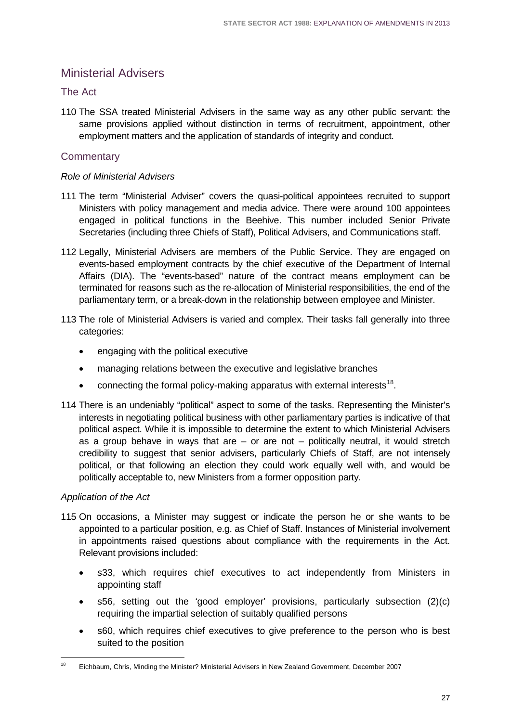## <span id="page-30-0"></span>Ministerial Advisers

#### The Act

110 The SSA treated Ministerial Advisers in the same way as any other public servant: the same provisions applied without distinction in terms of recruitment, appointment, other employment matters and the application of standards of integrity and conduct.

#### **Commentary**

#### *Role of Ministerial Advisers*

- 111 The term "Ministerial Adviser" covers the quasi-political appointees recruited to support Ministers with policy management and media advice. There were around 100 appointees engaged in political functions in the Beehive. This number included Senior Private Secretaries (including three Chiefs of Staff), Political Advisers, and Communications staff.
- 112 Legally, Ministerial Advisers are members of the Public Service. They are engaged on events-based employment contracts by the chief executive of the Department of Internal Affairs (DIA). The "events-based" nature of the contract means employment can be terminated for reasons such as the re-allocation of Ministerial responsibilities, the end of the parliamentary term, or a break-down in the relationship between employee and Minister.
- 113 The role of Ministerial Advisers is varied and complex. Their tasks fall generally into three categories:
	- engaging with the political executive
	- managing relations between the executive and legislative branches
	- connecting the formal policy-making apparatus with external interests $18$ .
- 114 There is an undeniably "political" aspect to some of the tasks. Representing the Minister's interests in negotiating political business with other parliamentary parties is indicative of that political aspect. While it is impossible to determine the extent to which Ministerial Advisers as a group behave in ways that are  $-$  or are not  $-$  politically neutral, it would stretch credibility to suggest that senior advisers, particularly Chiefs of Staff, are not intensely political, or that following an election they could work equally well with, and would be politically acceptable to, new Ministers from a former opposition party.

#### *Application of the Act*

- 115 On occasions, a Minister may suggest or indicate the person he or she wants to be appointed to a particular position, e.g. as Chief of Staff. Instances of Ministerial involvement in appointments raised questions about compliance with the requirements in the Act. Relevant provisions included:
	- s33, which requires chief executives to act independently from Ministers in appointing staff
	- s56, setting out the 'good employer' provisions, particularly subsection (2)(c) requiring the impartial selection of suitably qualified persons
	- s60, which requires chief executives to give preference to the person who is best suited to the position

<span id="page-30-1"></span><sup>18</sup> Eichbaum, Chris, Minding the Minister? Ministerial Advisers in New Zealand Government, December 2007 18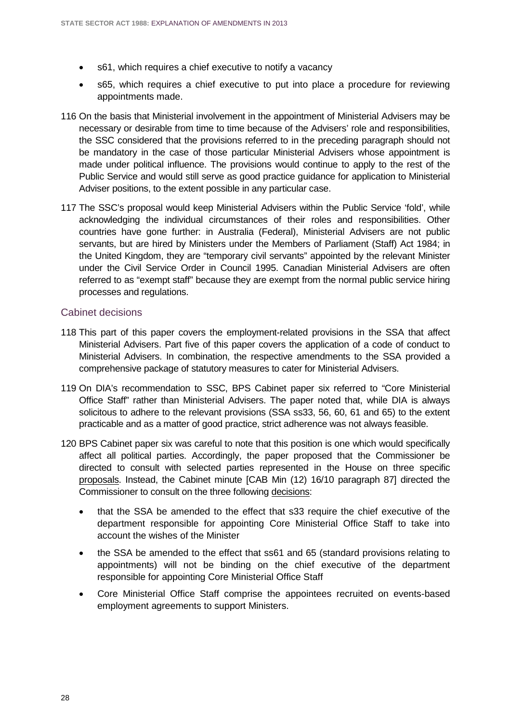- s61, which requires a chief executive to notify a vacancy
- s65, which requires a chief executive to put into place a procedure for reviewing appointments made.
- 116 On the basis that Ministerial involvement in the appointment of Ministerial Advisers may be necessary or desirable from time to time because of the Advisers' role and responsibilities, the SSC considered that the provisions referred to in the preceding paragraph should not be mandatory in the case of those particular Ministerial Advisers whose appointment is made under political influence. The provisions would continue to apply to the rest of the Public Service and would still serve as good practice guidance for application to Ministerial Adviser positions, to the extent possible in any particular case.
- 117 The SSC's proposal would keep Ministerial Advisers within the Public Service 'fold', while acknowledging the individual circumstances of their roles and responsibilities. Other countries have gone further: in Australia (Federal), Ministerial Advisers are not public servants, but are hired by Ministers under the Members of Parliament (Staff) Act 1984; in the United Kingdom, they are "temporary civil servants" appointed by the relevant Minister under the Civil Service Order in Council 1995. Canadian Ministerial Advisers are often referred to as "exempt staff" because they are exempt from the normal public service hiring processes and regulations.

#### Cabinet decisions

- 118 This part of this paper covers the employment-related provisions in the SSA that affect Ministerial Advisers. Part five of this paper covers the application of a code of conduct to Ministerial Advisers. In combination, the respective amendments to the SSA provided a comprehensive package of statutory measures to cater for Ministerial Advisers.
- 119 On DIA's recommendation to SSC, BPS Cabinet paper six referred to "Core Ministerial Office Staff" rather than Ministerial Advisers. The paper noted that, while DIA is always solicitous to adhere to the relevant provisions (SSA ss33, 56, 60, 61 and 65) to the extent practicable and as a matter of good practice, strict adherence was not always feasible.
- 120 BPS Cabinet paper six was careful to note that this position is one which would specifically affect all political parties. Accordingly, the paper proposed that the Commissioner be directed to consult with selected parties represented in the House on three specific proposals. Instead, the Cabinet minute [CAB Min (12) 16/10 paragraph 87] directed the Commissioner to consult on the three following decisions:
	- that the SSA be amended to the effect that s33 require the chief executive of the department responsible for appointing Core Ministerial Office Staff to take into account the wishes of the Minister
	- the SSA be amended to the effect that ss61 and 65 (standard provisions relating to appointments) will not be binding on the chief executive of the department responsible for appointing Core Ministerial Office Staff
	- Core Ministerial Office Staff comprise the appointees recruited on events-based employment agreements to support Ministers.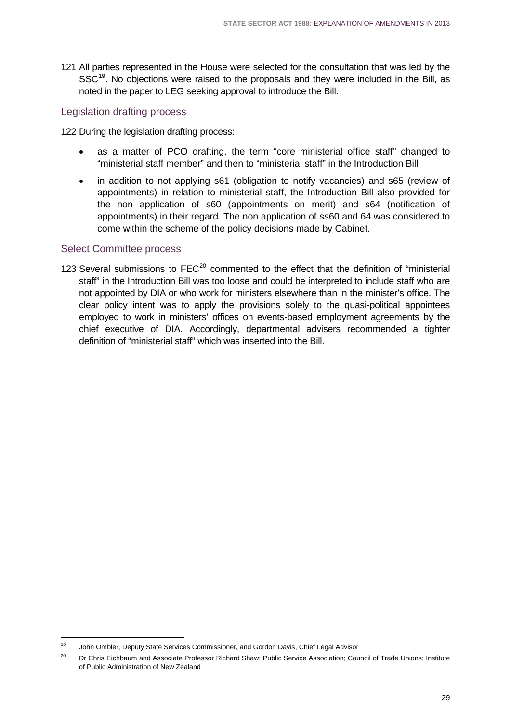121 All parties represented in the House were selected for the consultation that was led by the SSC<sup>19</sup>. No objections were raised to the proposals and they were included in the Bill, as noted in the paper to LEG seeking approval to introduce the Bill.

#### Legislation drafting process

122 During the legislation drafting process:

- as a matter of PCO drafting, the term "core ministerial office staff" changed to "ministerial staff member" and then to "ministerial staff" in the Introduction Bill
- in addition to not applying s61 (obligation to notify vacancies) and s65 (review of appointments) in relation to ministerial staff, the Introduction Bill also provided for the non application of s60 (appointments on merit) and s64 (notification of appointments) in their regard. The non application of ss60 and 64 was considered to come within the scheme of the policy decisions made by Cabinet.

#### Select Committee process

123 Several submissions to  $FEC^{20}$  $FEC^{20}$  $FEC^{20}$  commented to the effect that the definition of "ministerial staff" in the Introduction Bill was too loose and could be interpreted to include staff who are not appointed by DIA or who work for ministers elsewhere than in the minister's office. The clear policy intent was to apply the provisions solely to the quasi-political appointees employed to work in ministers' offices on events-based employment agreements by the chief executive of DIA. Accordingly, departmental advisers recommended a tighter definition of "ministerial staff" which was inserted into the Bill.

<sup>19</sup> John Ombler, Deputy State Services Commissioner, and Gordon Davis, Chief Legal Advisor 19

<span id="page-32-1"></span><span id="page-32-0"></span><sup>&</sup>lt;sup>20</sup> Dr Chris Eichbaum and Associate Professor Richard Shaw; Public Service Association; Council of Trade Unions; Institute of Public Administration of New Zealand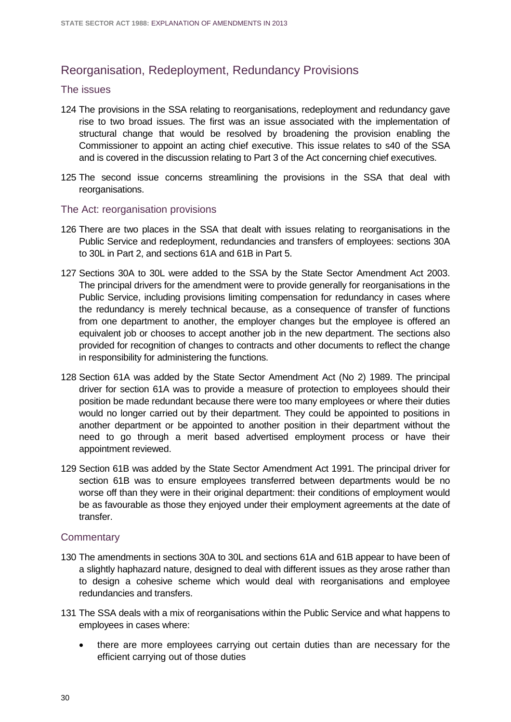### <span id="page-33-0"></span>Reorganisation, Redeployment, Redundancy Provisions

#### The issues

- 124 The provisions in the SSA relating to reorganisations, redeployment and redundancy gave rise to two broad issues. The first was an issue associated with the implementation of structural change that would be resolved by broadening the provision enabling the Commissioner to appoint an acting chief executive. This issue relates to s40 of the SSA and is covered in the discussion relating to Part 3 of the Act concerning chief executives.
- 125 The second issue concerns streamlining the provisions in the SSA that deal with reorganisations.

#### The Act: reorganisation provisions

- 126 There are two places in the SSA that dealt with issues relating to reorganisations in the Public Service and redeployment, redundancies and transfers of employees: sections 30A to 30L in Part 2, and sections 61A and 61B in Part 5.
- 127 Sections 30A to 30L were added to the SSA by the State Sector Amendment Act 2003. The principal drivers for the amendment were to provide generally for reorganisations in the Public Service, including provisions limiting compensation for redundancy in cases where the redundancy is merely technical because, as a consequence of transfer of functions from one department to another, the employer changes but the employee is offered an equivalent job or chooses to accept another job in the new department. The sections also provided for recognition of changes to contracts and other documents to reflect the change in responsibility for administering the functions.
- 128 Section 61A was added by the State Sector Amendment Act (No 2) 1989. The principal driver for section 61A was to provide a measure of protection to employees should their position be made redundant because there were too many employees or where their duties would no longer carried out by their department. They could be appointed to positions in another department or be appointed to another position in their department without the need to go through a merit based advertised employment process or have their appointment reviewed.
- 129 Section 61B was added by the State Sector Amendment Act 1991. The principal driver for section 61B was to ensure employees transferred between departments would be no worse off than they were in their original department: their conditions of employment would be as favourable as those they enjoyed under their employment agreements at the date of transfer.

#### **Commentary**

- 130 The amendments in sections 30A to 30L and sections 61A and 61B appear to have been of a slightly haphazard nature, designed to deal with different issues as they arose rather than to design a cohesive scheme which would deal with reorganisations and employee redundancies and transfers.
- 131 The SSA deals with a mix of reorganisations within the Public Service and what happens to employees in cases where:
	- there are more employees carrying out certain duties than are necessary for the efficient carrying out of those duties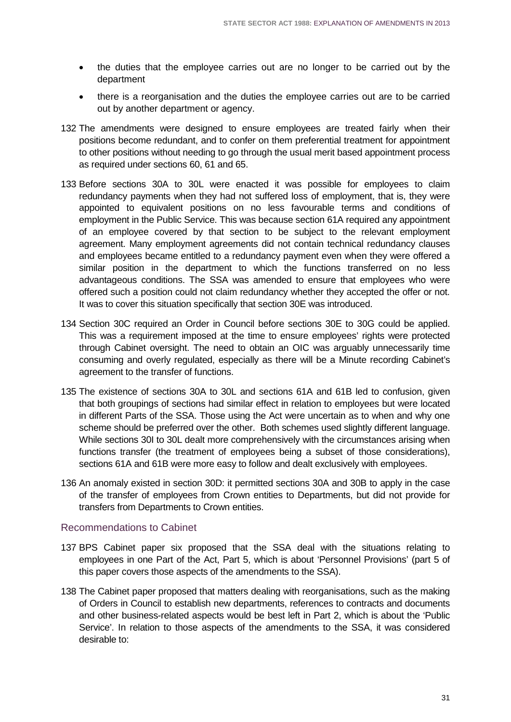- the duties that the employee carries out are no longer to be carried out by the department
- there is a reorganisation and the duties the employee carries out are to be carried out by another department or agency.
- 132 The amendments were designed to ensure employees are treated fairly when their positions become redundant, and to confer on them preferential treatment for appointment to other positions without needing to go through the usual merit based appointment process as required under sections 60, 61 and 65.
- 133 Before sections 30A to 30L were enacted it was possible for employees to claim redundancy payments when they had not suffered loss of employment, that is, they were appointed to equivalent positions on no less favourable terms and conditions of employment in the Public Service. This was because section 61A required any appointment of an employee covered by that section to be subject to the relevant employment agreement. Many employment agreements did not contain technical redundancy clauses and employees became entitled to a redundancy payment even when they were offered a similar position in the department to which the functions transferred on no less advantageous conditions. The SSA was amended to ensure that employees who were offered such a position could not claim redundancy whether they accepted the offer or not. It was to cover this situation specifically that section 30E was introduced.
- 134 Section 30C required an Order in Council before sections 30E to 30G could be applied. This was a requirement imposed at the time to ensure employees' rights were protected through Cabinet oversight. The need to obtain an OIC was arguably unnecessarily time consuming and overly regulated, especially as there will be a Minute recording Cabinet's agreement to the transfer of functions.
- 135 The existence of sections 30A to 30L and sections 61A and 61B led to confusion, given that both groupings of sections had similar effect in relation to employees but were located in different Parts of the SSA. Those using the Act were uncertain as to when and why one scheme should be preferred over the other. Both schemes used slightly different language. While sections 30I to 30L dealt more comprehensively with the circumstances arising when functions transfer (the treatment of employees being a subset of those considerations), sections 61A and 61B were more easy to follow and dealt exclusively with employees.
- 136 An anomaly existed in section 30D: it permitted sections 30A and 30B to apply in the case of the transfer of employees from Crown entities to Departments, but did not provide for transfers from Departments to Crown entities.

#### Recommendations to Cabinet

- 137 BPS Cabinet paper six proposed that the SSA deal with the situations relating to employees in one Part of the Act, Part 5, which is about 'Personnel Provisions' (part 5 of this paper covers those aspects of the amendments to the SSA).
- 138 The Cabinet paper proposed that matters dealing with reorganisations, such as the making of Orders in Council to establish new departments, references to contracts and documents and other business-related aspects would be best left in Part 2, which is about the 'Public Service'. In relation to those aspects of the amendments to the SSA, it was considered desirable to: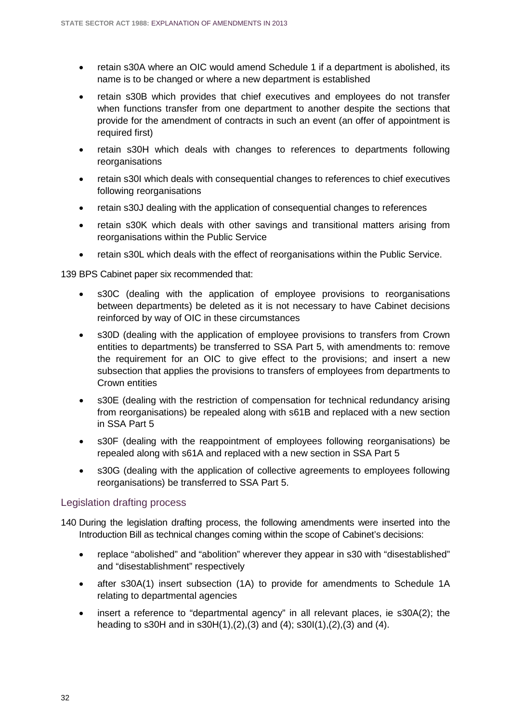- retain s30A where an OIC would amend Schedule 1 if a department is abolished, its name is to be changed or where a new department is established
- retain s30B which provides that chief executives and employees do not transfer when functions transfer from one department to another despite the sections that provide for the amendment of contracts in such an event (an offer of appointment is required first)
- retain s30H which deals with changes to references to departments following reorganisations
- retain s30I which deals with consequential changes to references to chief executives following reorganisations
- retain s30J dealing with the application of consequential changes to references
- retain s30K which deals with other savings and transitional matters arising from reorganisations within the Public Service
- retain s30L which deals with the effect of reorganisations within the Public Service.

139 BPS Cabinet paper six recommended that:

- s30C (dealing with the application of employee provisions to reorganisations between departments) be deleted as it is not necessary to have Cabinet decisions reinforced by way of OIC in these circumstances
- s30D (dealing with the application of employee provisions to transfers from Crown entities to departments) be transferred to SSA Part 5, with amendments to: remove the requirement for an OIC to give effect to the provisions; and insert a new subsection that applies the provisions to transfers of employees from departments to Crown entities
- s30E (dealing with the restriction of compensation for technical redundancy arising from reorganisations) be repealed along with s61B and replaced with a new section in SSA Part 5
- s30F (dealing with the reappointment of employees following reorganisations) be repealed along with s61A and replaced with a new section in SSA Part 5
- s30G (dealing with the application of collective agreements to employees following reorganisations) be transferred to SSA Part 5.

#### Legislation drafting process

- 140 During the legislation drafting process, the following amendments were inserted into the Introduction Bill as technical changes coming within the scope of Cabinet's decisions:
	- replace "abolished" and "abolition" wherever they appear in s30 with "disestablished" and "disestablishment" respectively
	- after s30A(1) insert subsection (1A) to provide for amendments to Schedule 1A relating to departmental agencies
	- insert a reference to "departmental agency" in all relevant places, ie s30A(2); the heading to s30H and in s30H(1),(2),(3) and (4); s30I(1),(2),(3) and (4).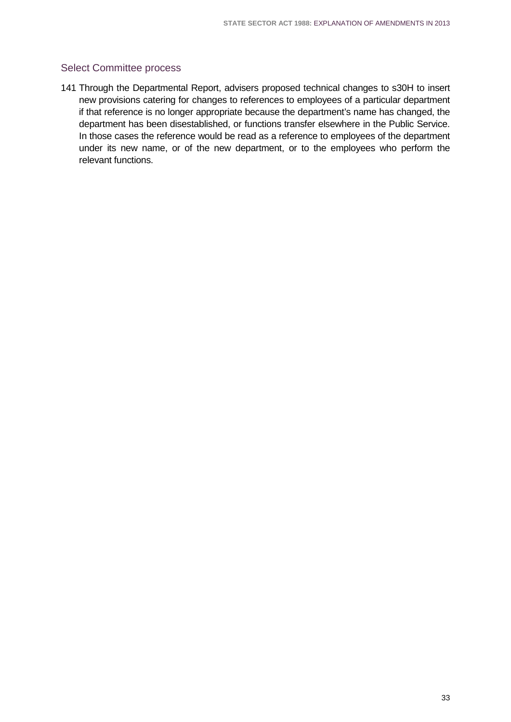### Select Committee process

141 Through the Departmental Report, advisers proposed technical changes to s30H to insert new provisions catering for changes to references to employees of a particular department if that reference is no longer appropriate because the department's name has changed, the department has been disestablished, or functions transfer elsewhere in the Public Service. In those cases the reference would be read as a reference to employees of the department under its new name, or of the new department, or to the employees who perform the relevant functions.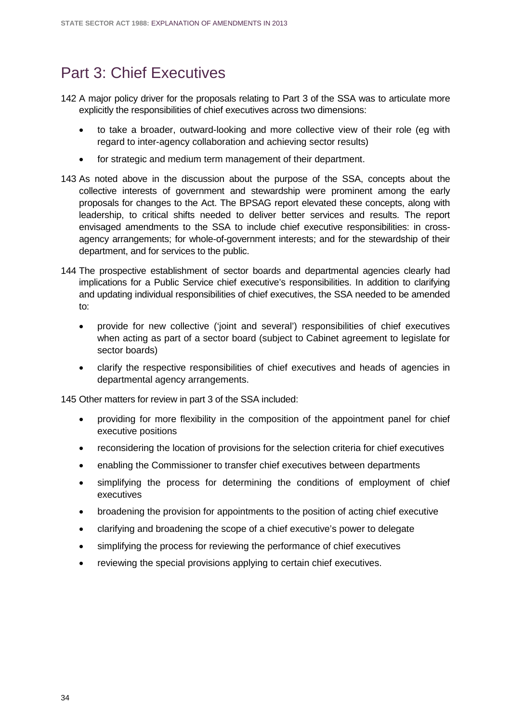# Part 3: Chief Executives

- 142 A major policy driver for the proposals relating to Part 3 of the SSA was to articulate more explicitly the responsibilities of chief executives across two dimensions:
	- to take a broader, outward-looking and more collective view of their role (eg with regard to inter-agency collaboration and achieving sector results)
	- for strategic and medium term management of their department.
- 143 As noted above in the discussion about the purpose of the SSA, concepts about the collective interests of government and stewardship were prominent among the early proposals for changes to the Act. The BPSAG report elevated these concepts, along with leadership, to critical shifts needed to deliver better services and results. The report envisaged amendments to the SSA to include chief executive responsibilities: in crossagency arrangements; for whole-of-government interests; and for the stewardship of their department, and for services to the public.
- 144 The prospective establishment of sector boards and departmental agencies clearly had implications for a Public Service chief executive's responsibilities. In addition to clarifying and updating individual responsibilities of chief executives, the SSA needed to be amended to:
	- provide for new collective ('joint and several') responsibilities of chief executives when acting as part of a sector board (subject to Cabinet agreement to legislate for sector boards)
	- clarify the respective responsibilities of chief executives and heads of agencies in departmental agency arrangements.

145 Other matters for review in part 3 of the SSA included:

- providing for more flexibility in the composition of the appointment panel for chief executive positions
- reconsidering the location of provisions for the selection criteria for chief executives
- enabling the Commissioner to transfer chief executives between departments
- simplifying the process for determining the conditions of employment of chief executives
- broadening the provision for appointments to the position of acting chief executive
- clarifying and broadening the scope of a chief executive's power to delegate
- simplifying the process for reviewing the performance of chief executives
- reviewing the special provisions applying to certain chief executives.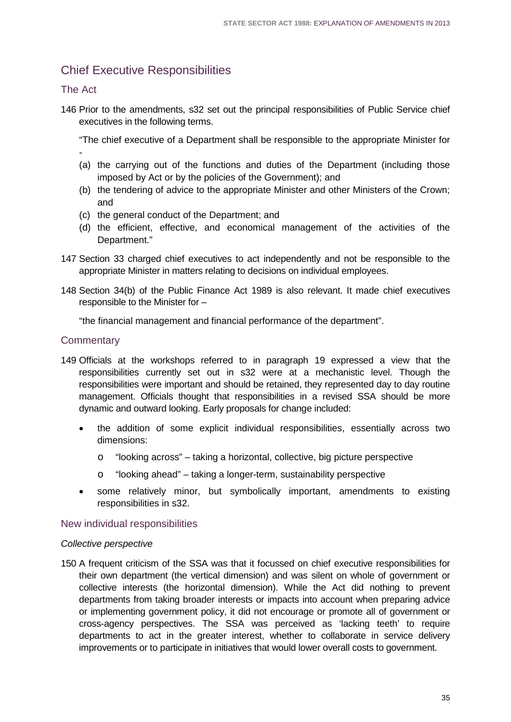# Chief Executive Responsibilities

### The Act

146 Prior to the amendments, s32 set out the principal responsibilities of Public Service chief executives in the following terms.

"The chief executive of a Department shall be responsible to the appropriate Minister for -

- (a) the carrying out of the functions and duties of the Department (including those imposed by Act or by the policies of the Government); and
- (b) the tendering of advice to the appropriate Minister and other Ministers of the Crown; and
- (c) the general conduct of the Department; and
- (d) the efficient, effective, and economical management of the activities of the Department."
- 147 Section 33 charged chief executives to act independently and not be responsible to the appropriate Minister in matters relating to decisions on individual employees.
- 148 Section 34(b) of the Public Finance Act 1989 is also relevant. It made chief executives responsible to the Minister for –

"the financial management and financial performance of the department".

### **Commentary**

- 149 Officials at the workshops referred to in paragraph 19 expressed a view that the responsibilities currently set out in s32 were at a mechanistic level. Though the responsibilities were important and should be retained, they represented day to day routine management. Officials thought that responsibilities in a revised SSA should be more dynamic and outward looking. Early proposals for change included:
	- the addition of some explicit individual responsibilities, essentially across two dimensions:
		- o "looking across" taking a horizontal, collective, big picture perspective
		- o "looking ahead" taking a longer-term, sustainability perspective
	- some relatively minor, but symbolically important, amendments to existing responsibilities in s32.

#### New individual responsibilities

#### *Collective perspective*

150 A frequent criticism of the SSA was that it focussed on chief executive responsibilities for their own department (the vertical dimension) and was silent on whole of government or collective interests (the horizontal dimension). While the Act did nothing to prevent departments from taking broader interests or impacts into account when preparing advice or implementing government policy, it did not encourage or promote all of government or cross-agency perspectives. The SSA was perceived as 'lacking teeth' to require departments to act in the greater interest, whether to collaborate in service delivery improvements or to participate in initiatives that would lower overall costs to government.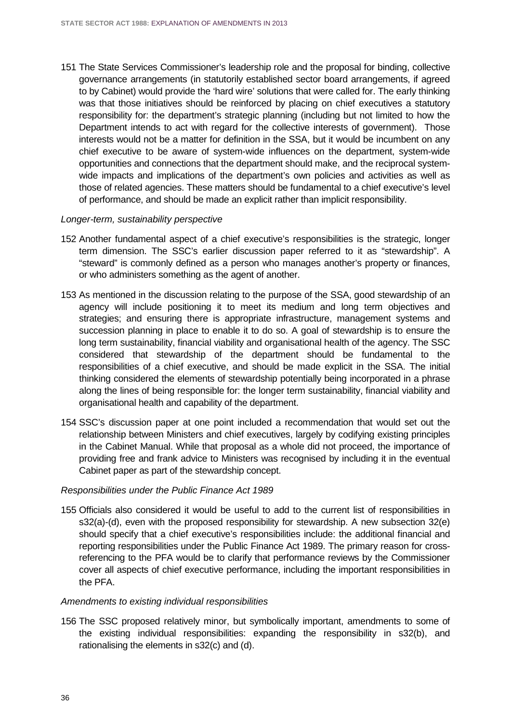151 The State Services Commissioner's leadership role and the proposal for binding, collective governance arrangements (in statutorily established sector board arrangements, if agreed to by Cabinet) would provide the 'hard wire' solutions that were called for. The early thinking was that those initiatives should be reinforced by placing on chief executives a statutory responsibility for: the department's strategic planning (including but not limited to how the Department intends to act with regard for the collective interests of government). Those interests would not be a matter for definition in the SSA, but it would be incumbent on any chief executive to be aware of system-wide influences on the department, system-wide opportunities and connections that the department should make, and the reciprocal systemwide impacts and implications of the department's own policies and activities as well as those of related agencies. These matters should be fundamental to a chief executive's level of performance, and should be made an explicit rather than implicit responsibility.

#### *Longer-term, sustainability perspective*

- 152 Another fundamental aspect of a chief executive's responsibilities is the strategic, longer term dimension. The SSC's earlier discussion paper referred to it as "stewardship". A "steward" is commonly defined as a person who manages another's property or finances, or who administers something as the agent of another.
- 153 As mentioned in the discussion relating to the purpose of the SSA, good stewardship of an agency will include positioning it to meet its medium and long term objectives and strategies; and ensuring there is appropriate infrastructure, management systems and succession planning in place to enable it to do so. A goal of stewardship is to ensure the long term sustainability, financial viability and organisational health of the agency. The SSC considered that stewardship of the department should be fundamental to the responsibilities of a chief executive, and should be made explicit in the SSA. The initial thinking considered the elements of stewardship potentially being incorporated in a phrase along the lines of being responsible for: the longer term sustainability, financial viability and organisational health and capability of the department.
- 154 SSC's discussion paper at one point included a recommendation that would set out the relationship between Ministers and chief executives, largely by codifying existing principles in the Cabinet Manual. While that proposal as a whole did not proceed, the importance of providing free and frank advice to Ministers was recognised by including it in the eventual Cabinet paper as part of the stewardship concept.

#### *Responsibilities under the Public Finance Act 1989*

155 Officials also considered it would be useful to add to the current list of responsibilities in s32(a)-(d), even with the proposed responsibility for stewardship. A new subsection 32(e) should specify that a chief executive's responsibilities include: the additional financial and reporting responsibilities under the Public Finance Act 1989. The primary reason for crossreferencing to the PFA would be to clarify that performance reviews by the Commissioner cover all aspects of chief executive performance, including the important responsibilities in the PFA.

#### *Amendments to existing individual responsibilities*

156 The SSC proposed relatively minor, but symbolically important, amendments to some of the existing individual responsibilities: expanding the responsibility in s32(b), and rationalising the elements in s32(c) and (d).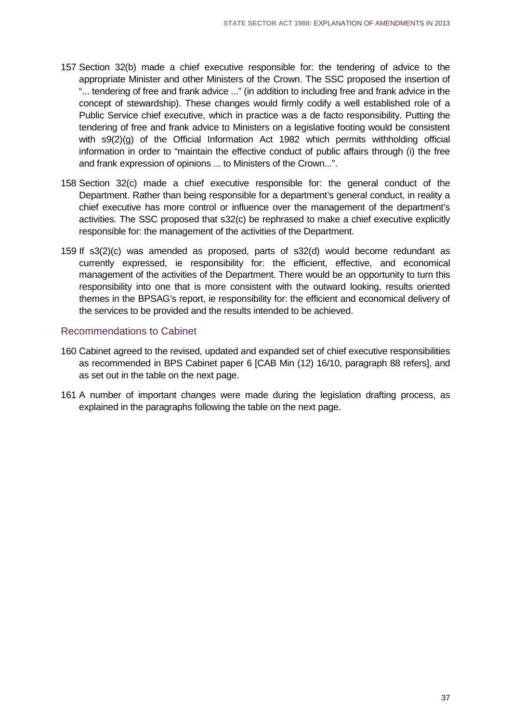- 157 Section 32(b) made a chief executive responsible for: the tendering of advice to the appropriate Minister and other Ministers of the Crown. The SSC proposed the insertion of "... tendering of free and frank advice ..." (in addition to including free and frank advice in the concept of stewardship). These changes would firmly codify a well established role of a Public Service chief executive, which in practice was a de facto responsibility. Putting the tendering of free and frank advice to Ministers on a legislative footing would be consistent with s9(2)(g) of the Official Information Act 1982 which permits withholding official information in order to "maintain the effective conduct of public affairs through (i) the free and frank expression of opinions ... to Ministers of the Crown...".
- 158 Section 32(c) made a chief executive responsible for: the general conduct of the Department. Rather than being responsible for a department's general conduct, in reality a chief executive has more control or influence over the management of the department's activities. The SSC proposed that s32(c) be rephrased to make a chief executive explicitly responsible for: the management of the activities of the Department.
- 159 If s3(2)(c) was amended as proposed, parts of s32(d) would become redundant as currently expressed, ie responsibility for: the efficient, effective, and economical management of the activities of the Department. There would be an opportunity to turn this responsibility into one that is more consistent with the outward looking, results oriented themes in the BPSAG's report, ie responsibility for: the efficient and economical delivery of the services to be provided and the results intended to be achieved.

#### Recommendations to Cabinet

- 160 Cabinet agreed to the revised, updated and expanded set of chief executive responsibilities as recommended in BPS Cabinet paper 6 [CAB Min (12) 16/10, paragraph 88 refers], and as set out in the table on the next page.
- 161 A number of important changes were made during the legislation drafting process, as explained in the paragraphs following the table on the next page.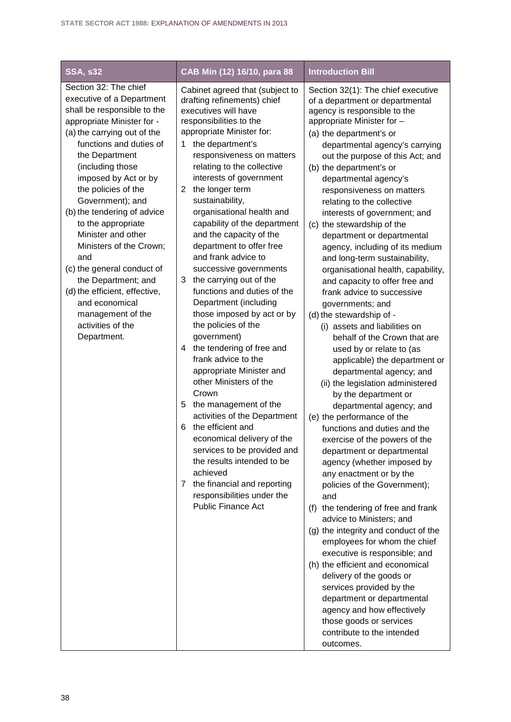| <b>SSA, s32</b>                                                                                                                                                                                                                                                                                                                                                                                                                                                                                                                                                  | CAB Min (12) 16/10, para 88                                                                                                                                                                                                                                                                                                                                                                                                                                                                                                                                                                                                                                                                                                                                                                                                                                                                                                                                                                                                                                               | <b>Introduction Bill</b>                                                                                                                                                                                                                                                                                                                                                                                                                                                                                                                                                                                                                                                                                                                                                                                                                                                                                                                                                                                                                                                                                                                                                                                                                                                                                                                                                                                                                                                                                                                                               |
|------------------------------------------------------------------------------------------------------------------------------------------------------------------------------------------------------------------------------------------------------------------------------------------------------------------------------------------------------------------------------------------------------------------------------------------------------------------------------------------------------------------------------------------------------------------|---------------------------------------------------------------------------------------------------------------------------------------------------------------------------------------------------------------------------------------------------------------------------------------------------------------------------------------------------------------------------------------------------------------------------------------------------------------------------------------------------------------------------------------------------------------------------------------------------------------------------------------------------------------------------------------------------------------------------------------------------------------------------------------------------------------------------------------------------------------------------------------------------------------------------------------------------------------------------------------------------------------------------------------------------------------------------|------------------------------------------------------------------------------------------------------------------------------------------------------------------------------------------------------------------------------------------------------------------------------------------------------------------------------------------------------------------------------------------------------------------------------------------------------------------------------------------------------------------------------------------------------------------------------------------------------------------------------------------------------------------------------------------------------------------------------------------------------------------------------------------------------------------------------------------------------------------------------------------------------------------------------------------------------------------------------------------------------------------------------------------------------------------------------------------------------------------------------------------------------------------------------------------------------------------------------------------------------------------------------------------------------------------------------------------------------------------------------------------------------------------------------------------------------------------------------------------------------------------------------------------------------------------------|
| Section 32: The chief<br>executive of a Department<br>shall be responsible to the<br>appropriate Minister for -<br>(a) the carrying out of the<br>functions and duties of<br>the Department<br>(including those<br>imposed by Act or by<br>the policies of the<br>Government); and<br>(b) the tendering of advice<br>to the appropriate<br>Minister and other<br>Ministers of the Crown;<br>and<br>(c) the general conduct of<br>the Department; and<br>(d) the efficient, effective,<br>and economical<br>management of the<br>activities of the<br>Department. | Cabinet agreed that (subject to<br>drafting refinements) chief<br>executives will have<br>responsibilities to the<br>appropriate Minister for:<br>the department's<br>1<br>responsiveness on matters<br>relating to the collective<br>interests of government<br>the longer term<br>2<br>sustainability,<br>organisational health and<br>capability of the department<br>and the capacity of the<br>department to offer free<br>and frank advice to<br>successive governments<br>the carrying out of the<br>3<br>functions and duties of the<br>Department (including<br>those imposed by act or by<br>the policies of the<br>government)<br>the tendering of free and<br>4<br>frank advice to the<br>appropriate Minister and<br>other Ministers of the<br>Crown<br>the management of the<br>5<br>activities of the Department<br>the efficient and<br>6<br>economical delivery of the<br>services to be provided and<br>the results intended to be<br>achieved<br>the financial and reporting<br>$7^{\circ}$<br>responsibilities under the<br><b>Public Finance Act</b> | Section 32(1): The chief executive<br>of a department or departmental<br>agency is responsible to the<br>appropriate Minister for -<br>(a) the department's or<br>departmental agency's carrying<br>out the purpose of this Act; and<br>(b) the department's or<br>departmental agency's<br>responsiveness on matters<br>relating to the collective<br>interests of government; and<br>(c) the stewardship of the<br>department or departmental<br>agency, including of its medium<br>and long-term sustainability,<br>organisational health, capability,<br>and capacity to offer free and<br>frank advice to successive<br>governments; and<br>(d) the stewardship of -<br>(i) assets and liabilities on<br>behalf of the Crown that are<br>used by or relate to (as<br>applicable) the department or<br>departmental agency; and<br>(ii) the legislation administered<br>by the department or<br>departmental agency; and<br>(e) the performance of the<br>functions and duties and the<br>exercise of the powers of the<br>department or departmental<br>agency (whether imposed by<br>any enactment or by the<br>policies of the Government);<br>and<br>the tendering of free and frank<br>(f)<br>advice to Ministers; and<br>(g) the integrity and conduct of the<br>employees for whom the chief<br>executive is responsible; and<br>(h) the efficient and economical<br>delivery of the goods or<br>services provided by the<br>department or departmental<br>agency and how effectively<br>those goods or services<br>contribute to the intended<br>outcomes. |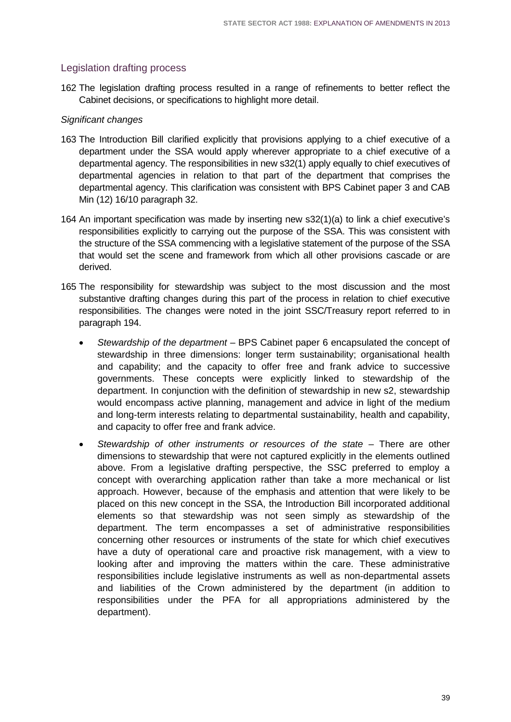### Legislation drafting process

162 The legislation drafting process resulted in a range of refinements to better reflect the Cabinet decisions, or specifications to highlight more detail.

#### *Significant changes*

- 163 The Introduction Bill clarified explicitly that provisions applying to a chief executive of a department under the SSA would apply wherever appropriate to a chief executive of a departmental agency. The responsibilities in new s32(1) apply equally to chief executives of departmental agencies in relation to that part of the department that comprises the departmental agency. This clarification was consistent with BPS Cabinet paper 3 and CAB Min (12) 16/10 paragraph 32.
- 164 An important specification was made by inserting new s32(1)(a) to link a chief executive's responsibilities explicitly to carrying out the purpose of the SSA. This was consistent with the structure of the SSA commencing with a legislative statement of the purpose of the SSA that would set the scene and framework from which all other provisions cascade or are derived.
- 165 The responsibility for stewardship was subject to the most discussion and the most substantive drafting changes during this part of the process in relation to chief executive responsibilities. The changes were noted in the joint SSC/Treasury report referred to in paragraph 194.
	- *Stewardship of the department* BPS Cabinet paper 6 encapsulated the concept of stewardship in three dimensions: longer term sustainability; organisational health and capability; and the capacity to offer free and frank advice to successive governments. These concepts were explicitly linked to stewardship of the department. In conjunction with the definition of stewardship in new s2, stewardship would encompass active planning, management and advice in light of the medium and long-term interests relating to departmental sustainability, health and capability, and capacity to offer free and frank advice.
	- *Stewardship of other instruments or resources of the state* There are other dimensions to stewardship that were not captured explicitly in the elements outlined above. From a legislative drafting perspective, the SSC preferred to employ a concept with overarching application rather than take a more mechanical or list approach. However, because of the emphasis and attention that were likely to be placed on this new concept in the SSA, the Introduction Bill incorporated additional elements so that stewardship was not seen simply as stewardship of the department. The term encompasses a set of administrative responsibilities concerning other resources or instruments of the state for which chief executives have a duty of operational care and proactive risk management, with a view to looking after and improving the matters within the care. These administrative responsibilities include legislative instruments as well as non-departmental assets and liabilities of the Crown administered by the department (in addition to responsibilities under the PFA for all appropriations administered by the department).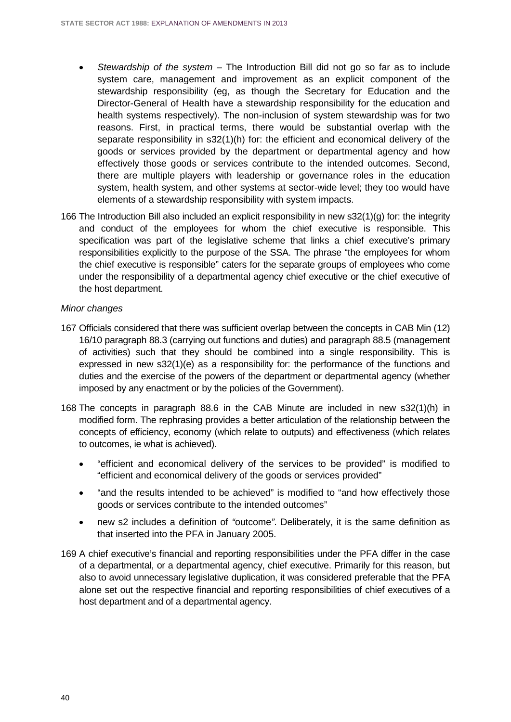- *Stewardship of the system*  The Introduction Bill did not go so far as to include system care, management and improvement as an explicit component of the stewardship responsibility (eg, as though the Secretary for Education and the Director-General of Health have a stewardship responsibility for the education and health systems respectively). The non-inclusion of system stewardship was for two reasons. First, in practical terms, there would be substantial overlap with the separate responsibility in s32(1)(h) for: the efficient and economical delivery of the goods or services provided by the department or departmental agency and how effectively those goods or services contribute to the intended outcomes. Second, there are multiple players with leadership or governance roles in the education system, health system, and other systems at sector-wide level; they too would have elements of a stewardship responsibility with system impacts.
- 166 The Introduction Bill also included an explicit responsibility in new s32(1)(g) for: the integrity and conduct of the employees for whom the chief executive is responsible. This specification was part of the legislative scheme that links a chief executive's primary responsibilities explicitly to the purpose of the SSA. The phrase "the employees for whom the chief executive is responsible" caters for the separate groups of employees who come under the responsibility of a departmental agency chief executive or the chief executive of the host department.

#### *Minor changes*

- 167 Officials considered that there was sufficient overlap between the concepts in CAB Min (12) 16/10 paragraph 88.3 (carrying out functions and duties) and paragraph 88.5 (management of activities) such that they should be combined into a single responsibility. This is expressed in new s32(1)(e) as a responsibility for: the performance of the functions and duties and the exercise of the powers of the department or departmental agency (whether imposed by any enactment or by the policies of the Government).
- 168 The concepts in paragraph 88.6 in the CAB Minute are included in new s32(1)(h) in modified form. The rephrasing provides a better articulation of the relationship between the concepts of efficiency, economy (which relate to outputs) and effectiveness (which relates to outcomes, ie what is achieved).
	- "efficient and economical delivery of the services to be provided" is modified to "efficient and economical delivery of the goods or services provided"
	- "and the results intended to be achieved" is modified to "and how effectively those goods or services contribute to the intended outcomes"
	- new s2 includes a definition of *"*outcome*"*. Deliberately, it is the same definition as that inserted into the PFA in January 2005.
- 169 A chief executive's financial and reporting responsibilities under the PFA differ in the case of a departmental, or a departmental agency, chief executive. Primarily for this reason, but also to avoid unnecessary legislative duplication, it was considered preferable that the PFA alone set out the respective financial and reporting responsibilities of chief executives of a host department and of a departmental agency.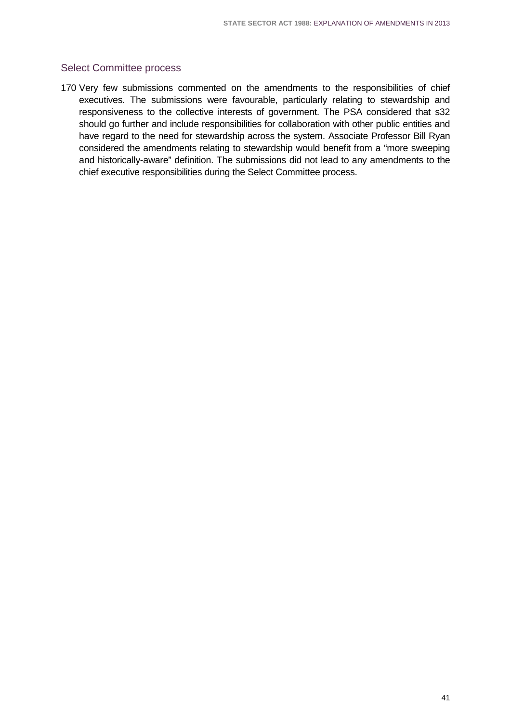### Select Committee process

170 Very few submissions commented on the amendments to the responsibilities of chief executives. The submissions were favourable, particularly relating to stewardship and responsiveness to the collective interests of government. The PSA considered that s32 should go further and include responsibilities for collaboration with other public entities and have regard to the need for stewardship across the system. Associate Professor Bill Ryan considered the amendments relating to stewardship would benefit from a "more sweeping and historically-aware" definition. The submissions did not lead to any amendments to the chief executive responsibilities during the Select Committee process.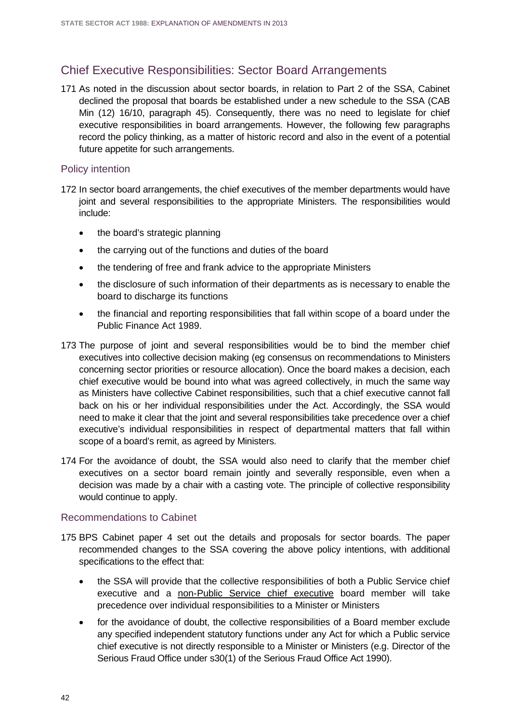## Chief Executive Responsibilities: Sector Board Arrangements

171 As noted in the discussion about sector boards, in relation to Part 2 of the SSA, Cabinet declined the proposal that boards be established under a new schedule to the SSA (CAB Min (12) 16/10, paragraph 45). Consequently, there was no need to legislate for chief executive responsibilities in board arrangements. However, the following few paragraphs record the policy thinking, as a matter of historic record and also in the event of a potential future appetite for such arrangements.

#### Policy intention

- 172 In sector board arrangements, the chief executives of the member departments would have joint and several responsibilities to the appropriate Ministers. The responsibilities would include:
	- the board's strategic planning
	- the carrying out of the functions and duties of the board
	- the tendering of free and frank advice to the appropriate Ministers
	- the disclosure of such information of their departments as is necessary to enable the board to discharge its functions
	- the financial and reporting responsibilities that fall within scope of a board under the Public Finance Act 1989.
- 173 The purpose of joint and several responsibilities would be to bind the member chief executives into collective decision making (eg consensus on recommendations to Ministers concerning sector priorities or resource allocation). Once the board makes a decision, each chief executive would be bound into what was agreed collectively, in much the same way as Ministers have collective Cabinet responsibilities, such that a chief executive cannot fall back on his or her individual responsibilities under the Act. Accordingly, the SSA would need to make it clear that the joint and several responsibilities take precedence over a chief executive's individual responsibilities in respect of departmental matters that fall within scope of a board's remit, as agreed by Ministers.
- 174 For the avoidance of doubt, the SSA would also need to clarify that the member chief executives on a sector board remain jointly and severally responsible, even when a decision was made by a chair with a casting vote. The principle of collective responsibility would continue to apply.

#### Recommendations to Cabinet

- 175 BPS Cabinet paper 4 set out the details and proposals for sector boards. The paper recommended changes to the SSA covering the above policy intentions, with additional specifications to the effect that:
	- the SSA will provide that the collective responsibilities of both a Public Service chief executive and a non-Public Service chief executive board member will take precedence over individual responsibilities to a Minister or Ministers
	- for the avoidance of doubt, the collective responsibilities of a Board member exclude any specified independent statutory functions under any Act for which a Public service chief executive is not directly responsible to a Minister or Ministers (e.g. Director of the Serious Fraud Office under s30(1) of the Serious Fraud Office Act 1990).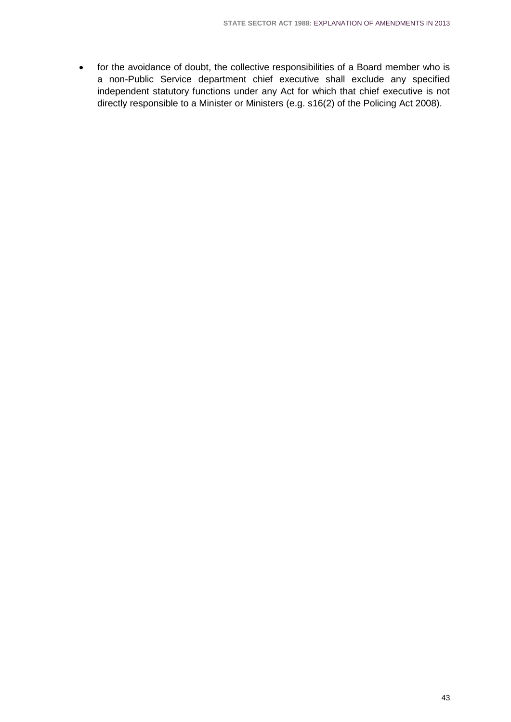• for the avoidance of doubt, the collective responsibilities of a Board member who is a non-Public Service department chief executive shall exclude any specified independent statutory functions under any Act for which that chief executive is not directly responsible to a Minister or Ministers (e.g. s16(2) of the Policing Act 2008).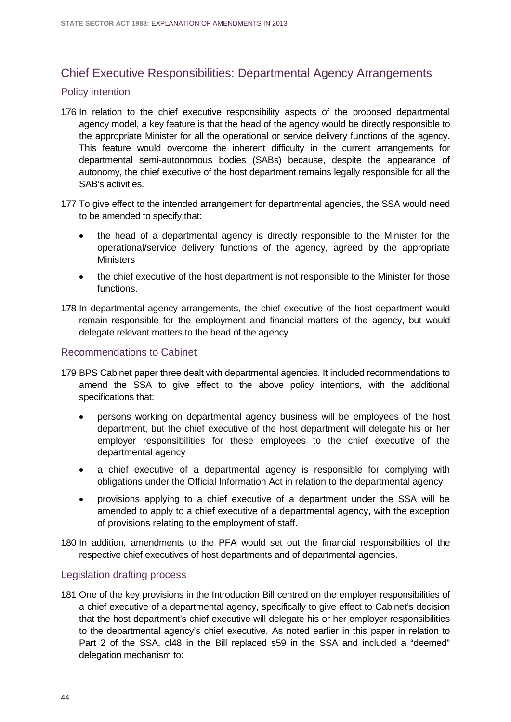# Chief Executive Responsibilities: Departmental Agency Arrangements

#### Policy intention

- 176 In relation to the chief executive responsibility aspects of the proposed departmental agency model, a key feature is that the head of the agency would be directly responsible to the appropriate Minister for all the operational or service delivery functions of the agency. This feature would overcome the inherent difficulty in the current arrangements for departmental semi-autonomous bodies (SABs) because, despite the appearance of autonomy, the chief executive of the host department remains legally responsible for all the SAB's activities.
- 177 To give effect to the intended arrangement for departmental agencies, the SSA would need to be amended to specify that:
	- the head of a departmental agency is directly responsible to the Minister for the operational/service delivery functions of the agency, agreed by the appropriate **Ministers**
	- the chief executive of the host department is not responsible to the Minister for those functions.
- 178 In departmental agency arrangements, the chief executive of the host department would remain responsible for the employment and financial matters of the agency, but would delegate relevant matters to the head of the agency.

#### Recommendations to Cabinet

- 179 BPS Cabinet paper three dealt with departmental agencies. It included recommendations to amend the SSA to give effect to the above policy intentions, with the additional specifications that:
	- persons working on departmental agency business will be employees of the host department, but the chief executive of the host department will delegate his or her employer responsibilities for these employees to the chief executive of the departmental agency
	- a chief executive of a departmental agency is responsible for complying with obligations under the Official Information Act in relation to the departmental agency
	- provisions applying to a chief executive of a department under the SSA will be amended to apply to a chief executive of a departmental agency, with the exception of provisions relating to the employment of staff.
- 180 In addition, amendments to the PFA would set out the financial responsibilities of the respective chief executives of host departments and of departmental agencies.

#### Legislation drafting process

181 One of the key provisions in the Introduction Bill centred on the employer responsibilities of a chief executive of a departmental agency, specifically to give effect to Cabinet's decision that the host department's chief executive will delegate his or her employer responsibilities to the departmental agency's chief executive. As noted earlier in this paper in relation to Part 2 of the SSA, cl48 in the Bill replaced s59 in the SSA and included a "deemed" delegation mechanism to: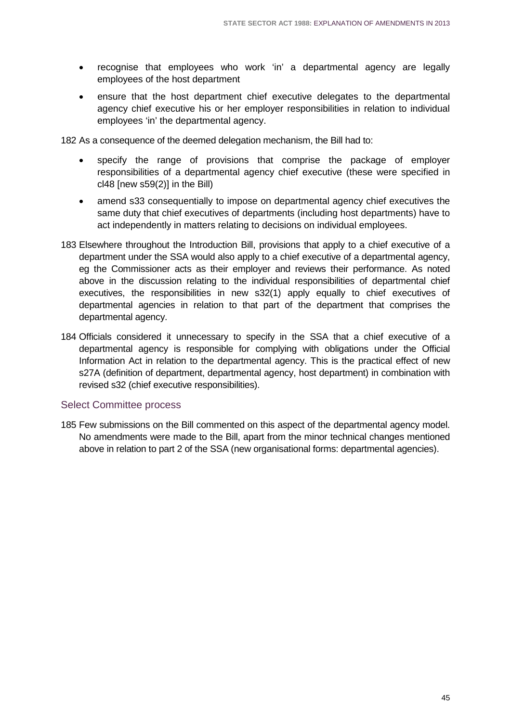- recognise that employees who work 'in' a departmental agency are legally employees of the host department
- ensure that the host department chief executive delegates to the departmental agency chief executive his or her employer responsibilities in relation to individual employees 'in' the departmental agency.

182 As a consequence of the deemed delegation mechanism, the Bill had to:

- specify the range of provisions that comprise the package of employer responsibilities of a departmental agency chief executive (these were specified in cl48 [new s59(2)] in the Bill)
- amend s33 consequentially to impose on departmental agency chief executives the same duty that chief executives of departments (including host departments) have to act independently in matters relating to decisions on individual employees.
- 183 Elsewhere throughout the Introduction Bill, provisions that apply to a chief executive of a department under the SSA would also apply to a chief executive of a departmental agency, eg the Commissioner acts as their employer and reviews their performance. As noted above in the discussion relating to the individual responsibilities of departmental chief executives, the responsibilities in new s32(1) apply equally to chief executives of departmental agencies in relation to that part of the department that comprises the departmental agency.
- 184 Officials considered it unnecessary to specify in the SSA that a chief executive of a departmental agency is responsible for complying with obligations under the Official Information Act in relation to the departmental agency. This is the practical effect of new s27A (definition of department, departmental agency, host department) in combination with revised s32 (chief executive responsibilities).

#### Select Committee process

185 Few submissions on the Bill commented on this aspect of the departmental agency model. No amendments were made to the Bill, apart from the minor technical changes mentioned above in relation to part 2 of the SSA (new organisational forms: departmental agencies).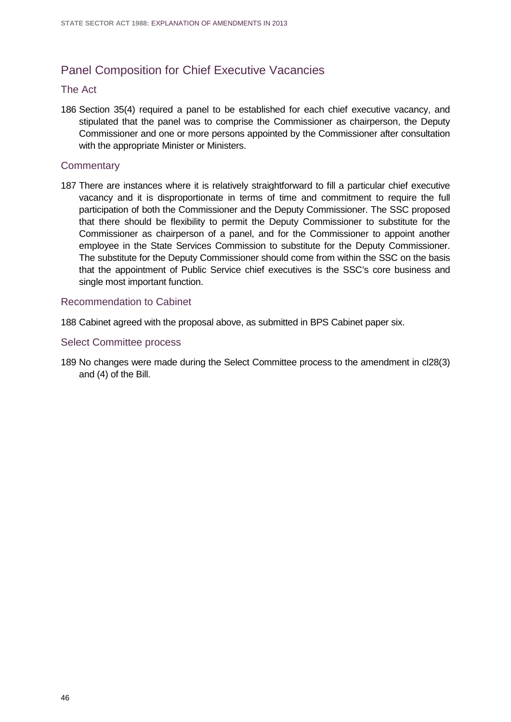# Panel Composition for Chief Executive Vacancies

#### The Act

186 Section 35(4) required a panel to be established for each chief executive vacancy, and stipulated that the panel was to comprise the Commissioner as chairperson, the Deputy Commissioner and one or more persons appointed by the Commissioner after consultation with the appropriate Minister or Ministers.

#### **Commentary**

187 There are instances where it is relatively straightforward to fill a particular chief executive vacancy and it is disproportionate in terms of time and commitment to require the full participation of both the Commissioner and the Deputy Commissioner. The SSC proposed that there should be flexibility to permit the Deputy Commissioner to substitute for the Commissioner as chairperson of a panel, and for the Commissioner to appoint another employee in the State Services Commission to substitute for the Deputy Commissioner. The substitute for the Deputy Commissioner should come from within the SSC on the basis that the appointment of Public Service chief executives is the SSC's core business and single most important function.

#### Recommendation to Cabinet

188 Cabinet agreed with the proposal above, as submitted in BPS Cabinet paper six.

#### Select Committee process

189 No changes were made during the Select Committee process to the amendment in cl28(3) and (4) of the Bill.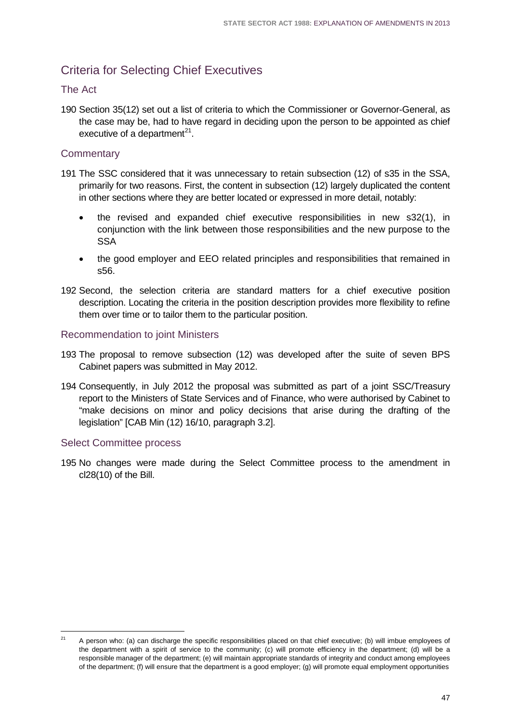# Criteria for Selecting Chief Executives

### The Act

190 Section 35(12) set out a list of criteria to which the Commissioner or Governor-General, as the case may be, had to have regard in deciding upon the person to be appointed as chief executive of a department<sup>[21](#page-50-0)</sup>.

### **Commentary**

- 191 The SSC considered that it was unnecessary to retain subsection (12) of s35 in the SSA, primarily for two reasons. First, the content in subsection (12) largely duplicated the content in other sections where they are better located or expressed in more detail, notably:
	- the revised and expanded chief executive responsibilities in new s32(1), in conjunction with the link between those responsibilities and the new purpose to the **SSA**
	- the good employer and EEO related principles and responsibilities that remained in s56.
- 192 Second, the selection criteria are standard matters for a chief executive position description. Locating the criteria in the position description provides more flexibility to refine them over time or to tailor them to the particular position.

### Recommendation to joint Ministers

- 193 The proposal to remove subsection (12) was developed after the suite of seven BPS Cabinet papers was submitted in May 2012.
- 194 Consequently, in July 2012 the proposal was submitted as part of a joint SSC/Treasury report to the Ministers of State Services and of Finance, who were authorised by Cabinet to "make decisions on minor and policy decisions that arise during the drafting of the legislation" [CAB Min (12) 16/10, paragraph 3.2].

### Select Committee process

195 No changes were made during the Select Committee process to the amendment in cl28(10) of the Bill.

<span id="page-50-0"></span><sup>21</sup> A person who: (a) can discharge the specific responsibilities placed on that chief executive; (b) will imbue employees of the department with a spirit of service to the community; (c) will promote efficiency in the department; (d) will be a responsible manager of the department; (e) will maintain appropriate standards of integrity and conduct among employees of the department; (f) will ensure that the department is a good employer; (g) will promote equal employment opportunities  $21$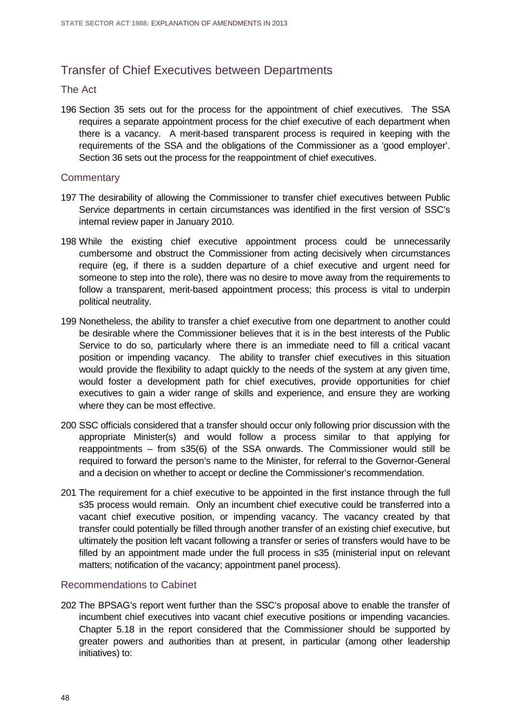# Transfer of Chief Executives between Departments

#### The Act

196 Section 35 sets out for the process for the appointment of chief executives. The SSA requires a separate appointment process for the chief executive of each department when there is a vacancy. A merit-based transparent process is required in keeping with the requirements of the SSA and the obligations of the Commissioner as a 'good employer'. Section 36 sets out the process for the reappointment of chief executives.

#### **Commentary**

- 197 The desirability of allowing the Commissioner to transfer chief executives between Public Service departments in certain circumstances was identified in the first version of SSC's internal review paper in January 2010.
- 198 While the existing chief executive appointment process could be unnecessarily cumbersome and obstruct the Commissioner from acting decisively when circumstances require (eg, if there is a sudden departure of a chief executive and urgent need for someone to step into the role), there was no desire to move away from the requirements to follow a transparent, merit-based appointment process; this process is vital to underpin political neutrality.
- 199 Nonetheless, the ability to transfer a chief executive from one department to another could be desirable where the Commissioner believes that it is in the best interests of the Public Service to do so, particularly where there is an immediate need to fill a critical vacant position or impending vacancy. The ability to transfer chief executives in this situation would provide the flexibility to adapt quickly to the needs of the system at any given time, would foster a development path for chief executives, provide opportunities for chief executives to gain a wider range of skills and experience, and ensure they are working where they can be most effective.
- 200 SSC officials considered that a transfer should occur only following prior discussion with the appropriate Minister(s) and would follow a process similar to that applying for reappointments – from s35(6) of the SSA onwards. The Commissioner would still be required to forward the person's name to the Minister, for referral to the Governor-General and a decision on whether to accept or decline the Commissioner's recommendation.
- 201 The requirement for a chief executive to be appointed in the first instance through the full s35 process would remain. Only an incumbent chief executive could be transferred into a vacant chief executive position, or impending vacancy. The vacancy created by that transfer could potentially be filled through another transfer of an existing chief executive, but ultimately the position left vacant following a transfer or series of transfers would have to be filled by an appointment made under the full process in s35 (ministerial input on relevant matters; notification of the vacancy; appointment panel process).

#### Recommendations to Cabinet

202 The BPSAG's report went further than the SSC's proposal above to enable the transfer of incumbent chief executives into vacant chief executive positions or impending vacancies. Chapter 5.18 in the report considered that the Commissioner should be supported by greater powers and authorities than at present, in particular (among other leadership initiatives) to: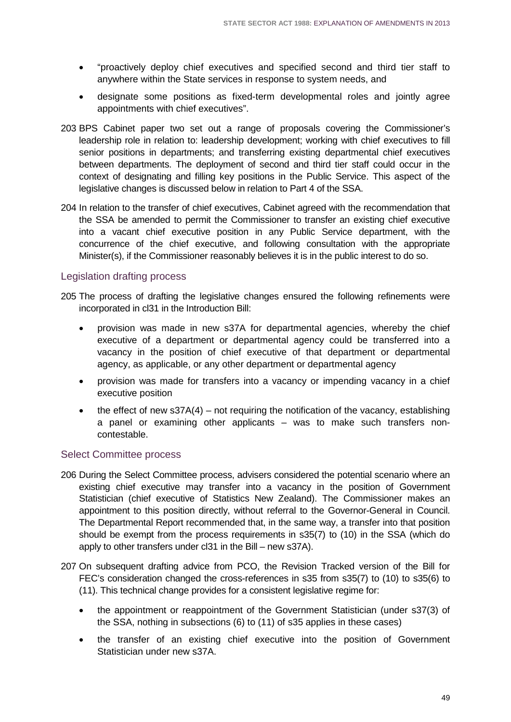- "proactively deploy chief executives and specified second and third tier staff to anywhere within the State services in response to system needs, and
- designate some positions as fixed-term developmental roles and jointly agree appointments with chief executives".
- 203 BPS Cabinet paper two set out a range of proposals covering the Commissioner's leadership role in relation to: leadership development; working with chief executives to fill senior positions in departments; and transferring existing departmental chief executives between departments. The deployment of second and third tier staff could occur in the context of designating and filling key positions in the Public Service. This aspect of the legislative changes is discussed below in relation to Part 4 of the SSA.
- 204 In relation to the transfer of chief executives, Cabinet agreed with the recommendation that the SSA be amended to permit the Commissioner to transfer an existing chief executive into a vacant chief executive position in any Public Service department, with the concurrence of the chief executive, and following consultation with the appropriate Minister(s), if the Commissioner reasonably believes it is in the public interest to do so.

### Legislation drafting process

- 205 The process of drafting the legislative changes ensured the following refinements were incorporated in cl31 in the Introduction Bill:
	- provision was made in new s37A for departmental agencies, whereby the chief executive of a department or departmental agency could be transferred into a vacancy in the position of chief executive of that department or departmental agency, as applicable, or any other department or departmental agency
	- provision was made for transfers into a vacancy or impending vacancy in a chief executive position
	- the effect of new  $s37A(4)$  not requiring the notification of the vacancy, establishing a panel or examining other applicants – was to make such transfers noncontestable.

### Select Committee process

- 206 During the Select Committee process, advisers considered the potential scenario where an existing chief executive may transfer into a vacancy in the position of Government Statistician (chief executive of Statistics New Zealand). The Commissioner makes an appointment to this position directly, without referral to the Governor-General in Council. The Departmental Report recommended that, in the same way, a transfer into that position should be exempt from the process requirements in s35(7) to (10) in the SSA (which do apply to other transfers under cl31 in the Bill – new s37A).
- 207 On subsequent drafting advice from PCO, the Revision Tracked version of the Bill for FEC's consideration changed the cross-references in s35 from s35(7) to (10) to s35(6) to (11). This technical change provides for a consistent legislative regime for:
	- the appointment or reappointment of the Government Statistician (under s37(3) of the SSA, nothing in subsections (6) to (11) of s35 applies in these cases)
	- the transfer of an existing chief executive into the position of Government Statistician under new s37A.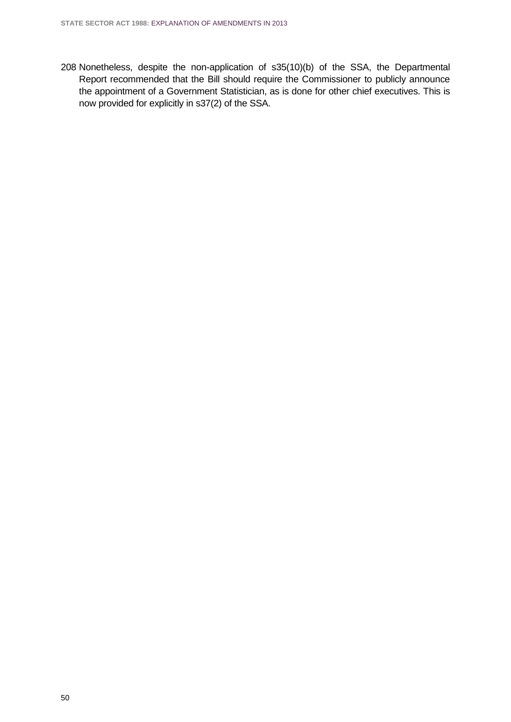208 Nonetheless, despite the non-application of s35(10)(b) of the SSA, the Departmental Report recommended that the Bill should require the Commissioner to publicly announce the appointment of a Government Statistician, as is done for other chief executives. This is now provided for explicitly in s37(2) of the SSA.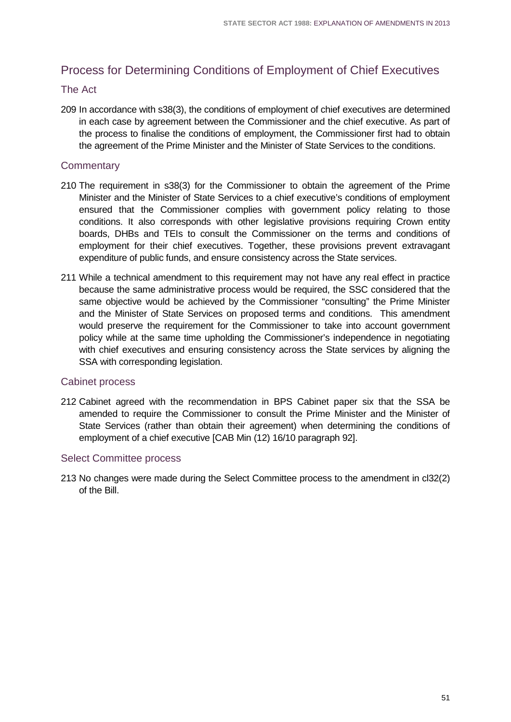# Process for Determining Conditions of Employment of Chief Executives

#### The Act

209 In accordance with s38(3), the conditions of employment of chief executives are determined in each case by agreement between the Commissioner and the chief executive. As part of the process to finalise the conditions of employment, the Commissioner first had to obtain the agreement of the Prime Minister and the Minister of State Services to the conditions.

### **Commentary**

- 210 The requirement in s38(3) for the Commissioner to obtain the agreement of the Prime Minister and the Minister of State Services to a chief executive's conditions of employment ensured that the Commissioner complies with government policy relating to those conditions. It also corresponds with other legislative provisions requiring Crown entity boards, DHBs and TEIs to consult the Commissioner on the terms and conditions of employment for their chief executives. Together, these provisions prevent extravagant expenditure of public funds, and ensure consistency across the State services.
- 211 While a technical amendment to this requirement may not have any real effect in practice because the same administrative process would be required, the SSC considered that the same objective would be achieved by the Commissioner "consulting" the Prime Minister and the Minister of State Services on proposed terms and conditions. This amendment would preserve the requirement for the Commissioner to take into account government policy while at the same time upholding the Commissioner's independence in negotiating with chief executives and ensuring consistency across the State services by aligning the SSA with corresponding legislation.

#### Cabinet process

212 Cabinet agreed with the recommendation in BPS Cabinet paper six that the SSA be amended to require the Commissioner to consult the Prime Minister and the Minister of State Services (rather than obtain their agreement) when determining the conditions of employment of a chief executive [CAB Min (12) 16/10 paragraph 92].

#### Select Committee process

213 No changes were made during the Select Committee process to the amendment in cl32(2) of the Bill.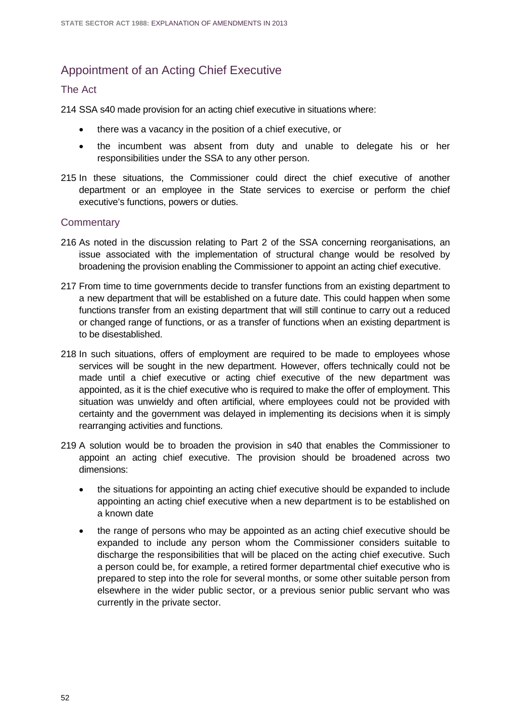# Appointment of an Acting Chief Executive

#### The Act

214 SSA s40 made provision for an acting chief executive in situations where:

- there was a vacancy in the position of a chief executive, or
- the incumbent was absent from duty and unable to delegate his or her responsibilities under the SSA to any other person.
- 215 In these situations, the Commissioner could direct the chief executive of another department or an employee in the State services to exercise or perform the chief executive's functions, powers or duties.

#### **Commentary**

- 216 As noted in the discussion relating to Part 2 of the SSA concerning reorganisations, an issue associated with the implementation of structural change would be resolved by broadening the provision enabling the Commissioner to appoint an acting chief executive.
- 217 From time to time governments decide to transfer functions from an existing department to a new department that will be established on a future date. This could happen when some functions transfer from an existing department that will still continue to carry out a reduced or changed range of functions, or as a transfer of functions when an existing department is to be disestablished.
- 218 In such situations, offers of employment are required to be made to employees whose services will be sought in the new department. However, offers technically could not be made until a chief executive or acting chief executive of the new department was appointed, as it is the chief executive who is required to make the offer of employment. This situation was unwieldy and often artificial, where employees could not be provided with certainty and the government was delayed in implementing its decisions when it is simply rearranging activities and functions.
- 219 A solution would be to broaden the provision in s40 that enables the Commissioner to appoint an acting chief executive. The provision should be broadened across two dimensions:
	- the situations for appointing an acting chief executive should be expanded to include appointing an acting chief executive when a new department is to be established on a known date
	- the range of persons who may be appointed as an acting chief executive should be expanded to include any person whom the Commissioner considers suitable to discharge the responsibilities that will be placed on the acting chief executive. Such a person could be, for example, a retired former departmental chief executive who is prepared to step into the role for several months, or some other suitable person from elsewhere in the wider public sector, or a previous senior public servant who was currently in the private sector.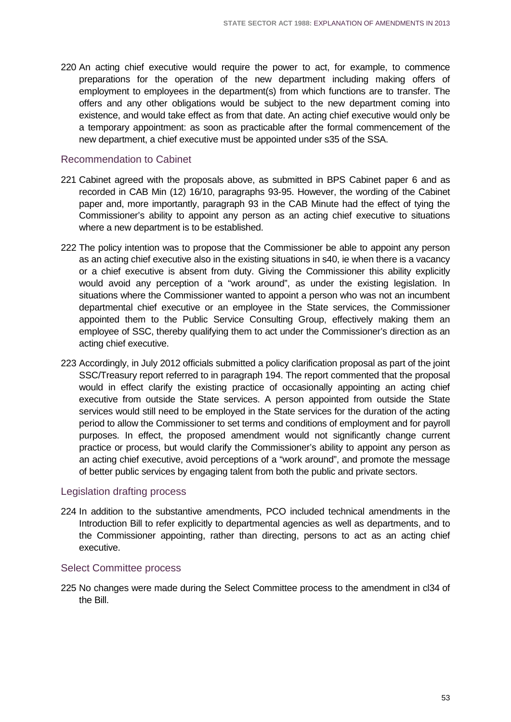220 An acting chief executive would require the power to act, for example, to commence preparations for the operation of the new department including making offers of employment to employees in the department(s) from which functions are to transfer. The offers and any other obligations would be subject to the new department coming into existence, and would take effect as from that date. An acting chief executive would only be a temporary appointment: as soon as practicable after the formal commencement of the new department, a chief executive must be appointed under s35 of the SSA.

### Recommendation to Cabinet

- 221 Cabinet agreed with the proposals above, as submitted in BPS Cabinet paper 6 and as recorded in CAB Min (12) 16/10, paragraphs 93-95. However, the wording of the Cabinet paper and, more importantly, paragraph 93 in the CAB Minute had the effect of tying the Commissioner's ability to appoint any person as an acting chief executive to situations where a new department is to be established.
- 222 The policy intention was to propose that the Commissioner be able to appoint any person as an acting chief executive also in the existing situations in s40, ie when there is a vacancy or a chief executive is absent from duty. Giving the Commissioner this ability explicitly would avoid any perception of a "work around", as under the existing legislation. In situations where the Commissioner wanted to appoint a person who was not an incumbent departmental chief executive or an employee in the State services, the Commissioner appointed them to the Public Service Consulting Group, effectively making them an employee of SSC, thereby qualifying them to act under the Commissioner's direction as an acting chief executive.
- 223 Accordingly, in July 2012 officials submitted a policy clarification proposal as part of the joint SSC/Treasury report referred to in paragraph 194. The report commented that the proposal would in effect clarify the existing practice of occasionally appointing an acting chief executive from outside the State services. A person appointed from outside the State services would still need to be employed in the State services for the duration of the acting period to allow the Commissioner to set terms and conditions of employment and for payroll purposes. In effect, the proposed amendment would not significantly change current practice or process, but would clarify the Commissioner's ability to appoint any person as an acting chief executive, avoid perceptions of a "work around", and promote the message of better public services by engaging talent from both the public and private sectors.

#### Legislation drafting process

224 In addition to the substantive amendments, PCO included technical amendments in the Introduction Bill to refer explicitly to departmental agencies as well as departments, and to the Commissioner appointing, rather than directing, persons to act as an acting chief executive.

#### Select Committee process

225 No changes were made during the Select Committee process to the amendment in cl34 of the Bill.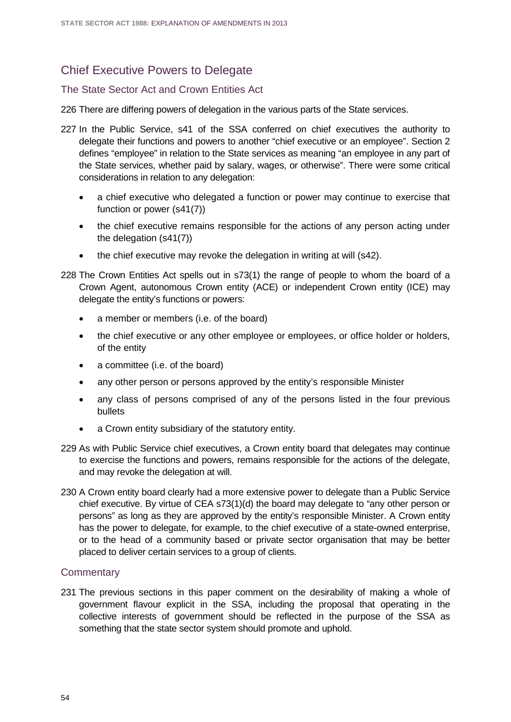# Chief Executive Powers to Delegate

#### The State Sector Act and Crown Entities Act

226 There are differing powers of delegation in the various parts of the State services.

- 227 In the Public Service, s41 of the SSA conferred on chief executives the authority to delegate their functions and powers to another "chief executive or an employee". Section 2 defines "employee" in relation to the State services as meaning "an employee in any part of the State services, whether paid by salary, wages, or otherwise". There were some critical considerations in relation to any delegation:
	- a chief executive who delegated a function or power may continue to exercise that function or power (s41(7))
	- the chief executive remains responsible for the actions of any person acting under the delegation (s41(7))
	- the chief executive may revoke the delegation in writing at will (s42).
- 228 The Crown Entities Act spells out in s73(1) the range of people to whom the board of a Crown Agent, autonomous Crown entity (ACE) or independent Crown entity (ICE) may delegate the entity's functions or powers:
	- a member or members (i.e. of the board)
	- the chief executive or any other employee or employees, or office holder or holders, of the entity
	- a committee (i.e. of the board)
	- any other person or persons approved by the entity's responsible Minister
	- any class of persons comprised of any of the persons listed in the four previous bullets
	- a Crown entity subsidiary of the statutory entity.
- 229 As with Public Service chief executives, a Crown entity board that delegates may continue to exercise the functions and powers, remains responsible for the actions of the delegate, and may revoke the delegation at will.
- 230 A Crown entity board clearly had a more extensive power to delegate than a Public Service chief executive. By virtue of CEA s73(1)(d) the board may delegate to "any other person or persons" as long as they are approved by the entity's responsible Minister. A Crown entity has the power to delegate, for example, to the chief executive of a state-owned enterprise, or to the head of a community based or private sector organisation that may be better placed to deliver certain services to a group of clients.

#### **Commentary**

231 The previous sections in this paper comment on the desirability of making a whole of government flavour explicit in the SSA, including the proposal that operating in the collective interests of government should be reflected in the purpose of the SSA as something that the state sector system should promote and uphold.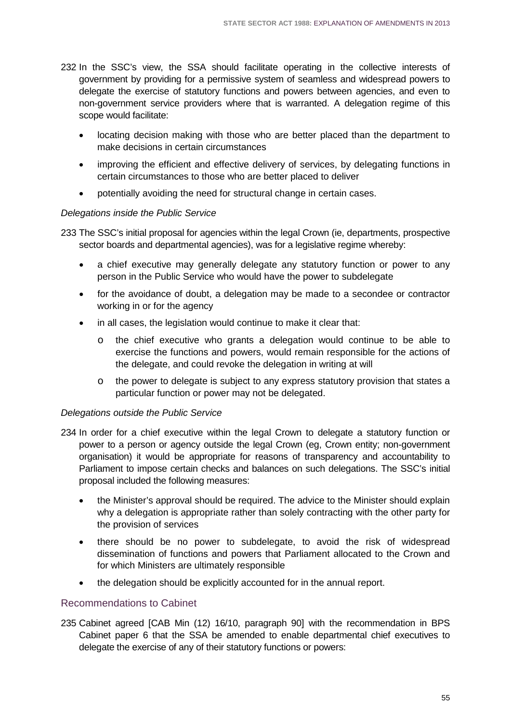- 232 In the SSC's view, the SSA should facilitate operating in the collective interests of government by providing for a permissive system of seamless and widespread powers to delegate the exercise of statutory functions and powers between agencies, and even to non-government service providers where that is warranted. A delegation regime of this scope would facilitate:
	- locating decision making with those who are better placed than the department to make decisions in certain circumstances
	- improving the efficient and effective delivery of services, by delegating functions in certain circumstances to those who are better placed to deliver
	- potentially avoiding the need for structural change in certain cases.

### *Delegations inside the Public Service*

233 The SSC's initial proposal for agencies within the legal Crown (ie, departments, prospective sector boards and departmental agencies), was for a legislative regime whereby:

- a chief executive may generally delegate any statutory function or power to any person in the Public Service who would have the power to subdelegate
- for the avoidance of doubt, a delegation may be made to a secondee or contractor working in or for the agency
- in all cases, the legislation would continue to make it clear that:
	- o the chief executive who grants a delegation would continue to be able to exercise the functions and powers, would remain responsible for the actions of the delegate, and could revoke the delegation in writing at will
	- o the power to delegate is subject to any express statutory provision that states a particular function or power may not be delegated.

#### *Delegations outside the Public Service*

- 234 In order for a chief executive within the legal Crown to delegate a statutory function or power to a person or agency outside the legal Crown (eg, Crown entity; non-government organisation) it would be appropriate for reasons of transparency and accountability to Parliament to impose certain checks and balances on such delegations. The SSC's initial proposal included the following measures:
	- the Minister's approval should be required. The advice to the Minister should explain why a delegation is appropriate rather than solely contracting with the other party for the provision of services
	- there should be no power to subdelegate, to avoid the risk of widespread dissemination of functions and powers that Parliament allocated to the Crown and for which Ministers are ultimately responsible
	- the delegation should be explicitly accounted for in the annual report.

#### Recommendations to Cabinet

235 Cabinet agreed [CAB Min (12) 16/10, paragraph 90] with the recommendation in BPS Cabinet paper 6 that the SSA be amended to enable departmental chief executives to delegate the exercise of any of their statutory functions or powers: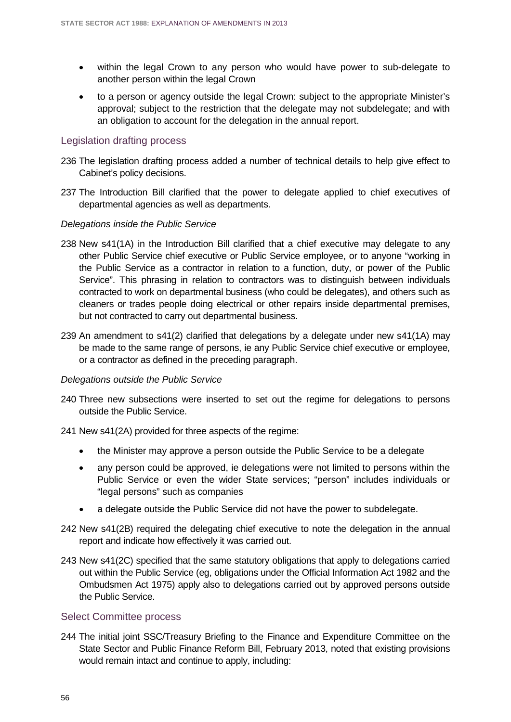- within the legal Crown to any person who would have power to sub-delegate to another person within the legal Crown
- to a person or agency outside the legal Crown: subject to the appropriate Minister's approval; subject to the restriction that the delegate may not subdelegate; and with an obligation to account for the delegation in the annual report.

#### Legislation drafting process

- 236 The legislation drafting process added a number of technical details to help give effect to Cabinet's policy decisions.
- 237 The Introduction Bill clarified that the power to delegate applied to chief executives of departmental agencies as well as departments.

#### *Delegations inside the Public Service*

- 238 New s41(1A) in the Introduction Bill clarified that a chief executive may delegate to any other Public Service chief executive or Public Service employee, or to anyone "working in the Public Service as a contractor in relation to a function, duty, or power of the Public Service". This phrasing in relation to contractors was to distinguish between individuals contracted to work on departmental business (who could be delegates), and others such as cleaners or trades people doing electrical or other repairs inside departmental premises, but not contracted to carry out departmental business.
- 239 An amendment to s41(2) clarified that delegations by a delegate under new s41(1A) may be made to the same range of persons, ie any Public Service chief executive or employee, or a contractor as defined in the preceding paragraph.

#### *Delegations outside the Public Service*

- 240 Three new subsections were inserted to set out the regime for delegations to persons outside the Public Service.
- 241 New s41(2A) provided for three aspects of the regime:
	- the Minister may approve a person outside the Public Service to be a delegate
	- any person could be approved, ie delegations were not limited to persons within the Public Service or even the wider State services; "person" includes individuals or "legal persons" such as companies
	- a delegate outside the Public Service did not have the power to subdelegate.
- 242 New s41(2B) required the delegating chief executive to note the delegation in the annual report and indicate how effectively it was carried out.
- 243 New s41(2C) specified that the same statutory obligations that apply to delegations carried out within the Public Service (eg, obligations under the Official Information Act 1982 and the Ombudsmen Act 1975) apply also to delegations carried out by approved persons outside the Public Service.

#### Select Committee process

244 The initial joint SSC/Treasury Briefing to the Finance and Expenditure Committee on the State Sector and Public Finance Reform Bill, February 2013, noted that existing provisions would remain intact and continue to apply, including: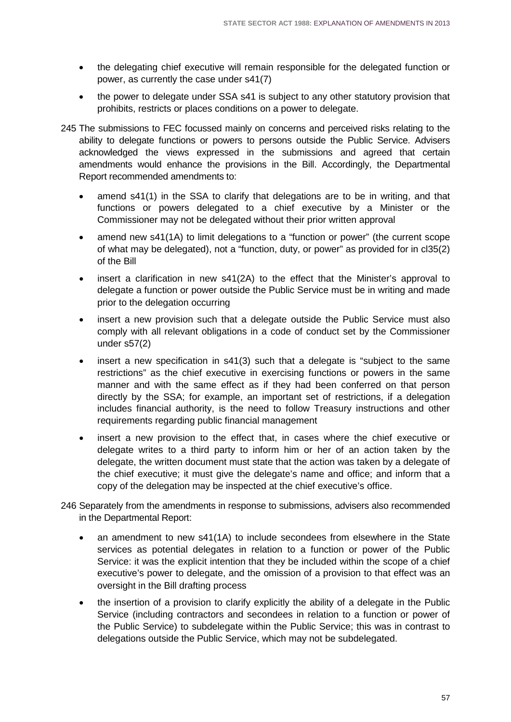- the delegating chief executive will remain responsible for the delegated function or power, as currently the case under s41(7)
- the power to delegate under SSA s41 is subject to any other statutory provision that prohibits, restricts or places conditions on a power to delegate.
- 245 The submissions to FEC focussed mainly on concerns and perceived risks relating to the ability to delegate functions or powers to persons outside the Public Service. Advisers acknowledged the views expressed in the submissions and agreed that certain amendments would enhance the provisions in the Bill. Accordingly, the Departmental Report recommended amendments to:
	- amend s41(1) in the SSA to clarify that delegations are to be in writing, and that functions or powers delegated to a chief executive by a Minister or the Commissioner may not be delegated without their prior written approval
	- amend new s41(1A) to limit delegations to a "function or power" (the current scope of what may be delegated), not a "function, duty, or power" as provided for in cl35(2) of the Bill
	- insert a clarification in new  $s41(2)$  to the effect that the Minister's approval to delegate a function or power outside the Public Service must be in writing and made prior to the delegation occurring
	- insert a new provision such that a delegate outside the Public Service must also comply with all relevant obligations in a code of conduct set by the Commissioner under s57(2)
	- insert a new specification in s41(3) such that a delegate is "subject to the same restrictions" as the chief executive in exercising functions or powers in the same manner and with the same effect as if they had been conferred on that person directly by the SSA; for example, an important set of restrictions, if a delegation includes financial authority, is the need to follow Treasury instructions and other requirements regarding public financial management
	- insert a new provision to the effect that, in cases where the chief executive or delegate writes to a third party to inform him or her of an action taken by the delegate, the written document must state that the action was taken by a delegate of the chief executive; it must give the delegate's name and office; and inform that a copy of the delegation may be inspected at the chief executive's office.
- 246 Separately from the amendments in response to submissions, advisers also recommended in the Departmental Report:
	- an amendment to new s41(1A) to include secondees from elsewhere in the State services as potential delegates in relation to a function or power of the Public Service: it was the explicit intention that they be included within the scope of a chief executive's power to delegate, and the omission of a provision to that effect was an oversight in the Bill drafting process
	- the insertion of a provision to clarify explicitly the ability of a delegate in the Public Service (including contractors and secondees in relation to a function or power of the Public Service) to subdelegate within the Public Service; this was in contrast to delegations outside the Public Service, which may not be subdelegated.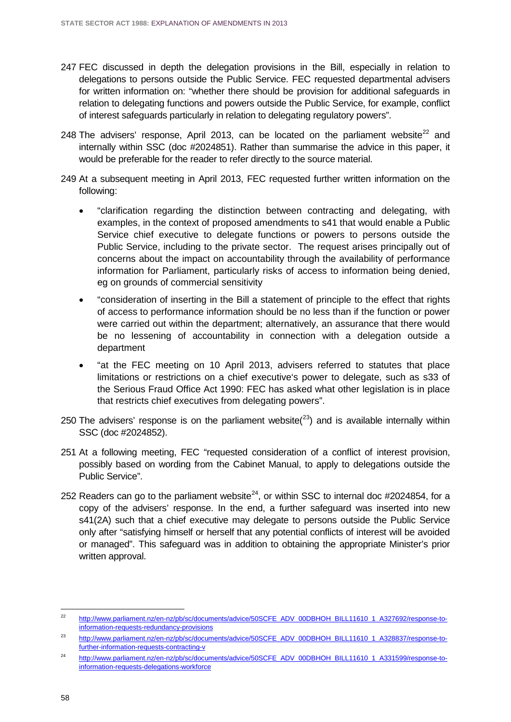- 247 FEC discussed in depth the delegation provisions in the Bill, especially in relation to delegations to persons outside the Public Service. FEC requested departmental advisers for written information on: "whether there should be provision for additional safeguards in relation to delegating functions and powers outside the Public Service, for example, conflict of interest safeguards particularly in relation to delegating regulatory powers".
- 248 The advisers' response, April 2013, can be located on the parliament website<sup>[22](#page-61-0)</sup> and internally within SSC (doc #2024851). Rather than summarise the advice in this paper, it would be preferable for the reader to refer directly to the source material.
- 249 At a subsequent meeting in April 2013, FEC requested further written information on the following:
	- "clarification regarding the distinction between contracting and delegating, with examples, in the context of proposed amendments to s41 that would enable a Public Service chief executive to delegate functions or powers to persons outside the Public Service, including to the private sector. The request arises principally out of concerns about the impact on accountability through the availability of performance information for Parliament, particularly risks of access to information being denied, eg on grounds of commercial sensitivity
	- "consideration of inserting in the Bill a statement of principle to the effect that rights of access to performance information should be no less than if the function or power were carried out within the department; alternatively, an assurance that there would be no lessening of accountability in connection with a delegation outside a department
	- "at the FEC meeting on 10 April 2013, advisers referred to statutes that place limitations or restrictions on a chief executive's power to delegate, such as s33 of the Serious Fraud Office Act 1990: FEC has asked what other legislation is in place that restricts chief executives from delegating powers".
- 250 The advisers' response is on the parliament website( $^{23}$ ) and is available internally within SSC (doc #2024852).
- 251 At a following meeting, FEC "requested consideration of a conflict of interest provision, possibly based on wording from the Cabinet Manual, to apply to delegations outside the Public Service".
- 252 Readers can go to the parliament website<sup>24</sup>, or within SSC to internal doc #2024854, for a copy of the advisers' response. In the end, a further safeguard was inserted into new s41(2A) such that a chief executive may delegate to persons outside the Public Service only after "satisfying himself or herself that any potential conflicts of interest will be avoided or managed". This safeguard was in addition to obtaining the appropriate Minister's prior written approval.

<span id="page-61-0"></span>[http://www.parliament.nz/en-nz/pb/sc/documents/advice/50SCFE\\_ADV\\_00DBHOH\\_BILL11610\\_1\\_A327692/response-to](http://www.parliament.nz/en-nz/pb/sc/documents/advice/50SCFE_ADV_00DBHOH_BILL11610_1_A327692/response-to-information-requests-redundancy-provisions)[information-requests-redundancy-provisions](http://www.parliament.nz/en-nz/pb/sc/documents/advice/50SCFE_ADV_00DBHOH_BILL11610_1_A327692/response-to-information-requests-redundancy-provisions)  $22$ 

<span id="page-61-1"></span><sup>23</sup> [http://www.parliament.nz/en-nz/pb/sc/documents/advice/50SCFE\\_ADV\\_00DBHOH\\_BILL11610\\_1\\_A328837/response-to](http://www.parliament.nz/en-nz/pb/sc/documents/advice/50SCFE_ADV_00DBHOH_BILL11610_1_A328837/response-to-further-information-requests-contracting-v)[further-information-requests-contracting-v](http://www.parliament.nz/en-nz/pb/sc/documents/advice/50SCFE_ADV_00DBHOH_BILL11610_1_A328837/response-to-further-information-requests-contracting-v)

<span id="page-61-2"></span><sup>&</sup>lt;sup>24</sup> [http://www.parliament.nz/en-nz/pb/sc/documents/advice/50SCFE\\_ADV\\_00DBHOH\\_BILL11610\\_1\\_A331599/response-to](http://www.parliament.nz/en-nz/pb/sc/documents/advice/50SCFE_ADV_00DBHOH_BILL11610_1_A331599/response-to-information-requests-delegations-workforce)[information-requests-delegations-workforce](http://www.parliament.nz/en-nz/pb/sc/documents/advice/50SCFE_ADV_00DBHOH_BILL11610_1_A331599/response-to-information-requests-delegations-workforce)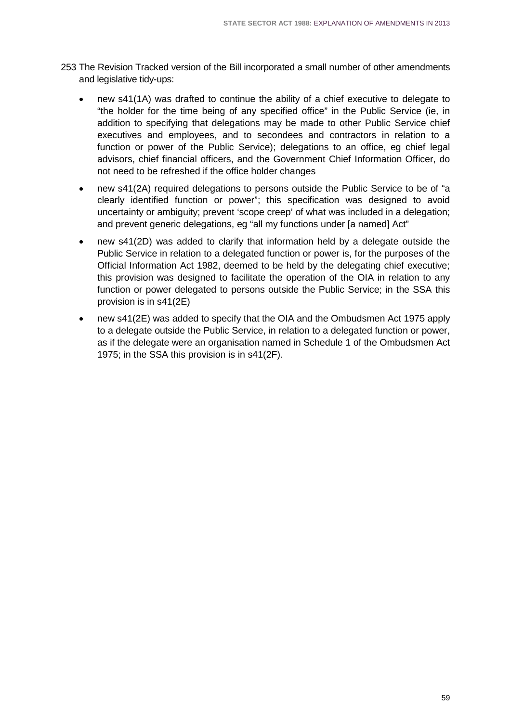- 253 The Revision Tracked version of the Bill incorporated a small number of other amendments and legislative tidy-ups:
	- new s41(1A) was drafted to continue the ability of a chief executive to delegate to "the holder for the time being of any specified office" in the Public Service (ie, in addition to specifying that delegations may be made to other Public Service chief executives and employees, and to secondees and contractors in relation to a function or power of the Public Service); delegations to an office, eg chief legal advisors, chief financial officers, and the Government Chief Information Officer, do not need to be refreshed if the office holder changes
	- new s41(2A) required delegations to persons outside the Public Service to be of "a clearly identified function or power"; this specification was designed to avoid uncertainty or ambiguity; prevent 'scope creep' of what was included in a delegation; and prevent generic delegations, eg "all my functions under [a named] Act"
	- new s41(2D) was added to clarify that information held by a delegate outside the Public Service in relation to a delegated function or power is, for the purposes of the Official Information Act 1982, deemed to be held by the delegating chief executive; this provision was designed to facilitate the operation of the OIA in relation to any function or power delegated to persons outside the Public Service; in the SSA this provision is in s41(2E)
	- new s41(2E) was added to specify that the OIA and the Ombudsmen Act 1975 apply to a delegate outside the Public Service, in relation to a delegated function or power, as if the delegate were an organisation named in Schedule 1 of the Ombudsmen Act 1975; in the SSA this provision is in s41(2F).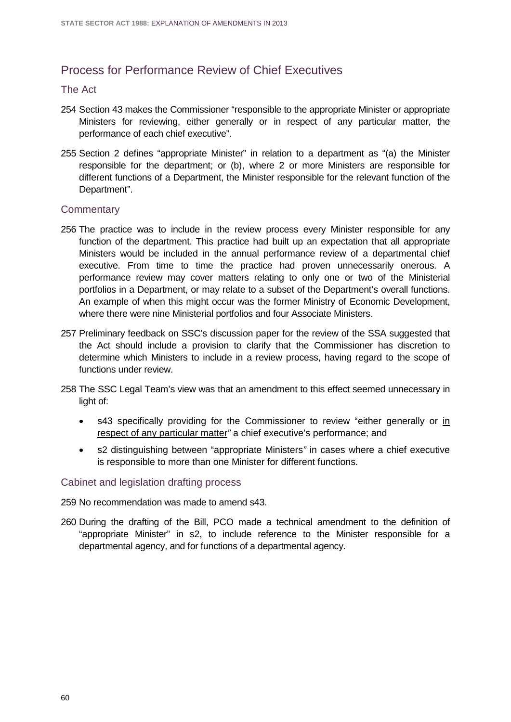# Process for Performance Review of Chief Executives

#### The Act

- 254 Section 43 makes the Commissioner "responsible to the appropriate Minister or appropriate Ministers for reviewing, either generally or in respect of any particular matter, the performance of each chief executive".
- 255 Section 2 defines "appropriate Minister" in relation to a department as "(a) the Minister responsible for the department; or (b), where 2 or more Ministers are responsible for different functions of a Department, the Minister responsible for the relevant function of the Department".

#### **Commentary**

- 256 The practice was to include in the review process every Minister responsible for any function of the department. This practice had built up an expectation that all appropriate Ministers would be included in the annual performance review of a departmental chief executive. From time to time the practice had proven unnecessarily onerous. A performance review may cover matters relating to only one or two of the Ministerial portfolios in a Department, or may relate to a subset of the Department's overall functions. An example of when this might occur was the former Ministry of Economic Development, where there were nine Ministerial portfolios and four Associate Ministers.
- 257 Preliminary feedback on SSC's discussion paper for the review of the SSA suggested that the Act should include a provision to clarify that the Commissioner has discretion to determine which Ministers to include in a review process, having regard to the scope of functions under review.
- 258 The SSC Legal Team's view was that an amendment to this effect seemed unnecessary in light of:
	- s43 specifically providing for the Commissioner to review "either generally or in respect of any particular matter*"* a chief executive's performance; and
	- s2 distinguishing between "appropriate Ministers*"* in cases where a chief executive is responsible to more than one Minister for different functions.

#### Cabinet and legislation drafting process

259 No recommendation was made to amend s43.

260 During the drafting of the Bill, PCO made a technical amendment to the definition of "appropriate Minister" in s2, to include reference to the Minister responsible for a departmental agency, and for functions of a departmental agency.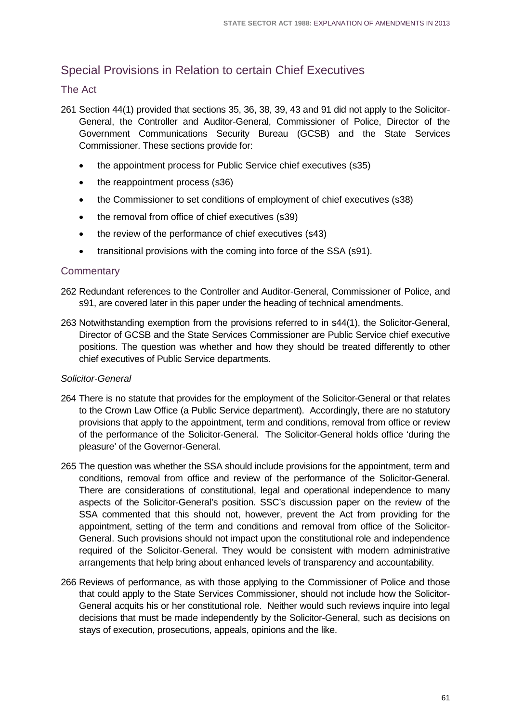# Special Provisions in Relation to certain Chief Executives

### The Act

- 261 Section 44(1) provided that sections 35, 36, 38, 39, 43 and 91 did not apply to the Solicitor-General, the Controller and Auditor-General, Commissioner of Police, Director of the Government Communications Security Bureau (GCSB) and the State Services Commissioner. These sections provide for:
	- the appointment process for Public Service chief executives (s35)
	- the reappointment process (s36)
	- the Commissioner to set conditions of employment of chief executives (s38)
	- the removal from office of chief executives (s39)
	- the review of the performance of chief executives (s43)
	- transitional provisions with the coming into force of the SSA (s91).

### **Commentary**

- 262 Redundant references to the Controller and Auditor-General, Commissioner of Police, and s91, are covered later in this paper under the heading of technical amendments.
- 263 Notwithstanding exemption from the provisions referred to in s44(1), the Solicitor-General, Director of GCSB and the State Services Commissioner are Public Service chief executive positions. The question was whether and how they should be treated differently to other chief executives of Public Service departments.

#### *Solicitor-General*

- 264 There is no statute that provides for the employment of the Solicitor-General or that relates to the Crown Law Office (a Public Service department). Accordingly, there are no statutory provisions that apply to the appointment, term and conditions, removal from office or review of the performance of the Solicitor-General. The Solicitor-General holds office 'during the pleasure' of the Governor-General.
- 265 The question was whether the SSA should include provisions for the appointment, term and conditions, removal from office and review of the performance of the Solicitor-General. There are considerations of constitutional, legal and operational independence to many aspects of the Solicitor-General's position. SSC's discussion paper on the review of the SSA commented that this should not, however, prevent the Act from providing for the appointment, setting of the term and conditions and removal from office of the Solicitor-General. Such provisions should not impact upon the constitutional role and independence required of the Solicitor-General. They would be consistent with modern administrative arrangements that help bring about enhanced levels of transparency and accountability.
- 266 Reviews of performance, as with those applying to the Commissioner of Police and those that could apply to the State Services Commissioner, should not include how the Solicitor-General acquits his or her constitutional role. Neither would such reviews inquire into legal decisions that must be made independently by the Solicitor-General, such as decisions on stays of execution, prosecutions, appeals, opinions and the like.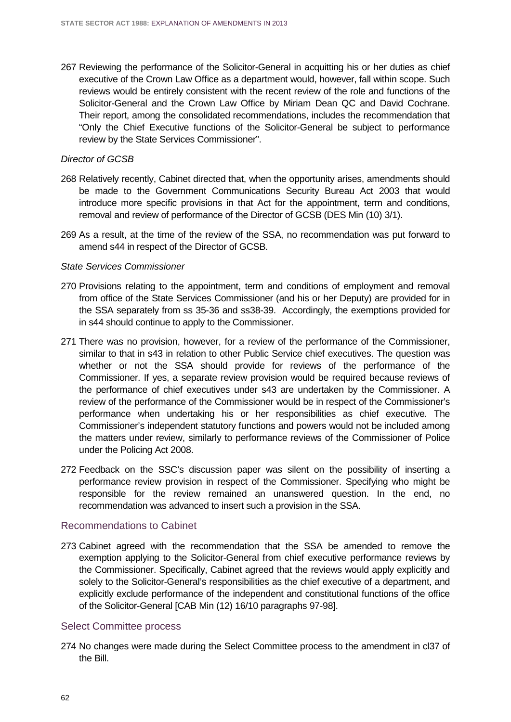267 Reviewing the performance of the Solicitor-General in acquitting his or her duties as chief executive of the Crown Law Office as a department would, however, fall within scope. Such reviews would be entirely consistent with the recent review of the role and functions of the Solicitor-General and the Crown Law Office by Miriam Dean QC and David Cochrane. Their report, among the consolidated recommendations, includes the recommendation that "Only the Chief Executive functions of the Solicitor-General be subject to performance review by the State Services Commissioner".

#### *Director of GCSB*

- 268 Relatively recently, Cabinet directed that, when the opportunity arises, amendments should be made to the Government Communications Security Bureau Act 2003 that would introduce more specific provisions in that Act for the appointment, term and conditions, removal and review of performance of the Director of GCSB (DES Min (10) 3/1).
- 269 As a result, at the time of the review of the SSA, no recommendation was put forward to amend s44 in respect of the Director of GCSB.

#### *State Services Commissioner*

- 270 Provisions relating to the appointment, term and conditions of employment and removal from office of the State Services Commissioner (and his or her Deputy) are provided for in the SSA separately from ss 35-36 and ss38-39. Accordingly, the exemptions provided for in s44 should continue to apply to the Commissioner.
- 271 There was no provision, however, for a review of the performance of the Commissioner, similar to that in s43 in relation to other Public Service chief executives. The question was whether or not the SSA should provide for reviews of the performance of the Commissioner. If yes, a separate review provision would be required because reviews of the performance of chief executives under s43 are undertaken by the Commissioner. A review of the performance of the Commissioner would be in respect of the Commissioner's performance when undertaking his or her responsibilities as chief executive. The Commissioner's independent statutory functions and powers would not be included among the matters under review, similarly to performance reviews of the Commissioner of Police under the Policing Act 2008.
- 272 Feedback on the SSC's discussion paper was silent on the possibility of inserting a performance review provision in respect of the Commissioner. Specifying who might be responsible for the review remained an unanswered question. In the end, no recommendation was advanced to insert such a provision in the SSA.

#### Recommendations to Cabinet

273 Cabinet agreed with the recommendation that the SSA be amended to remove the exemption applying to the Solicitor-General from chief executive performance reviews by the Commissioner. Specifically, Cabinet agreed that the reviews would apply explicitly and solely to the Solicitor-General's responsibilities as the chief executive of a department, and explicitly exclude performance of the independent and constitutional functions of the office of the Solicitor-General [CAB Min (12) 16/10 paragraphs 97-98].

#### Select Committee process

274 No changes were made during the Select Committee process to the amendment in cl37 of the Bill.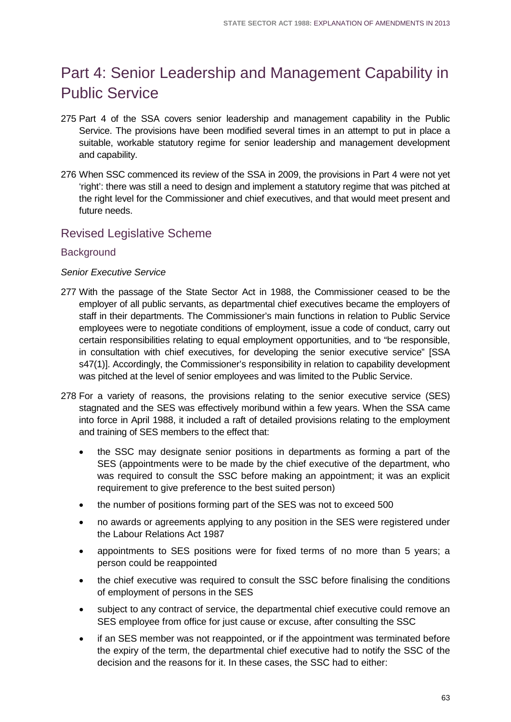# Part 4: Senior Leadership and Management Capability in Public Service

- 275 Part 4 of the SSA covers senior leadership and management capability in the Public Service. The provisions have been modified several times in an attempt to put in place a suitable, workable statutory regime for senior leadership and management development and capability.
- 276 When SSC commenced its review of the SSA in 2009, the provisions in Part 4 were not yet 'right': there was still a need to design and implement a statutory regime that was pitched at the right level for the Commissioner and chief executives, and that would meet present and future needs.

# Revised Legislative Scheme

### **Background**

#### *Senior Executive Service*

- 277 With the passage of the State Sector Act in 1988, the Commissioner ceased to be the employer of all public servants, as departmental chief executives became the employers of staff in their departments. The Commissioner's main functions in relation to Public Service employees were to negotiate conditions of employment, issue a code of conduct, carry out certain responsibilities relating to equal employment opportunities, and to "be responsible, in consultation with chief executives, for developing the senior executive service" [SSA s47(1)]. Accordingly, the Commissioner's responsibility in relation to capability development was pitched at the level of senior employees and was limited to the Public Service.
- 278 For a variety of reasons, the provisions relating to the senior executive service (SES) stagnated and the SES was effectively moribund within a few years. When the SSA came into force in April 1988, it included a raft of detailed provisions relating to the employment and training of SES members to the effect that:
	- the SSC may designate senior positions in departments as forming a part of the SES (appointments were to be made by the chief executive of the department, who was required to consult the SSC before making an appointment; it was an explicit requirement to give preference to the best suited person)
	- the number of positions forming part of the SES was not to exceed 500
	- no awards or agreements applying to any position in the SES were registered under the Labour Relations Act 1987
	- appointments to SES positions were for fixed terms of no more than 5 years; a person could be reappointed
	- the chief executive was required to consult the SSC before finalising the conditions of employment of persons in the SES
	- subject to any contract of service, the departmental chief executive could remove an SES employee from office for just cause or excuse, after consulting the SSC
	- if an SES member was not reappointed, or if the appointment was terminated before the expiry of the term, the departmental chief executive had to notify the SSC of the decision and the reasons for it. In these cases, the SSC had to either: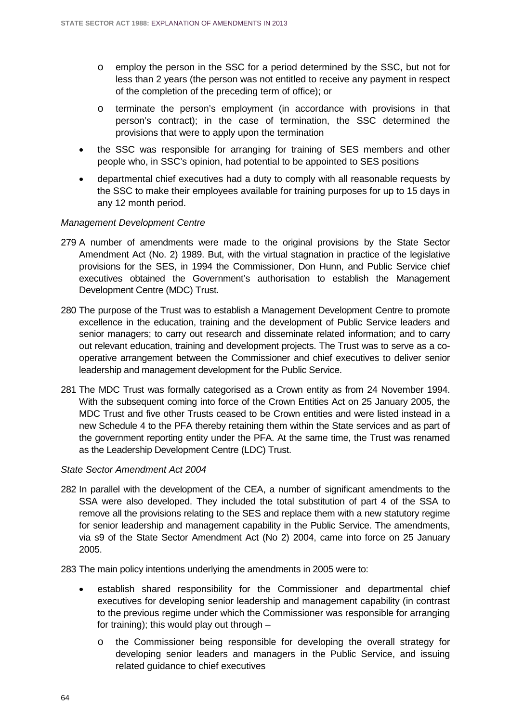- o employ the person in the SSC for a period determined by the SSC, but not for less than 2 years (the person was not entitled to receive any payment in respect of the completion of the preceding term of office); or
- o terminate the person's employment (in accordance with provisions in that person's contract); in the case of termination, the SSC determined the provisions that were to apply upon the termination
- the SSC was responsible for arranging for training of SES members and other people who, in SSC's opinion, had potential to be appointed to SES positions
- departmental chief executives had a duty to comply with all reasonable requests by the SSC to make their employees available for training purposes for up to 15 days in any 12 month period.

#### *Management Development Centre*

- 279 A number of amendments were made to the original provisions by the State Sector Amendment Act (No. 2) 1989. But, with the virtual stagnation in practice of the legislative provisions for the SES, in 1994 the Commissioner, Don Hunn, and Public Service chief executives obtained the Government's authorisation to establish the Management Development Centre (MDC) Trust.
- 280 The purpose of the Trust was to establish a Management Development Centre to promote excellence in the education, training and the development of Public Service leaders and senior managers; to carry out research and disseminate related information; and to carry out relevant education, training and development projects. The Trust was to serve as a cooperative arrangement between the Commissioner and chief executives to deliver senior leadership and management development for the Public Service.
- 281 The MDC Trust was formally categorised as a Crown entity as from 24 November 1994. With the subsequent coming into force of the Crown Entities Act on 25 January 2005, the MDC Trust and five other Trusts ceased to be Crown entities and were listed instead in a new Schedule 4 to the PFA thereby retaining them within the State services and as part of the government reporting entity under the PFA. At the same time, the Trust was renamed as the Leadership Development Centre (LDC) Trust.

#### *State Sector Amendment Act 2004*

282 In parallel with the development of the CEA, a number of significant amendments to the SSA were also developed. They included the total substitution of part 4 of the SSA to remove all the provisions relating to the SES and replace them with a new statutory regime for senior leadership and management capability in the Public Service. The amendments, via s9 of the State Sector Amendment Act (No 2) 2004, came into force on 25 January 2005.

283 The main policy intentions underlying the amendments in 2005 were to:

- establish shared responsibility for the Commissioner and departmental chief executives for developing senior leadership and management capability (in contrast to the previous regime under which the Commissioner was responsible for arranging for training); this would play out through –
	- o the Commissioner being responsible for developing the overall strategy for developing senior leaders and managers in the Public Service, and issuing related guidance to chief executives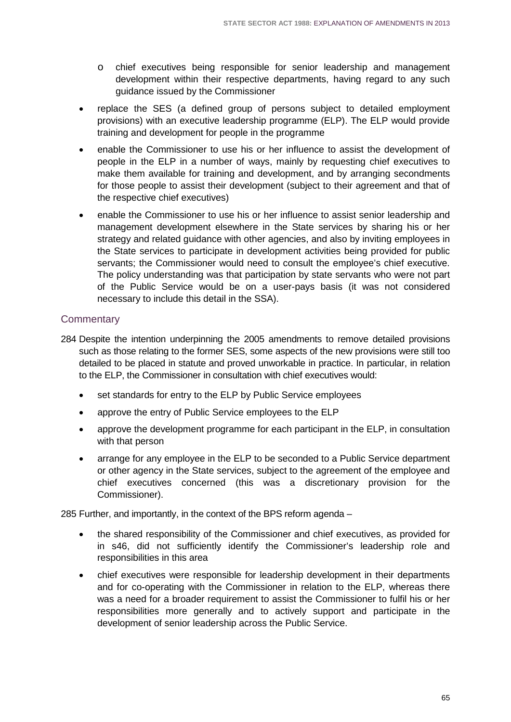- o chief executives being responsible for senior leadership and management development within their respective departments, having regard to any such guidance issued by the Commissioner
- replace the SES (a defined group of persons subject to detailed employment provisions) with an executive leadership programme (ELP). The ELP would provide training and development for people in the programme
- enable the Commissioner to use his or her influence to assist the development of people in the ELP in a number of ways, mainly by requesting chief executives to make them available for training and development, and by arranging secondments for those people to assist their development (subject to their agreement and that of the respective chief executives)
- enable the Commissioner to use his or her influence to assist senior leadership and management development elsewhere in the State services by sharing his or her strategy and related guidance with other agencies, and also by inviting employees in the State services to participate in development activities being provided for public servants; the Commissioner would need to consult the employee's chief executive. The policy understanding was that participation by state servants who were not part of the Public Service would be on a user-pays basis (it was not considered necessary to include this detail in the SSA).

## **Commentary**

- 284 Despite the intention underpinning the 2005 amendments to remove detailed provisions such as those relating to the former SES, some aspects of the new provisions were still too detailed to be placed in statute and proved unworkable in practice. In particular, in relation to the ELP, the Commissioner in consultation with chief executives would:
	- set standards for entry to the ELP by Public Service employees
	- approve the entry of Public Service employees to the ELP
	- approve the development programme for each participant in the ELP, in consultation with that person
	- arrange for any employee in the ELP to be seconded to a Public Service department or other agency in the State services, subject to the agreement of the employee and chief executives concerned (this was a discretionary provision for the Commissioner).

285 Further, and importantly, in the context of the BPS reform agenda –

- the shared responsibility of the Commissioner and chief executives, as provided for in s46, did not sufficiently identify the Commissioner's leadership role and responsibilities in this area
- chief executives were responsible for leadership development in their departments and for co-operating with the Commissioner in relation to the ELP, whereas there was a need for a broader requirement to assist the Commissioner to fulfil his or her responsibilities more generally and to actively support and participate in the development of senior leadership across the Public Service.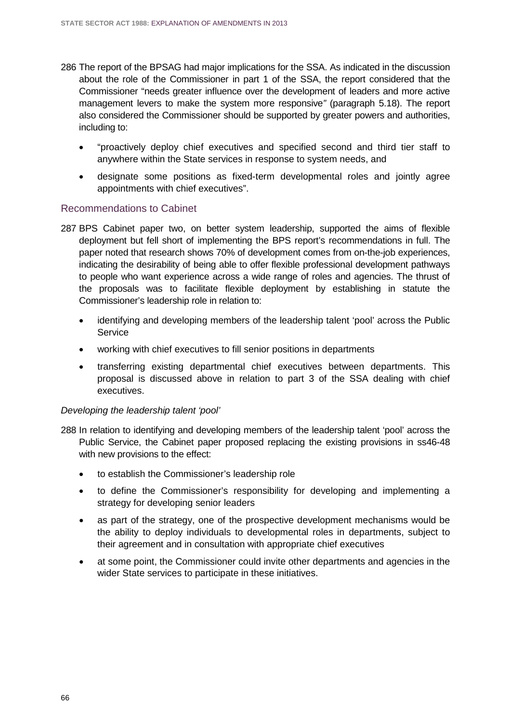- 286 The report of the BPSAG had major implications for the SSA. As indicated in the discussion about the role of the Commissioner in part 1 of the SSA, the report considered that the Commissioner "needs greater influence over the development of leaders and more active management levers to make the system more responsive*"* (paragraph 5.18). The report also considered the Commissioner should be supported by greater powers and authorities, including to:
	- "proactively deploy chief executives and specified second and third tier staff to anywhere within the State services in response to system needs, and
	- designate some positions as fixed-term developmental roles and jointly agree appointments with chief executives".

#### Recommendations to Cabinet

- 287 BPS Cabinet paper two, on better system leadership, supported the aims of flexible deployment but fell short of implementing the BPS report's recommendations in full. The paper noted that research shows 70% of development comes from on-the-job experiences, indicating the desirability of being able to offer flexible professional development pathways to people who want experience across a wide range of roles and agencies. The thrust of the proposals was to facilitate flexible deployment by establishing in statute the Commissioner's leadership role in relation to:
	- identifying and developing members of the leadership talent 'pool' across the Public **Service**
	- working with chief executives to fill senior positions in departments
	- transferring existing departmental chief executives between departments. This proposal is discussed above in relation to part 3 of the SSA dealing with chief executives.

#### *Developing the leadership talent 'pool'*

- 288 In relation to identifying and developing members of the leadership talent 'pool' across the Public Service, the Cabinet paper proposed replacing the existing provisions in ss46-48 with new provisions to the effect:
	- to establish the Commissioner's leadership role
	- to define the Commissioner's responsibility for developing and implementing a strategy for developing senior leaders
	- as part of the strategy, one of the prospective development mechanisms would be the ability to deploy individuals to developmental roles in departments, subject to their agreement and in consultation with appropriate chief executives
	- at some point, the Commissioner could invite other departments and agencies in the wider State services to participate in these initiatives.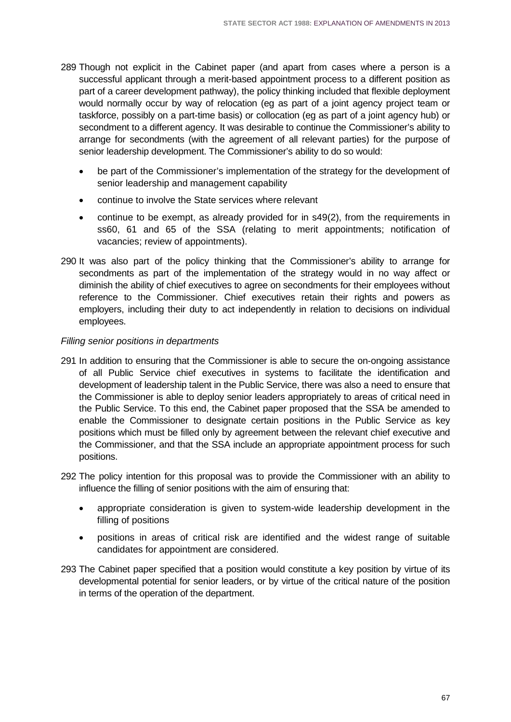- 289 Though not explicit in the Cabinet paper (and apart from cases where a person is a successful applicant through a merit-based appointment process to a different position as part of a career development pathway), the policy thinking included that flexible deployment would normally occur by way of relocation (eg as part of a joint agency project team or taskforce, possibly on a part-time basis) or collocation (eg as part of a joint agency hub) or secondment to a different agency. It was desirable to continue the Commissioner's ability to arrange for secondments (with the agreement of all relevant parties) for the purpose of senior leadership development. The Commissioner's ability to do so would:
	- be part of the Commissioner's implementation of the strategy for the development of senior leadership and management capability
	- continue to involve the State services where relevant
	- continue to be exempt, as already provided for in s49(2), from the requirements in ss60, 61 and 65 of the SSA (relating to merit appointments; notification of vacancies; review of appointments).
- 290 It was also part of the policy thinking that the Commissioner's ability to arrange for secondments as part of the implementation of the strategy would in no way affect or diminish the ability of chief executives to agree on secondments for their employees without reference to the Commissioner. Chief executives retain their rights and powers as employers, including their duty to act independently in relation to decisions on individual employees.

#### *Filling senior positions in departments*

- 291 In addition to ensuring that the Commissioner is able to secure the on-ongoing assistance of all Public Service chief executives in systems to facilitate the identification and development of leadership talent in the Public Service, there was also a need to ensure that the Commissioner is able to deploy senior leaders appropriately to areas of critical need in the Public Service. To this end, the Cabinet paper proposed that the SSA be amended to enable the Commissioner to designate certain positions in the Public Service as key positions which must be filled only by agreement between the relevant chief executive and the Commissioner, and that the SSA include an appropriate appointment process for such positions.
- 292 The policy intention for this proposal was to provide the Commissioner with an ability to influence the filling of senior positions with the aim of ensuring that:
	- appropriate consideration is given to system-wide leadership development in the filling of positions
	- positions in areas of critical risk are identified and the widest range of suitable candidates for appointment are considered.
- 293 The Cabinet paper specified that a position would constitute a key position by virtue of its developmental potential for senior leaders, or by virtue of the critical nature of the position in terms of the operation of the department.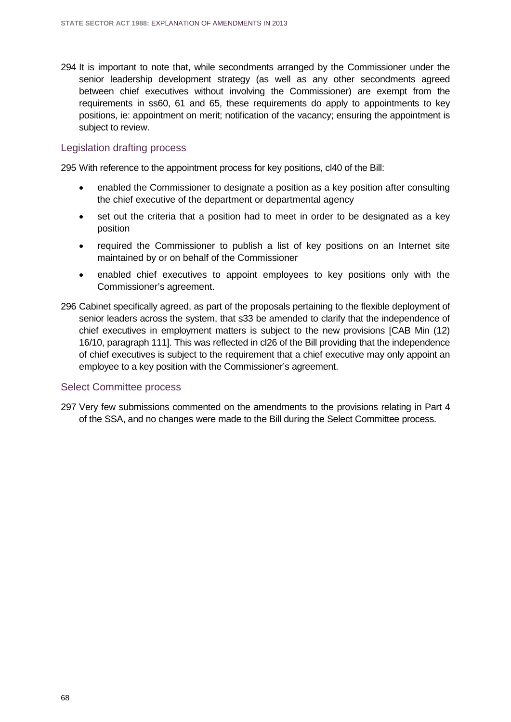294 It is important to note that, while secondments arranged by the Commissioner under the senior leadership development strategy (as well as any other secondments agreed between chief executives without involving the Commissioner) are exempt from the requirements in ss60, 61 and 65, these requirements do apply to appointments to key positions, ie: appointment on merit; notification of the vacancy; ensuring the appointment is subject to review.

#### Legislation drafting process

295 With reference to the appointment process for key positions, cl40 of the Bill:

- enabled the Commissioner to designate a position as a key position after consulting the chief executive of the department or departmental agency
- set out the criteria that a position had to meet in order to be designated as a key position
- required the Commissioner to publish a list of key positions on an Internet site maintained by or on behalf of the Commissioner
- enabled chief executives to appoint employees to key positions only with the Commissioner's agreement.
- 296 Cabinet specifically agreed, as part of the proposals pertaining to the flexible deployment of senior leaders across the system, that s33 be amended to clarify that the independence of chief executives in employment matters is subject to the new provisions [CAB Min (12) 16/10, paragraph 111]. This was reflected in cl26 of the Bill providing that the independence of chief executives is subject to the requirement that a chief executive may only appoint an employee to a key position with the Commissioner's agreement.

#### Select Committee process

297 Very few submissions commented on the amendments to the provisions relating in Part 4 of the SSA, and no changes were made to the Bill during the Select Committee process.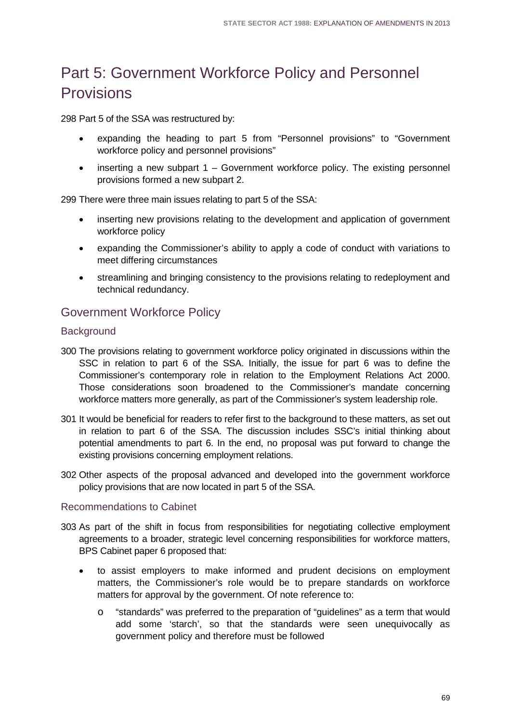# Part 5: Government Workforce Policy and Personnel Provisions

298 Part 5 of the SSA was restructured by:

- expanding the heading to part 5 from "Personnel provisions" to "Government workforce policy and personnel provisions"
- inserting a new subpart  $1 -$  Government workforce policy. The existing personnel provisions formed a new subpart 2.

299 There were three main issues relating to part 5 of the SSA:

- inserting new provisions relating to the development and application of government workforce policy
- expanding the Commissioner's ability to apply a code of conduct with variations to meet differing circumstances
- streamlining and bringing consistency to the provisions relating to redeployment and technical redundancy.

## Government Workforce Policy

## **Background**

- 300 The provisions relating to government workforce policy originated in discussions within the SSC in relation to part 6 of the SSA. Initially, the issue for part 6 was to define the Commissioner's contemporary role in relation to the Employment Relations Act 2000. Those considerations soon broadened to the Commissioner's mandate concerning workforce matters more generally, as part of the Commissioner's system leadership role.
- 301 It would be beneficial for readers to refer first to the background to these matters, as set out in relation to part 6 of the SSA. The discussion includes SSC's initial thinking about potential amendments to part 6. In the end, no proposal was put forward to change the existing provisions concerning employment relations.
- 302 Other aspects of the proposal advanced and developed into the government workforce policy provisions that are now located in part 5 of the SSA.

### Recommendations to Cabinet

- 303 As part of the shift in focus from responsibilities for negotiating collective employment agreements to a broader, strategic level concerning responsibilities for workforce matters, BPS Cabinet paper 6 proposed that:
	- to assist employers to make informed and prudent decisions on employment matters, the Commissioner's role would be to prepare standards on workforce matters for approval by the government. Of note reference to:
		- o "standards" was preferred to the preparation of "guidelines" as a term that would add some 'starch', so that the standards were seen unequivocally as government policy and therefore must be followed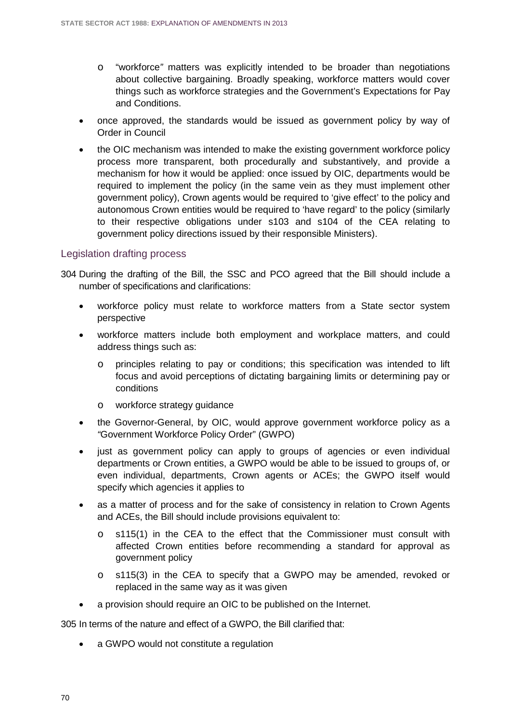- o "workforce*"* matters was explicitly intended to be broader than negotiations about collective bargaining. Broadly speaking, workforce matters would cover things such as workforce strategies and the Government's Expectations for Pay and Conditions.
- once approved, the standards would be issued as government policy by way of Order in Council
- the OIC mechanism was intended to make the existing government workforce policy process more transparent, both procedurally and substantively, and provide a mechanism for how it would be applied: once issued by OIC, departments would be required to implement the policy (in the same vein as they must implement other government policy), Crown agents would be required to 'give effect' to the policy and autonomous Crown entities would be required to 'have regard' to the policy (similarly to their respective obligations under s103 and s104 of the CEA relating to government policy directions issued by their responsible Ministers).

#### Legislation drafting process

- 304 During the drafting of the Bill, the SSC and PCO agreed that the Bill should include a number of specifications and clarifications:
	- workforce policy must relate to workforce matters from a State sector system perspective
	- workforce matters include both employment and workplace matters, and could address things such as:
		- o principles relating to pay or conditions; this specification was intended to lift focus and avoid perceptions of dictating bargaining limits or determining pay or conditions
		- o workforce strategy guidance
	- the Governor-General, by OIC, would approve government workforce policy as a *"*Government Workforce Policy Order" (GWPO)
	- just as government policy can apply to groups of agencies or even individual departments or Crown entities, a GWPO would be able to be issued to groups of, or even individual, departments, Crown agents or ACEs; the GWPO itself would specify which agencies it applies to
	- as a matter of process and for the sake of consistency in relation to Crown Agents and ACEs, the Bill should include provisions equivalent to:
		- o s115(1) in the CEA to the effect that the Commissioner must consult with affected Crown entities before recommending a standard for approval as government policy
		- o s115(3) in the CEA to specify that a GWPO may be amended, revoked or replaced in the same way as it was given
	- a provision should require an OIC to be published on the Internet.

305 In terms of the nature and effect of a GWPO, the Bill clarified that:

a GWPO would not constitute a regulation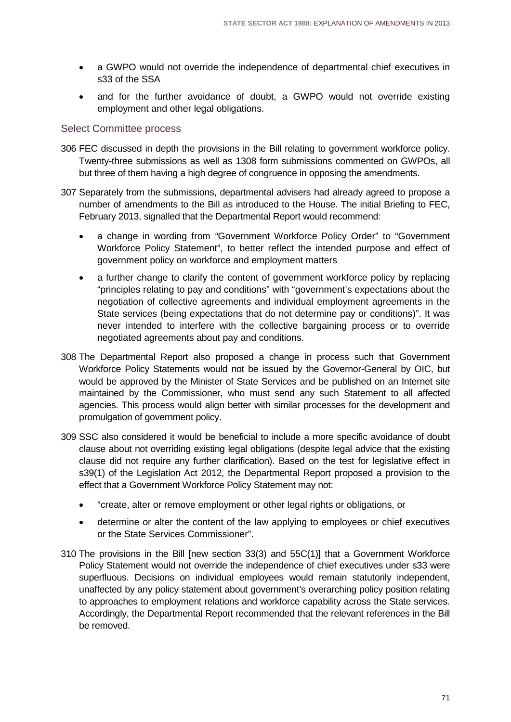- a GWPO would not override the independence of departmental chief executives in s33 of the SSA
- and for the further avoidance of doubt, a GWPO would not override existing employment and other legal obligations.

## Select Committee process

- 306 FEC discussed in depth the provisions in the Bill relating to government workforce policy. Twenty-three submissions as well as 1308 form submissions commented on GWPOs, all but three of them having a high degree of congruence in opposing the amendments.
- 307 Separately from the submissions, departmental advisers had already agreed to propose a number of amendments to the Bill as introduced to the House. The initial Briefing to FEC, February 2013, signalled that the Departmental Report would recommend:
	- a change in wording from *"*Government Workforce Policy Order" to "Government Workforce Policy Statement", to better reflect the intended purpose and effect of government policy on workforce and employment matters
	- a further change to clarify the content of government workforce policy by replacing "principles relating to pay and conditions" with "government's expectations about the negotiation of collective agreements and individual employment agreements in the State services (being expectations that do not determine pay or conditions)". It was never intended to interfere with the collective bargaining process or to override negotiated agreements about pay and conditions.
- 308 The Departmental Report also proposed a change in process such that Government Workforce Policy Statements would not be issued by the Governor-General by OIC, but would be approved by the Minister of State Services and be published on an Internet site maintained by the Commissioner, who must send any such Statement to all affected agencies. This process would align better with similar processes for the development and promulgation of government policy.
- 309 SSC also considered it would be beneficial to include a more specific avoidance of doubt clause about not overriding existing legal obligations (despite legal advice that the existing clause did not require any further clarification). Based on the test for legislative effect in s39(1) of the Legislation Act 2012, the Departmental Report proposed a provision to the effect that a Government Workforce Policy Statement may not:
	- "create, alter or remove employment or other legal rights or obligations, or
	- determine or alter the content of the law applying to employees or chief executives or the State Services Commissioner".
- 310 The provisions in the Bill [new section 33(3) and 55C(1)] that a Government Workforce Policy Statement would not override the independence of chief executives under s33 were superfluous. Decisions on individual employees would remain statutorily independent, unaffected by any policy statement about government's overarching policy position relating to approaches to employment relations and workforce capability across the State services. Accordingly, the Departmental Report recommended that the relevant references in the Bill be removed.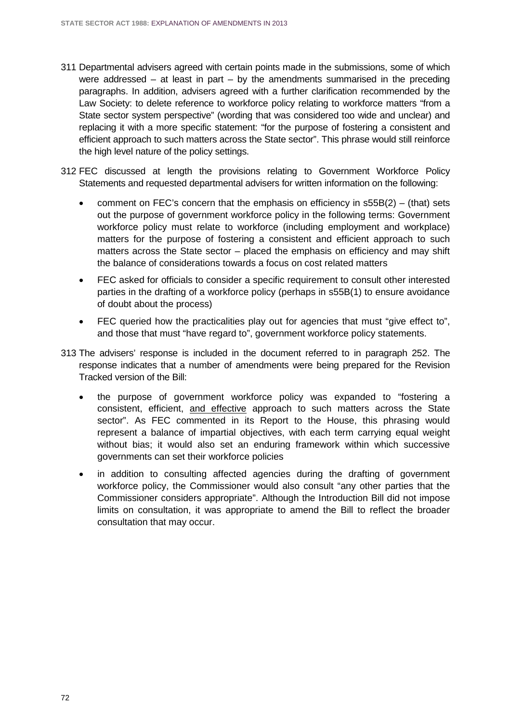- 311 Departmental advisers agreed with certain points made in the submissions, some of which were addressed – at least in part – by the amendments summarised in the preceding paragraphs. In addition, advisers agreed with a further clarification recommended by the Law Society: to delete reference to workforce policy relating to workforce matters "from a State sector system perspective" (wording that was considered too wide and unclear) and replacing it with a more specific statement: "for the purpose of fostering a consistent and efficient approach to such matters across the State sector". This phrase would still reinforce the high level nature of the policy settings.
- 312 FEC discussed at length the provisions relating to Government Workforce Policy Statements and requested departmental advisers for written information on the following:
	- comment on FEC's concern that the emphasis on efficiency in  $s55B(2) (that)$  sets out the purpose of government workforce policy in the following terms: Government workforce policy must relate to workforce (including employment and workplace) matters for the purpose of fostering a consistent and efficient approach to such matters across the State sector – placed the emphasis on efficiency and may shift the balance of considerations towards a focus on cost related matters
	- FEC asked for officials to consider a specific requirement to consult other interested parties in the drafting of a workforce policy (perhaps in s55B(1) to ensure avoidance of doubt about the process)
	- FEC queried how the practicalities play out for agencies that must "give effect to", and those that must "have regard to", government workforce policy statements.
- 313 The advisers' response is included in the document referred to in paragraph 252. The response indicates that a number of amendments were being prepared for the Revision Tracked version of the Bill:
	- the purpose of government workforce policy was expanded to "fostering a consistent, efficient, and effective approach to such matters across the State sector". As FEC commented in its Report to the House, this phrasing would represent a balance of impartial objectives, with each term carrying equal weight without bias; it would also set an enduring framework within which successive governments can set their workforce policies
	- in addition to consulting affected agencies during the drafting of government workforce policy, the Commissioner would also consult "any other parties that the Commissioner considers appropriate". Although the Introduction Bill did not impose limits on consultation, it was appropriate to amend the Bill to reflect the broader consultation that may occur.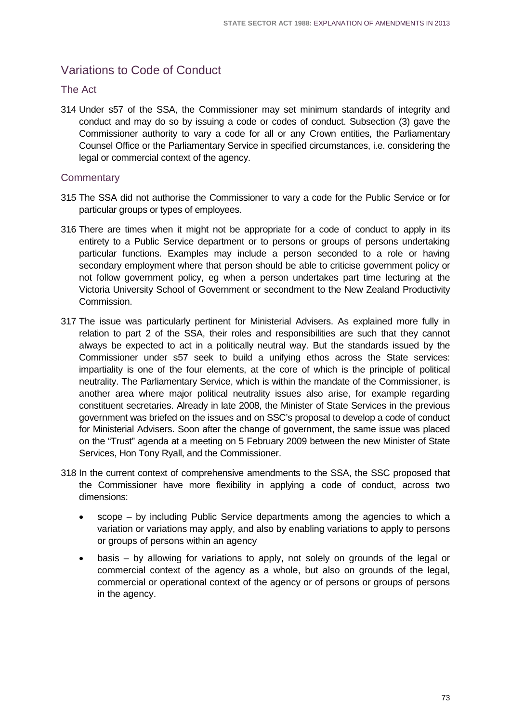# Variations to Code of Conduct

## The Act

314 Under s57 of the SSA, the Commissioner may set minimum standards of integrity and conduct and may do so by issuing a code or codes of conduct. Subsection (3) gave the Commissioner authority to vary a code for all or any Crown entities, the Parliamentary Counsel Office or the Parliamentary Service in specified circumstances, i.e. considering the legal or commercial context of the agency.

- 315 The SSA did not authorise the Commissioner to vary a code for the Public Service or for particular groups or types of employees.
- 316 There are times when it might not be appropriate for a code of conduct to apply in its entirety to a Public Service department or to persons or groups of persons undertaking particular functions. Examples may include a person seconded to a role or having secondary employment where that person should be able to criticise government policy or not follow government policy, eg when a person undertakes part time lecturing at the Victoria University School of Government or secondment to the New Zealand Productivity Commission.
- 317 The issue was particularly pertinent for Ministerial Advisers. As explained more fully in relation to part 2 of the SSA, their roles and responsibilities are such that they cannot always be expected to act in a politically neutral way. But the standards issued by the Commissioner under s57 seek to build a unifying ethos across the State services: impartiality is one of the four elements, at the core of which is the principle of political neutrality. The Parliamentary Service, which is within the mandate of the Commissioner, is another area where major political neutrality issues also arise, for example regarding constituent secretaries. Already in late 2008, the Minister of State Services in the previous government was briefed on the issues and on SSC's proposal to develop a code of conduct for Ministerial Advisers. Soon after the change of government, the same issue was placed on the "Trust" agenda at a meeting on 5 February 2009 between the new Minister of State Services, Hon Tony Ryall, and the Commissioner.
- 318 In the current context of comprehensive amendments to the SSA, the SSC proposed that the Commissioner have more flexibility in applying a code of conduct, across two dimensions:
	- scope by including Public Service departments among the agencies to which a variation or variations may apply, and also by enabling variations to apply to persons or groups of persons within an agency
	- basis by allowing for variations to apply, not solely on grounds of the legal or commercial context of the agency as a whole, but also on grounds of the legal, commercial or operational context of the agency or of persons or groups of persons in the agency.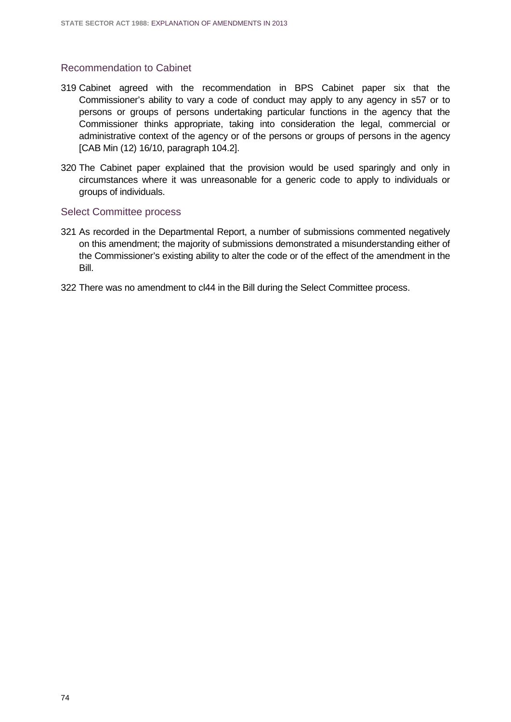## Recommendation to Cabinet

- 319 Cabinet agreed with the recommendation in BPS Cabinet paper six that the Commissioner's ability to vary a code of conduct may apply to any agency in s57 or to persons or groups of persons undertaking particular functions in the agency that the Commissioner thinks appropriate, taking into consideration the legal, commercial or administrative context of the agency or of the persons or groups of persons in the agency [CAB Min (12) 16/10, paragraph 104.2].
- 320 The Cabinet paper explained that the provision would be used sparingly and only in circumstances where it was unreasonable for a generic code to apply to individuals or groups of individuals.

#### Select Committee process

- 321 As recorded in the Departmental Report, a number of submissions commented negatively on this amendment; the majority of submissions demonstrated a misunderstanding either of the Commissioner's existing ability to alter the code or of the effect of the amendment in the Bill.
- 322 There was no amendment to cl44 in the Bill during the Select Committee process.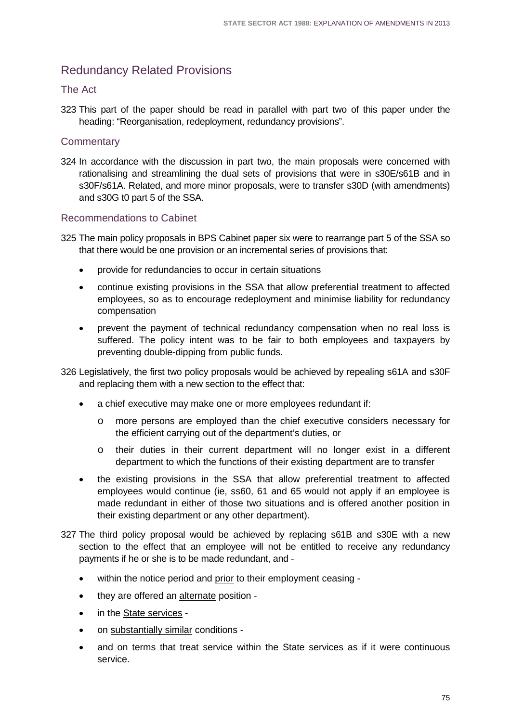## Redundancy Related Provisions

## The Act

323 This part of the paper should be read in parallel with part two of this paper under the heading: "Reorganisation, redeployment, redundancy provisions".

## **Commentary**

324 In accordance with the discussion in part two, the main proposals were concerned with rationalising and streamlining the dual sets of provisions that were in s30E/s61B and in s30F/s61A. Related, and more minor proposals, were to transfer s30D (with amendments) and s30G t0 part 5 of the SSA.

## Recommendations to Cabinet

325 The main policy proposals in BPS Cabinet paper six were to rearrange part 5 of the SSA so that there would be one provision or an incremental series of provisions that:

- provide for redundancies to occur in certain situations
- continue existing provisions in the SSA that allow preferential treatment to affected employees, so as to encourage redeployment and minimise liability for redundancy compensation
- prevent the payment of technical redundancy compensation when no real loss is suffered. The policy intent was to be fair to both employees and taxpayers by preventing double-dipping from public funds.

326 Legislatively, the first two policy proposals would be achieved by repealing s61A and s30F and replacing them with a new section to the effect that:

- a chief executive may make one or more employees redundant if:
	- o more persons are employed than the chief executive considers necessary for the efficient carrying out of the department's duties, or
	- o their duties in their current department will no longer exist in a different department to which the functions of their existing department are to transfer
- the existing provisions in the SSA that allow preferential treatment to affected employees would continue (ie, ss60, 61 and 65 would not apply if an employee is made redundant in either of those two situations and is offered another position in their existing department or any other department).
- 327 The third policy proposal would be achieved by replacing s61B and s30E with a new section to the effect that an employee will not be entitled to receive any redundancy payments if he or she is to be made redundant, and -
	- within the notice period and prior to their employment ceasing -
	- they are offered an alternate position -
	- in the State services -
	- on substantially similar conditions -
	- and on terms that treat service within the State services as if it were continuous service.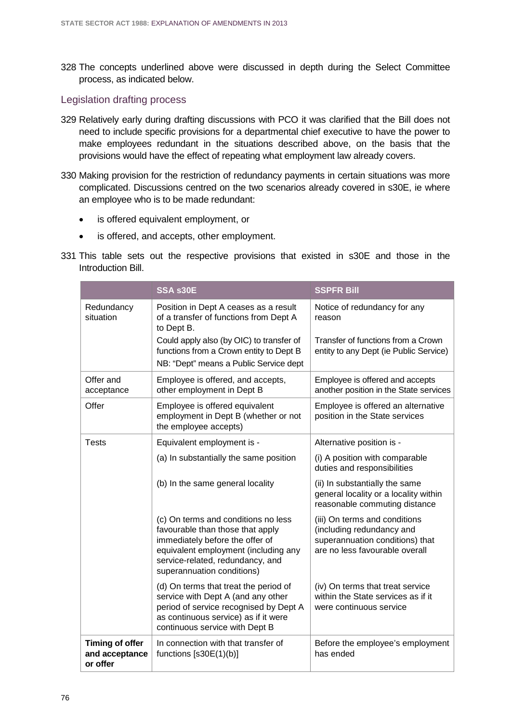328 The concepts underlined above were discussed in depth during the Select Committee process, as indicated below.

### Legislation drafting process

- 329 Relatively early during drafting discussions with PCO it was clarified that the Bill does not need to include specific provisions for a departmental chief executive to have the power to make employees redundant in the situations described above, on the basis that the provisions would have the effect of repeating what employment law already covers.
- 330 Making provision for the restriction of redundancy payments in certain situations was more complicated. Discussions centred on the two scenarios already covered in s30E, ie where an employee who is to be made redundant:
	- is offered equivalent employment, or
	- is offered, and accepts, other employment.
- 331 This table sets out the respective provisions that existed in s30E and those in the Introduction Bill.

|                                                      | SSA s30E                                                                                                                                                                                                             | <b>SSPFR Bill</b>                                                                                                               |
|------------------------------------------------------|----------------------------------------------------------------------------------------------------------------------------------------------------------------------------------------------------------------------|---------------------------------------------------------------------------------------------------------------------------------|
| Redundancy<br>situation                              | Position in Dept A ceases as a result<br>of a transfer of functions from Dept A<br>to Dept B.                                                                                                                        | Notice of redundancy for any<br>reason                                                                                          |
|                                                      | Could apply also (by OIC) to transfer of<br>functions from a Crown entity to Dept B<br>NB: "Dept" means a Public Service dept                                                                                        | Transfer of functions from a Crown<br>entity to any Dept (ie Public Service)                                                    |
| Offer and<br>acceptance                              | Employee is offered, and accepts,<br>other employment in Dept B                                                                                                                                                      | Employee is offered and accepts<br>another position in the State services                                                       |
| Offer                                                | Employee is offered equivalent<br>employment in Dept B (whether or not<br>the employee accepts)                                                                                                                      | Employee is offered an alternative<br>position in the State services                                                            |
| <b>Tests</b>                                         | Equivalent employment is -                                                                                                                                                                                           | Alternative position is -                                                                                                       |
|                                                      | (a) In substantially the same position                                                                                                                                                                               | (i) A position with comparable<br>duties and responsibilities                                                                   |
|                                                      | (b) In the same general locality                                                                                                                                                                                     | (ii) In substantially the same<br>general locality or a locality within<br>reasonable commuting distance                        |
|                                                      | (c) On terms and conditions no less<br>favourable than those that apply<br>immediately before the offer of<br>equivalent employment (including any<br>service-related, redundancy, and<br>superannuation conditions) | (iii) On terms and conditions<br>(including redundancy and<br>superannuation conditions) that<br>are no less favourable overall |
|                                                      | (d) On terms that treat the period of<br>service with Dept A (and any other<br>period of service recognised by Dept A<br>as continuous service) as if it were<br>continuous service with Dept B                      | (iv) On terms that treat service<br>within the State services as if it<br>were continuous service                               |
| <b>Timing of offer</b><br>and acceptance<br>or offer | In connection with that transfer of<br>functions $[$ s30E $(1)(b)]$                                                                                                                                                  | Before the employee's employment<br>has ended                                                                                   |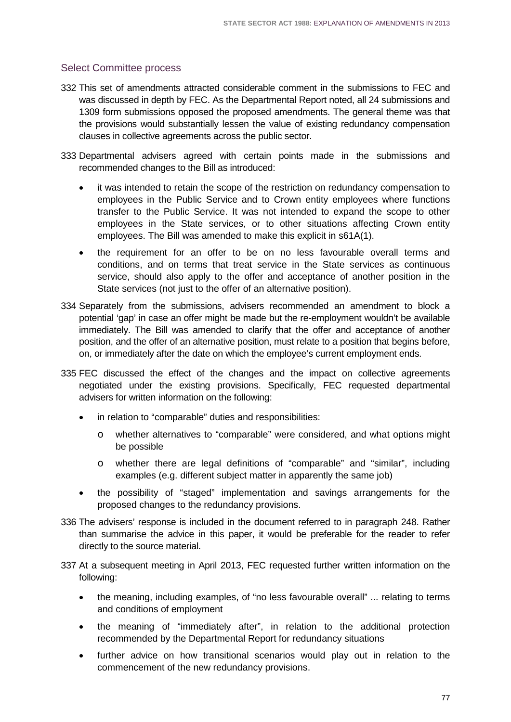## Select Committee process

- 332 This set of amendments attracted considerable comment in the submissions to FEC and was discussed in depth by FEC. As the Departmental Report noted, all 24 submissions and 1309 form submissions opposed the proposed amendments. The general theme was that the provisions would substantially lessen the value of existing redundancy compensation clauses in collective agreements across the public sector.
- 333 Departmental advisers agreed with certain points made in the submissions and recommended changes to the Bill as introduced:
	- it was intended to retain the scope of the restriction on redundancy compensation to employees in the Public Service and to Crown entity employees where functions transfer to the Public Service. It was not intended to expand the scope to other employees in the State services, or to other situations affecting Crown entity employees. The Bill was amended to make this explicit in s61A(1).
	- the requirement for an offer to be on no less favourable overall terms and conditions, and on terms that treat service in the State services as continuous service, should also apply to the offer and acceptance of another position in the State services (not just to the offer of an alternative position).
- 334 Separately from the submissions, advisers recommended an amendment to block a potential 'gap' in case an offer might be made but the re-employment wouldn't be available immediately. The Bill was amended to clarify that the offer and acceptance of another position, and the offer of an alternative position, must relate to a position that begins before, on, or immediately after the date on which the employee's current employment ends.
- 335 FEC discussed the effect of the changes and the impact on collective agreements negotiated under the existing provisions. Specifically, FEC requested departmental advisers for written information on the following:
	- in relation to "comparable" duties and responsibilities:
		- o whether alternatives to "comparable" were considered, and what options might be possible
		- o whether there are legal definitions of "comparable" and "similar", including examples (e.g. different subject matter in apparently the same job)
	- the possibility of "staged" implementation and savings arrangements for the proposed changes to the redundancy provisions.
- 336 The advisers' response is included in the document referred to in paragraph 248. Rather than summarise the advice in this paper, it would be preferable for the reader to refer directly to the source material.
- 337 At a subsequent meeting in April 2013, FEC requested further written information on the following:
	- the meaning, including examples, of "no less favourable overall" ... relating to terms and conditions of employment
	- the meaning of "immediately after", in relation to the additional protection recommended by the Departmental Report for redundancy situations
	- further advice on how transitional scenarios would play out in relation to the commencement of the new redundancy provisions.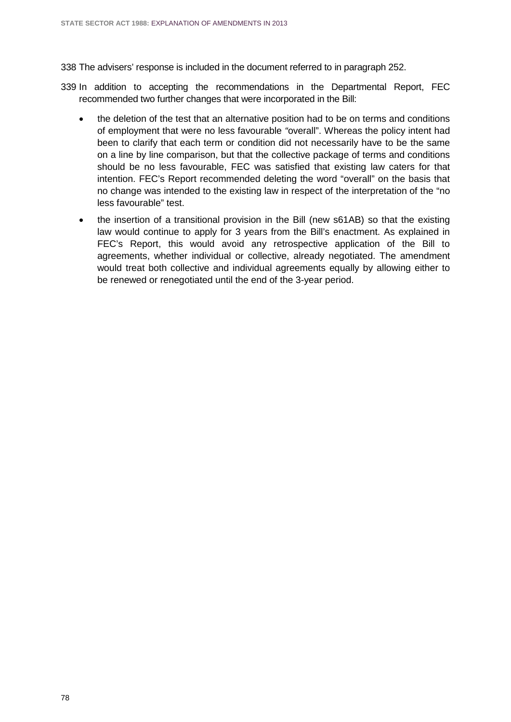338 The advisers' response is included in the document referred to in paragraph 252.

- 339 In addition to accepting the recommendations in the Departmental Report, FEC recommended two further changes that were incorporated in the Bill:
	- the deletion of the test that an alternative position had to be on terms and conditions of employment that were no less favourable *"*overall". Whereas the policy intent had been to clarify that each term or condition did not necessarily have to be the same on a line by line comparison, but that the collective package of terms and conditions should be no less favourable, FEC was satisfied that existing law caters for that intention. FEC's Report recommended deleting the word "overall" on the basis that no change was intended to the existing law in respect of the interpretation of the "no less favourable" test.
	- the insertion of a transitional provision in the Bill (new s61AB) so that the existing law would continue to apply for 3 years from the Bill's enactment. As explained in FEC's Report, this would avoid any retrospective application of the Bill to agreements, whether individual or collective, already negotiated. The amendment would treat both collective and individual agreements equally by allowing either to be renewed or renegotiated until the end of the 3-year period.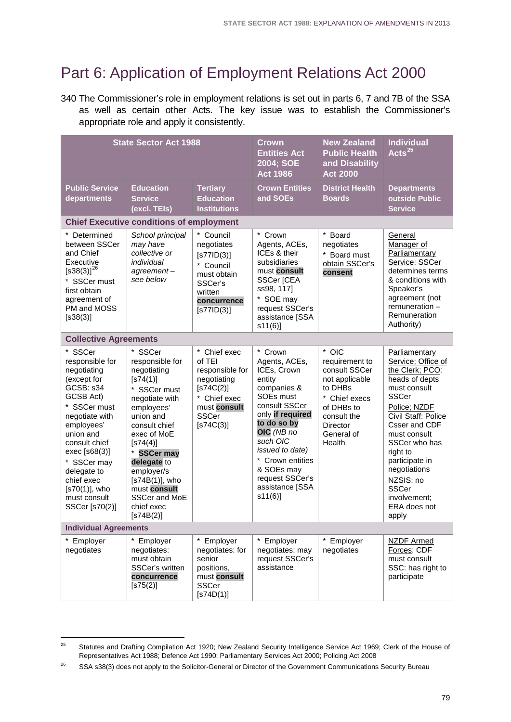# Part 6: Application of Employment Relations Act 2000

340 The Commissioner's role in employment relations is set out in parts 6, 7 and 7B of the SSA as well as certain other Acts. The key issue was to establish the Commissioner's appropriate role and apply it consistently.

| <b>State Sector Act 1988</b>                                                                                                                                                                                                                                                        |                                                                                                                                                                                                                                                                                                                       |                                                                                                                                      | <b>Crown</b><br><b>Entities Act</b><br>2004; SOE<br><b>Act 1986</b>                                                                                                                                                                                                                       | <b>New Zealand</b><br><b>Public Health</b><br>and Disability<br><b>Act 2000</b>                                                                         | <b>Individual</b><br>Acts $^{25}$                                                                                                                                                                                                                                                                                     |  |  |
|-------------------------------------------------------------------------------------------------------------------------------------------------------------------------------------------------------------------------------------------------------------------------------------|-----------------------------------------------------------------------------------------------------------------------------------------------------------------------------------------------------------------------------------------------------------------------------------------------------------------------|--------------------------------------------------------------------------------------------------------------------------------------|-------------------------------------------------------------------------------------------------------------------------------------------------------------------------------------------------------------------------------------------------------------------------------------------|---------------------------------------------------------------------------------------------------------------------------------------------------------|-----------------------------------------------------------------------------------------------------------------------------------------------------------------------------------------------------------------------------------------------------------------------------------------------------------------------|--|--|
| <b>Public Service</b><br>departments                                                                                                                                                                                                                                                | <b>Education</b><br><b>Service</b><br>(excl. TEIs)                                                                                                                                                                                                                                                                    | <b>Tertiary</b><br><b>Education</b><br><b>Institutions</b>                                                                           | <b>Crown Entities</b><br>and SOEs                                                                                                                                                                                                                                                         | <b>District Health</b><br><b>Boards</b>                                                                                                                 | <b>Departments</b><br>outside Public<br><b>Service</b>                                                                                                                                                                                                                                                                |  |  |
| <b>Chief Executive conditions of employment</b>                                                                                                                                                                                                                                     |                                                                                                                                                                                                                                                                                                                       |                                                                                                                                      |                                                                                                                                                                                                                                                                                           |                                                                                                                                                         |                                                                                                                                                                                                                                                                                                                       |  |  |
| * Determined<br>between SSCer<br>and Chief<br>Executive<br>$[$ s38(3)] <sup>26</sup><br>* SSCer must<br>first obtain<br>agreement of<br>PM and MOSS<br>[ <b>s</b> 38(3)]                                                                                                            | School principal<br>may have<br>collective or<br>individual<br>$agreement -$<br>see below                                                                                                                                                                                                                             | * Council<br>negotiates<br>$[$ s77ID $(3)$ ]<br>* Council<br>must obtain<br>SSCer's<br>written<br>concurrence<br>$[$ s77ID $(3)$ ]   | * Crown<br>Agents, ACEs,<br>ICEs & their<br>subsidiaries<br>must consult<br>SSCer [CEA<br>ss98, 117]<br>* SOE may<br>request SSCer's<br>assistance [SSA<br>s11(6)                                                                                                                         | * Board<br>negotiates<br>* Board must<br>obtain SSCer's<br>consent                                                                                      | General<br>Manager of<br>Parliamentary<br>Service: SSCer<br>determines terms<br>& conditions with<br>Speaker's<br>agreement (not<br>$remuneration -$<br>Remuneration<br>Authority)                                                                                                                                    |  |  |
| <b>Collective Agreements</b>                                                                                                                                                                                                                                                        |                                                                                                                                                                                                                                                                                                                       |                                                                                                                                      |                                                                                                                                                                                                                                                                                           |                                                                                                                                                         |                                                                                                                                                                                                                                                                                                                       |  |  |
| * SSCer<br>responsible for<br>negotiating<br>(except for<br>GCSB: s34<br>GCSB Act)<br>* SSCer must<br>negotiate with<br>employees'<br>union and<br>consult chief<br>exec [s68(3)]<br>* SSCer may<br>delegate to<br>chief exec<br>$[s70(1)]$ , who<br>must consult<br>SSCer [s70(2)] | * SSCer<br>responsible for<br>negotiating<br>[ <b>s</b> 74(1)]<br>* SSCer must<br>negotiate with<br>employees'<br>union and<br>consult chief<br>exec of MoE<br>[ <b>s</b> 74(4)]<br><b>SSCer may</b><br>delegate to<br>employer/s<br>[s74B(1)], who<br>must consult<br>SSCer and MoE<br>chief exec<br>$[$ s74B $(2)]$ | * Chief exec<br>of TEI<br>responsible for<br>negotiating<br>[\$74C(2)]<br>* Chief exec<br>must consult<br><b>SSCer</b><br>[\$74C(3)] | $\star$<br>Crown<br>Agents, ACEs,<br>ICEs, Crown<br>entity<br>companies &<br>SOE <sub>s</sub> must<br>consult SSCer<br>only if required<br>to do so by<br>OIC (NB no<br>such OIC<br>issued to date)<br>* Crown entities<br>& SOEs may<br>request SSCer's<br>assistance [SSA<br>$s11(6)$ ] | * OIC<br>requirement to<br>consult SSCer<br>not applicable<br>to DHBs<br>* Chief execs<br>of DHBs to<br>consult the<br>Director<br>General of<br>Health | Parliamentary<br>Service; Office of<br>the Clerk; PCO:<br>heads of depts<br>must consult<br><b>SSCer</b><br>Police; NZDF<br>Civil Staff: Police<br>Csser and CDF<br>must consult<br>SSCer who has<br>right to<br>participate in<br>negotiations<br>NZSIS: no<br><b>SSCer</b><br>involvement;<br>ERA does not<br>apply |  |  |
| <b>Individual Agreements</b>                                                                                                                                                                                                                                                        |                                                                                                                                                                                                                                                                                                                       |                                                                                                                                      |                                                                                                                                                                                                                                                                                           |                                                                                                                                                         |                                                                                                                                                                                                                                                                                                                       |  |  |
| * Employer<br>negotiates                                                                                                                                                                                                                                                            | * Employer<br>negotiates:<br>must obtain<br>SSCer's written<br>concurrence<br>[ <b>s</b> 75(2)]                                                                                                                                                                                                                       | * Employer<br>negotiates: for<br>senior<br>positions,<br>must consult<br><b>SSCer</b><br>[ <b>s74D(1)</b> ]                          | Employer<br>negotiates: may<br>request SSCer's<br>assistance                                                                                                                                                                                                                              | * Employer<br>negotiates                                                                                                                                | <b>NZDF Armed</b><br>Forces: CDF<br>must consult<br>SSC: has right to<br>participate                                                                                                                                                                                                                                  |  |  |

<span id="page-82-0"></span><sup>25</sup> Statutes and Drafting Compilation Act 1920; New Zealand Security Intelligence Service Act 1969; Clerk of the House of Representatives Act 1988; Defence Act 1990; Parliamentary Services Act 2000; Policing Act 2008 25

<span id="page-82-1"></span><sup>&</sup>lt;sup>26</sup> SSA s38(3) does not apply to the Solicitor-General or Director of the Government Communications Security Bureau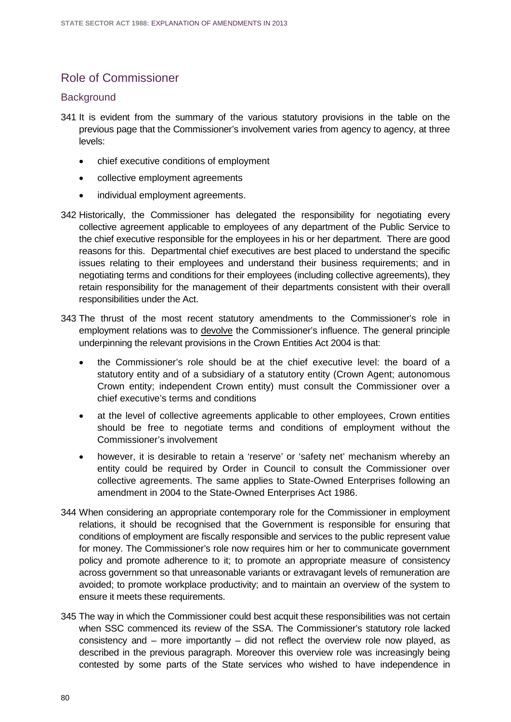# Role of Commissioner

## **Background**

- 341 It is evident from the summary of the various statutory provisions in the table on the previous page that the Commissioner's involvement varies from agency to agency, at three levels:
	- chief executive conditions of employment
	- collective employment agreements
	- individual employment agreements.
- 342 Historically, the Commissioner has delegated the responsibility for negotiating every collective agreement applicable to employees of any department of the Public Service to the chief executive responsible for the employees in his or her department. There are good reasons for this. Departmental chief executives are best placed to understand the specific issues relating to their employees and understand their business requirements; and in negotiating terms and conditions for their employees (including collective agreements), they retain responsibility for the management of their departments consistent with their overall responsibilities under the Act.
- 343 The thrust of the most recent statutory amendments to the Commissioner's role in employment relations was to devolve the Commissioner's influence. The general principle underpinning the relevant provisions in the Crown Entities Act 2004 is that:
	- the Commissioner's role should be at the chief executive level: the board of a statutory entity and of a subsidiary of a statutory entity (Crown Agent; autonomous Crown entity; independent Crown entity) must consult the Commissioner over a chief executive's terms and conditions
	- at the level of collective agreements applicable to other employees, Crown entities should be free to negotiate terms and conditions of employment without the Commissioner's involvement
	- however, it is desirable to retain a 'reserve' or 'safety net' mechanism whereby an entity could be required by Order in Council to consult the Commissioner over collective agreements. The same applies to State-Owned Enterprises following an amendment in 2004 to the State-Owned Enterprises Act 1986.
- 344 When considering an appropriate contemporary role for the Commissioner in employment relations, it should be recognised that the Government is responsible for ensuring that conditions of employment are fiscally responsible and services to the public represent value for money. The Commissioner's role now requires him or her to communicate government policy and promote adherence to it; to promote an appropriate measure of consistency across government so that unreasonable variants or extravagant levels of remuneration are avoided; to promote workplace productivity; and to maintain an overview of the system to ensure it meets these requirements.
- 345 The way in which the Commissioner could best acquit these responsibilities was not certain when SSC commenced its review of the SSA. The Commissioner's statutory role lacked consistency and – more importantly – did not reflect the overview role now played, as described in the previous paragraph. Moreover this overview role was increasingly being contested by some parts of the State services who wished to have independence in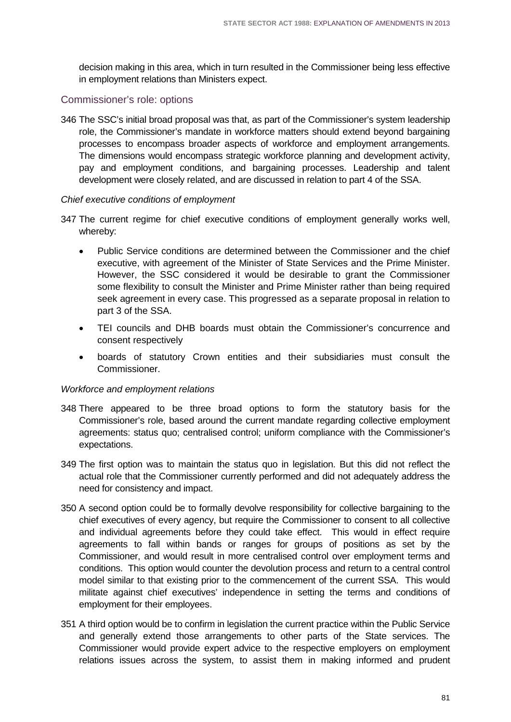decision making in this area, which in turn resulted in the Commissioner being less effective in employment relations than Ministers expect.

## Commissioner's role: options

346 The SSC's initial broad proposal was that, as part of the Commissioner's system leadership role, the Commissioner's mandate in workforce matters should extend beyond bargaining processes to encompass broader aspects of workforce and employment arrangements. The dimensions would encompass strategic workforce planning and development activity, pay and employment conditions, and bargaining processes. Leadership and talent development were closely related, and are discussed in relation to part 4 of the SSA.

#### *Chief executive conditions of employment*

- 347 The current regime for chief executive conditions of employment generally works well, whereby:
	- Public Service conditions are determined between the Commissioner and the chief executive, with agreement of the Minister of State Services and the Prime Minister. However, the SSC considered it would be desirable to grant the Commissioner some flexibility to consult the Minister and Prime Minister rather than being required seek agreement in every case. This progressed as a separate proposal in relation to part 3 of the SSA.
	- TEI councils and DHB boards must obtain the Commissioner's concurrence and consent respectively
	- boards of statutory Crown entities and their subsidiaries must consult the Commissioner.

#### *Workforce and employment relations*

- 348 There appeared to be three broad options to form the statutory basis for the Commissioner's role, based around the current mandate regarding collective employment agreements: status quo; centralised control; uniform compliance with the Commissioner's expectations.
- 349 The first option was to maintain the status quo in legislation. But this did not reflect the actual role that the Commissioner currently performed and did not adequately address the need for consistency and impact.
- 350 A second option could be to formally devolve responsibility for collective bargaining to the chief executives of every agency, but require the Commissioner to consent to all collective and individual agreements before they could take effect. This would in effect require agreements to fall within bands or ranges for groups of positions as set by the Commissioner, and would result in more centralised control over employment terms and conditions. This option would counter the devolution process and return to a central control model similar to that existing prior to the commencement of the current SSA. This would militate against chief executives' independence in setting the terms and conditions of employment for their employees.
- 351 A third option would be to confirm in legislation the current practice within the Public Service and generally extend those arrangements to other parts of the State services. The Commissioner would provide expert advice to the respective employers on employment relations issues across the system, to assist them in making informed and prudent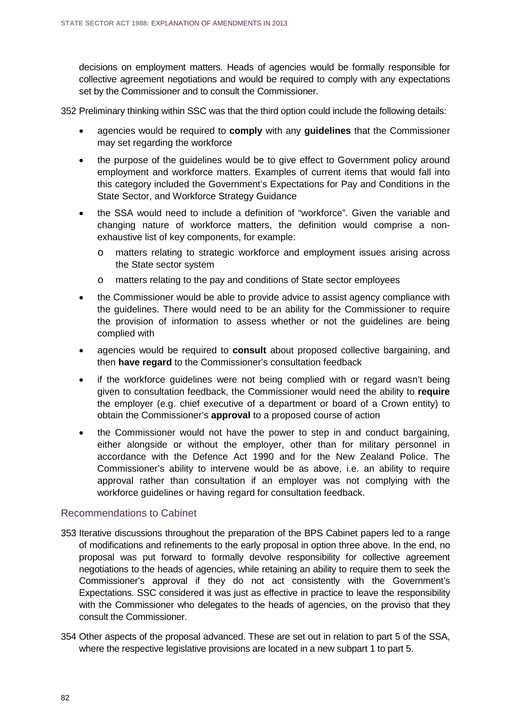decisions on employment matters. Heads of agencies would be formally responsible for collective agreement negotiations and would be required to comply with any expectations set by the Commissioner and to consult the Commissioner.

352 Preliminary thinking within SSC was that the third option could include the following details:

- agencies would be required to **comply** with any **guidelines** that the Commissioner may set regarding the workforce
- the purpose of the guidelines would be to give effect to Government policy around employment and workforce matters. Examples of current items that would fall into this category included the Government's Expectations for Pay and Conditions in the State Sector, and Workforce Strategy Guidance
- the SSA would need to include a definition of "workforce". Given the variable and changing nature of workforce matters, the definition would comprise a nonexhaustive list of key components, for example:
	- o matters relating to strategic workforce and employment issues arising across the State sector system
	- o matters relating to the pay and conditions of State sector employees
- the Commissioner would be able to provide advice to assist agency compliance with the guidelines. There would need to be an ability for the Commissioner to require the provision of information to assess whether or not the guidelines are being complied with
- agencies would be required to **consult** about proposed collective bargaining, and then **have regard** to the Commissioner's consultation feedback
- if the workforce guidelines were not being complied with or regard wasn't being given to consultation feedback, the Commissioner would need the ability to **require** the employer (e.g. chief executive of a department or board of a Crown entity) to obtain the Commissioner's **approval** to a proposed course of action
- the Commissioner would not have the power to step in and conduct bargaining, either alongside or without the employer, other than for military personnel in accordance with the Defence Act 1990 and for the New Zealand Police. The Commissioner's ability to intervene would be as above, i.e. an ability to require approval rather than consultation if an employer was not complying with the workforce guidelines or having regard for consultation feedback.

#### Recommendations to Cabinet

- 353 Iterative discussions throughout the preparation of the BPS Cabinet papers led to a range of modifications and refinements to the early proposal in option three above. In the end, no proposal was put forward to formally devolve responsibility for collective agreement negotiations to the heads of agencies, while retaining an ability to require them to seek the Commissioner's approval if they do not act consistently with the Government's Expectations. SSC considered it was just as effective in practice to leave the responsibility with the Commissioner who delegates to the heads of agencies, on the proviso that they consult the Commissioner.
- 354 Other aspects of the proposal advanced. These are set out in relation to part 5 of the SSA, where the respective legislative provisions are located in a new subpart 1 to part 5.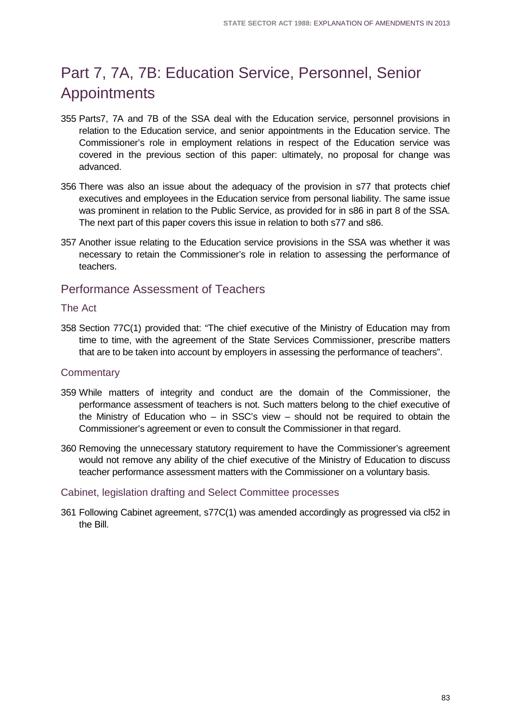# Part 7, 7A, 7B: Education Service, Personnel, Senior Appointments

- 355 Parts7, 7A and 7B of the SSA deal with the Education service, personnel provisions in relation to the Education service, and senior appointments in the Education service. The Commissioner's role in employment relations in respect of the Education service was covered in the previous section of this paper: ultimately, no proposal for change was advanced.
- 356 There was also an issue about the adequacy of the provision in s77 that protects chief executives and employees in the Education service from personal liability. The same issue was prominent in relation to the Public Service, as provided for in s86 in part 8 of the SSA. The next part of this paper covers this issue in relation to both s77 and s86.
- 357 Another issue relating to the Education service provisions in the SSA was whether it was necessary to retain the Commissioner's role in relation to assessing the performance of teachers.

## Performance Assessment of Teachers

## The Act

358 Section 77C(1) provided that: "The chief executive of the Ministry of Education may from time to time, with the agreement of the State Services Commissioner, prescribe matters that are to be taken into account by employers in assessing the performance of teachers".

## **Commentary**

- 359 While matters of integrity and conduct are the domain of the Commissioner, the performance assessment of teachers is not. Such matters belong to the chief executive of the Ministry of Education who – in SSC's view – should not be required to obtain the Commissioner's agreement or even to consult the Commissioner in that regard.
- 360 Removing the unnecessary statutory requirement to have the Commissioner's agreement would not remove any ability of the chief executive of the Ministry of Education to discuss teacher performance assessment matters with the Commissioner on a voluntary basis.

## Cabinet, legislation drafting and Select Committee processes

361 Following Cabinet agreement, s77C(1) was amended accordingly as progressed via cl52 in the Bill.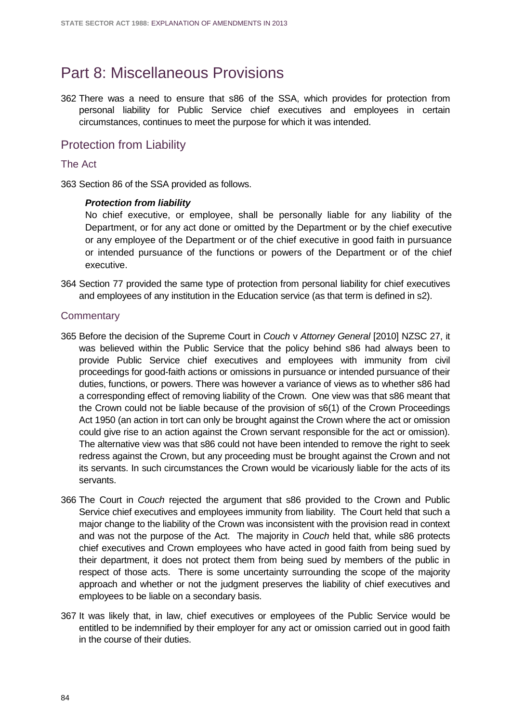# Part 8: Miscellaneous Provisions

362 There was a need to ensure that s86 of the SSA, which provides for protection from personal liability for Public Service chief executives and employees in certain circumstances, continues to meet the purpose for which it was intended.

## Protection from Liability

### The Act

363 Section 86 of the SSA provided as follows.

### *Protection from liability*

No chief executive, or employee, shall be personally liable for any liability of the Department, or for any act done or omitted by the Department or by the chief executive or any employee of the Department or of the chief executive in good faith in pursuance or intended pursuance of the functions or powers of the Department or of the chief executive.

364 Section 77 provided the same type of protection from personal liability for chief executives and employees of any institution in the Education service (as that term is defined in s2).

- 365 Before the decision of the Supreme Court in *Couch* v *Attorney General* [2010] NZSC 27, it was believed within the Public Service that the policy behind s86 had always been to provide Public Service chief executives and employees with immunity from civil proceedings for good-faith actions or omissions in pursuance or intended pursuance of their duties, functions, or powers. There was however a variance of views as to whether s86 had a corresponding effect of removing liability of the Crown. One view was that s86 meant that the Crown could not be liable because of the provision of s6(1) of the Crown Proceedings Act 1950 (an action in tort can only be brought against the Crown where the act or omission could give rise to an action against the Crown servant responsible for the act or omission). The alternative view was that s86 could not have been intended to remove the right to seek redress against the Crown, but any proceeding must be brought against the Crown and not its servants. In such circumstances the Crown would be vicariously liable for the acts of its servants.
- 366 The Court in *Couch* rejected the argument that s86 provided to the Crown and Public Service chief executives and employees immunity from liability. The Court held that such a major change to the liability of the Crown was inconsistent with the provision read in context and was not the purpose of the Act. The majority in *Couch* held that, while s86 protects chief executives and Crown employees who have acted in good faith from being sued by their department, it does not protect them from being sued by members of the public in respect of those acts. There is some uncertainty surrounding the scope of the majority approach and whether or not the judgment preserves the liability of chief executives and employees to be liable on a secondary basis.
- 367 It was likely that, in law, chief executives or employees of the Public Service would be entitled to be indemnified by their employer for any act or omission carried out in good faith in the course of their duties.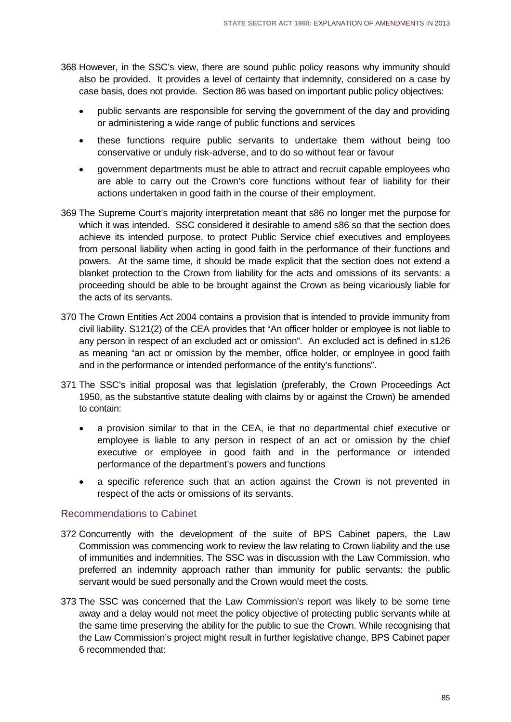- 368 However, in the SSC's view, there are sound public policy reasons why immunity should also be provided. It provides a level of certainty that indemnity, considered on a case by case basis, does not provide. Section 86 was based on important public policy objectives:
	- public servants are responsible for serving the government of the day and providing or administering a wide range of public functions and services
	- these functions require public servants to undertake them without being too conservative or unduly risk-adverse, and to do so without fear or favour
	- government departments must be able to attract and recruit capable employees who are able to carry out the Crown's core functions without fear of liability for their actions undertaken in good faith in the course of their employment.
- 369 The Supreme Court's majority interpretation meant that s86 no longer met the purpose for which it was intended. SSC considered it desirable to amend s86 so that the section does achieve its intended purpose, to protect Public Service chief executives and employees from personal liability when acting in good faith in the performance of their functions and powers. At the same time, it should be made explicit that the section does not extend a blanket protection to the Crown from liability for the acts and omissions of its servants: a proceeding should be able to be brought against the Crown as being vicariously liable for the acts of its servants.
- 370 The Crown Entities Act 2004 contains a provision that is intended to provide immunity from civil liability. S121(2) of the CEA provides that "An officer holder or employee is not liable to any person in respect of an excluded act or omission". An excluded act is defined in s126 as meaning "an act or omission by the member, office holder, or employee in good faith and in the performance or intended performance of the entity's functions".
- 371 The SSC's initial proposal was that legislation (preferably, the Crown Proceedings Act 1950, as the substantive statute dealing with claims by or against the Crown) be amended to contain:
	- a provision similar to that in the CEA, ie that no departmental chief executive or employee is liable to any person in respect of an act or omission by the chief executive or employee in good faith and in the performance or intended performance of the department's powers and functions
	- a specific reference such that an action against the Crown is not prevented in respect of the acts or omissions of its servants.

## Recommendations to Cabinet

- 372 Concurrently with the development of the suite of BPS Cabinet papers, the Law Commission was commencing work to review the law relating to Crown liability and the use of immunities and indemnities. The SSC was in discussion with the Law Commission, who preferred an indemnity approach rather than immunity for public servants: the public servant would be sued personally and the Crown would meet the costs.
- 373 The SSC was concerned that the Law Commission's report was likely to be some time away and a delay would not meet the policy objective of protecting public servants while at the same time preserving the ability for the public to sue the Crown. While recognising that the Law Commission's project might result in further legislative change, BPS Cabinet paper 6 recommended that: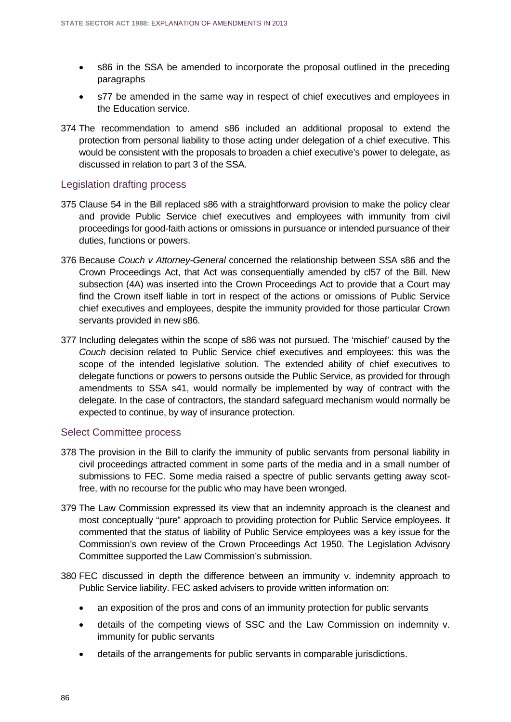- s86 in the SSA be amended to incorporate the proposal outlined in the preceding paragraphs
- s77 be amended in the same way in respect of chief executives and employees in the Education service.
- 374 The recommendation to amend s86 included an additional proposal to extend the protection from personal liability to those acting under delegation of a chief executive. This would be consistent with the proposals to broaden a chief executive's power to delegate, as discussed in relation to part 3 of the SSA.

## Legislation drafting process

- 375 Clause 54 in the Bill replaced s86 with a straightforward provision to make the policy clear and provide Public Service chief executives and employees with immunity from civil proceedings for good-faith actions or omissions in pursuance or intended pursuance of their duties, functions or powers.
- 376 Because *Couch v Attorney-General* concerned the relationship between SSA s86 and the Crown Proceedings Act, that Act was consequentially amended by cl57 of the Bill. New subsection (4A) was inserted into the Crown Proceedings Act to provide that a Court may find the Crown itself liable in tort in respect of the actions or omissions of Public Service chief executives and employees, despite the immunity provided for those particular Crown servants provided in new s86.
- 377 Including delegates within the scope of s86 was not pursued. The 'mischief' caused by the *Couch* decision related to Public Service chief executives and employees: this was the scope of the intended legislative solution. The extended ability of chief executives to delegate functions or powers to persons outside the Public Service, as provided for through amendments to SSA s41, would normally be implemented by way of contract with the delegate. In the case of contractors, the standard safeguard mechanism would normally be expected to continue, by way of insurance protection.

### Select Committee process

- 378 The provision in the Bill to clarify the immunity of public servants from personal liability in civil proceedings attracted comment in some parts of the media and in a small number of submissions to FEC. Some media raised a spectre of public servants getting away scotfree, with no recourse for the public who may have been wronged.
- 379 The Law Commission expressed its view that an indemnity approach is the cleanest and most conceptually "pure" approach to providing protection for Public Service employees. It commented that the status of liability of Public Service employees was a key issue for the Commission's own review of the Crown Proceedings Act 1950. The Legislation Advisory Committee supported the Law Commission's submission.
- 380 FEC discussed in depth the difference between an immunity v. indemnity approach to Public Service liability. FEC asked advisers to provide written information on:
	- an exposition of the pros and cons of an immunity protection for public servants
	- details of the competing views of SSC and the Law Commission on indemnity v. immunity for public servants
	- details of the arrangements for public servants in comparable jurisdictions.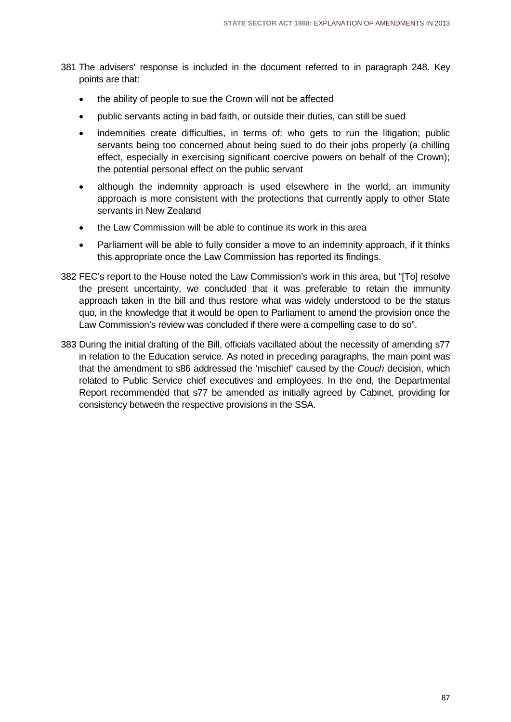- 381 The advisers' response is included in the document referred to in paragraph 248. Key points are that:
	- the ability of people to sue the Crown will not be affected
	- public servants acting in bad faith, or outside their duties, can still be sued
	- indemnities create difficulties, in terms of: who gets to run the litigation; public servants being too concerned about being sued to do their jobs properly (a chilling effect, especially in exercising significant coercive powers on behalf of the Crown); the potential personal effect on the public servant
	- although the indemnity approach is used elsewhere in the world, an immunity approach is more consistent with the protections that currently apply to other State servants in New Zealand
	- the Law Commission will be able to continue its work in this area
	- Parliament will be able to fully consider a move to an indemnity approach, if it thinks this appropriate once the Law Commission has reported its findings.
- 382 FEC's report to the House noted the Law Commission's work in this area, but "[To] resolve the present uncertainty, we concluded that it was preferable to retain the immunity approach taken in the bill and thus restore what was widely understood to be the status quo, in the knowledge that it would be open to Parliament to amend the provision once the Law Commission's review was concluded if there were a compelling case to do so".
- 383 During the initial drafting of the Bill, officials vacillated about the necessity of amending s77 in relation to the Education service. As noted in preceding paragraphs, the main point was that the amendment to s86 addressed the 'mischief' caused by the *Couch* decision, which related to Public Service chief executives and employees. In the end, the Departmental Report recommended that s77 be amended as initially agreed by Cabinet, providing for consistency between the respective provisions in the SSA.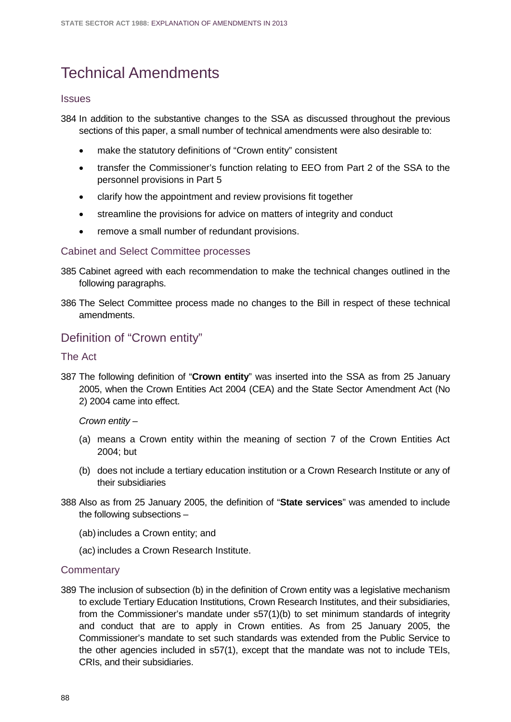# Technical Amendments

#### **Issues**

384 In addition to the substantive changes to the SSA as discussed throughout the previous sections of this paper, a small number of technical amendments were also desirable to:

- make the statutory definitions of "Crown entity" consistent
- transfer the Commissioner's function relating to EEO from Part 2 of the SSA to the personnel provisions in Part 5
- clarify how the appointment and review provisions fit together
- streamline the provisions for advice on matters of integrity and conduct
- remove a small number of redundant provisions.

### Cabinet and Select Committee processes

- 385 Cabinet agreed with each recommendation to make the technical changes outlined in the following paragraphs.
- 386 The Select Committee process made no changes to the Bill in respect of these technical amendments.

## Definition of "Crown entity"

### The Act

387 The following definition of "**Crown entity**" was inserted into the SSA as from 25 January 2005, when the Crown Entities Act 2004 (CEA) and the State Sector Amendment Act (No 2) 2004 came into effect.

#### *Crown entity –*

- (a) means a Crown entity within the meaning of section 7 of the Crown Entities Act 2004; but
- (b) does not include a tertiary education institution or a Crown Research Institute or any of their subsidiaries
- 388 Also as from 25 January 2005, the definition of "**State services**" was amended to include the following subsections –
	- (ab)includes a Crown entity; and
	- (ac) includes a Crown Research Institute.

### **Commentary**

389 The inclusion of subsection (b) in the definition of Crown entity was a legislative mechanism to exclude Tertiary Education Institutions, Crown Research Institutes, and their subsidiaries, from the Commissioner's mandate under s57(1)(b) to set minimum standards of integrity and conduct that are to apply in Crown entities. As from 25 January 2005, the Commissioner's mandate to set such standards was extended from the Public Service to the other agencies included in s57(1), except that the mandate was not to include TEIs, CRIs, and their subsidiaries.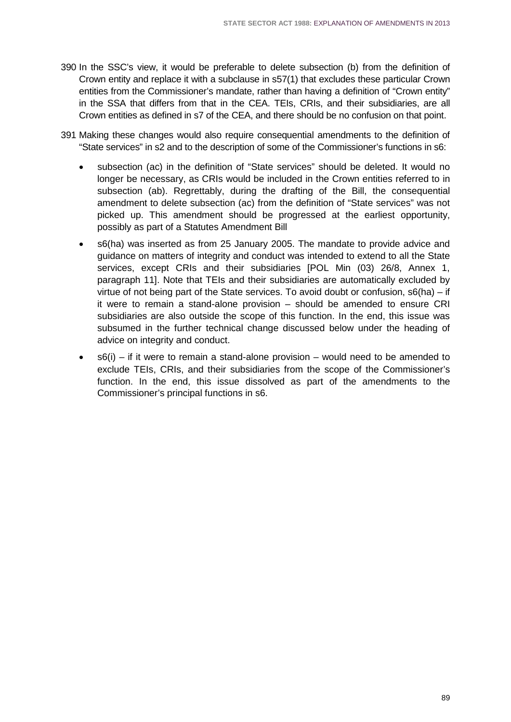- 390 In the SSC's view, it would be preferable to delete subsection (b) from the definition of Crown entity and replace it with a subclause in s57(1) that excludes these particular Crown entities from the Commissioner's mandate, rather than having a definition of "Crown entity" in the SSA that differs from that in the CEA. TEIs, CRIs, and their subsidiaries, are all Crown entities as defined in s7 of the CEA, and there should be no confusion on that point.
- 391 Making these changes would also require consequential amendments to the definition of "State services" in s2 and to the description of some of the Commissioner's functions in s6:
	- subsection (ac) in the definition of "State services" should be deleted. It would no longer be necessary, as CRIs would be included in the Crown entities referred to in subsection (ab). Regrettably, during the drafting of the Bill, the consequential amendment to delete subsection (ac) from the definition of "State services" was not picked up. This amendment should be progressed at the earliest opportunity, possibly as part of a Statutes Amendment Bill
	- s6(ha) was inserted as from 25 January 2005. The mandate to provide advice and guidance on matters of integrity and conduct was intended to extend to all the State services, except CRIs and their subsidiaries [POL Min (03) 26/8, Annex 1, paragraph 11]. Note that TEIs and their subsidiaries are automatically excluded by virtue of not being part of the State services. To avoid doubt or confusion, s6(ha) – if it were to remain a stand-alone provision – should be amended to ensure CRI subsidiaries are also outside the scope of this function. In the end, this issue was subsumed in the further technical change discussed below under the heading of advice on integrity and conduct.
	- $s6(i)$  if it were to remain a stand-alone provision would need to be amended to exclude TEIs, CRIs, and their subsidiaries from the scope of the Commissioner's function. In the end, this issue dissolved as part of the amendments to the Commissioner's principal functions in s6.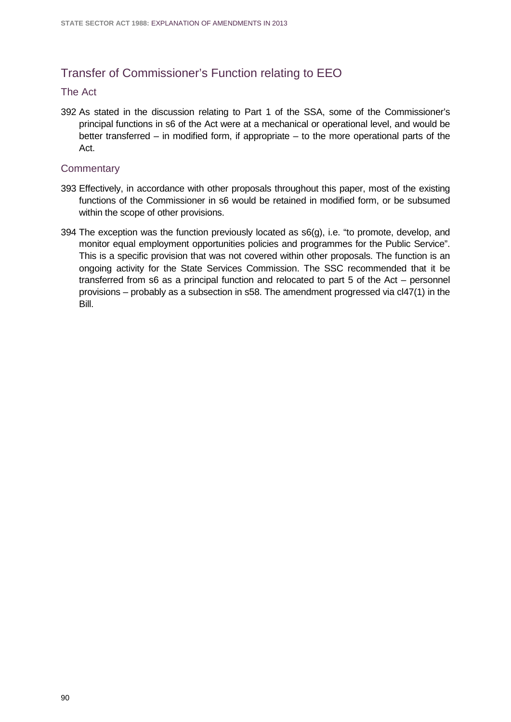## Transfer of Commissioner's Function relating to EEO

#### The Act

392 As stated in the discussion relating to Part 1 of the SSA, some of the Commissioner's principal functions in s6 of the Act were at a mechanical or operational level, and would be better transferred – in modified form, if appropriate – to the more operational parts of the Act.

- 393 Effectively, in accordance with other proposals throughout this paper, most of the existing functions of the Commissioner in s6 would be retained in modified form, or be subsumed within the scope of other provisions.
- 394 The exception was the function previously located as s6(g), i.e. "to promote, develop, and monitor equal employment opportunities policies and programmes for the Public Service". This is a specific provision that was not covered within other proposals. The function is an ongoing activity for the State Services Commission. The SSC recommended that it be transferred from s6 as a principal function and relocated to part 5 of the Act – personnel provisions – probably as a subsection in s58. The amendment progressed via cl47(1) in the Bill.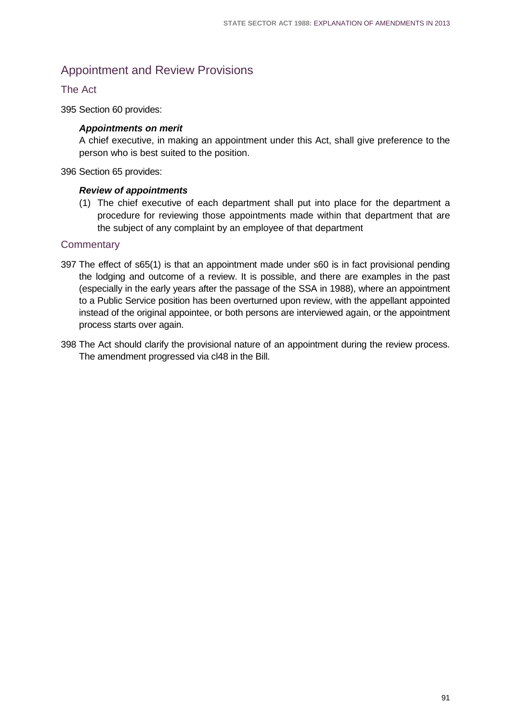# Appointment and Review Provisions

## The Act

395 Section 60 provides:

### *Appointments on merit*

A chief executive, in making an appointment under this Act, shall give preference to the person who is best suited to the position.

396 Section 65 provides:

#### *Review of appointments*

(1) The chief executive of each department shall put into place for the department a procedure for reviewing those appointments made within that department that are the subject of any complaint by an employee of that department

- 397 The effect of s65(1) is that an appointment made under s60 is in fact provisional pending the lodging and outcome of a review. It is possible, and there are examples in the past (especially in the early years after the passage of the SSA in 1988), where an appointment to a Public Service position has been overturned upon review, with the appellant appointed instead of the original appointee, or both persons are interviewed again, or the appointment process starts over again.
- 398 The Act should clarify the provisional nature of an appointment during the review process. The amendment progressed via cl48 in the Bill.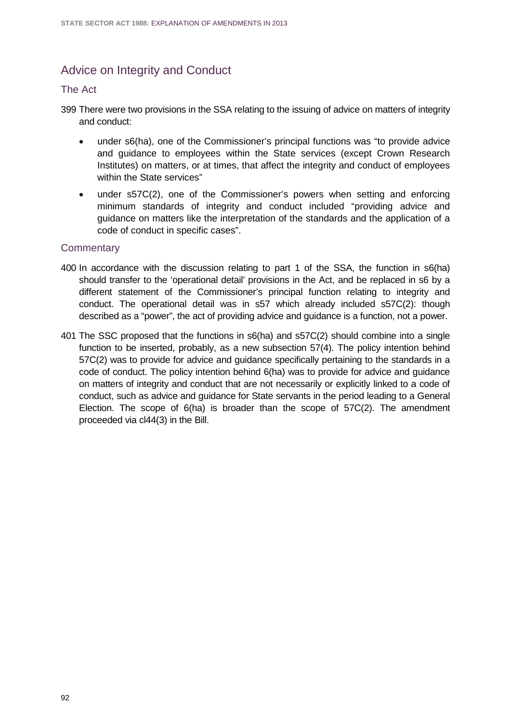# Advice on Integrity and Conduct

### The Act

- 399 There were two provisions in the SSA relating to the issuing of advice on matters of integrity and conduct:
	- under s6(ha), one of the Commissioner's principal functions was "to provide advice and guidance to employees within the State services (except Crown Research Institutes) on matters, or at times, that affect the integrity and conduct of employees within the State services"
	- under s57C(2), one of the Commissioner's powers when setting and enforcing minimum standards of integrity and conduct included "providing advice and guidance on matters like the interpretation of the standards and the application of a code of conduct in specific cases".

- 400 In accordance with the discussion relating to part 1 of the SSA, the function in s6(ha) should transfer to the 'operational detail' provisions in the Act, and be replaced in s6 by a different statement of the Commissioner's principal function relating to integrity and conduct. The operational detail was in s57 which already included s57C(2): though described as a "power", the act of providing advice and guidance is a function, not a power.
- 401 The SSC proposed that the functions in s6(ha) and s57C(2) should combine into a single function to be inserted, probably, as a new subsection 57(4). The policy intention behind 57C(2) was to provide for advice and guidance specifically pertaining to the standards in a code of conduct. The policy intention behind 6(ha) was to provide for advice and guidance on matters of integrity and conduct that are not necessarily or explicitly linked to a code of conduct, such as advice and guidance for State servants in the period leading to a General Election. The scope of 6(ha) is broader than the scope of 57C(2). The amendment proceeded via cl44(3) in the Bill.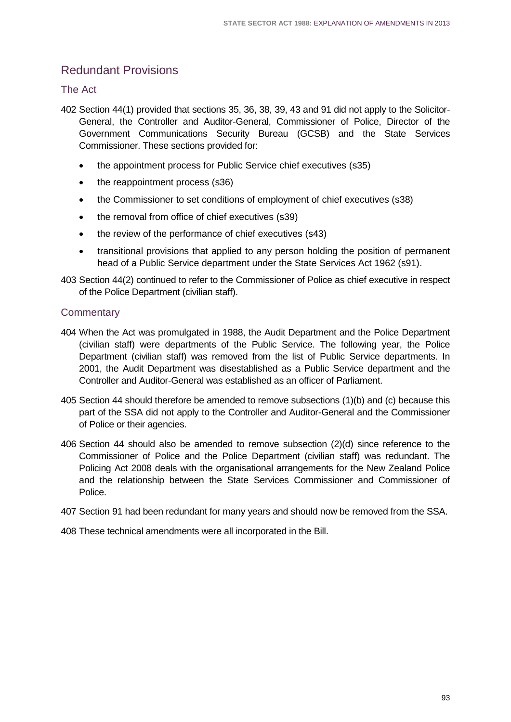# Redundant Provisions

## The Act

- 402 Section 44(1) provided that sections 35, 36, 38, 39, 43 and 91 did not apply to the Solicitor-General, the Controller and Auditor-General, Commissioner of Police, Director of the Government Communications Security Bureau (GCSB) and the State Services Commissioner. These sections provided for:
	- the appointment process for Public Service chief executives (s35)
	- the reappointment process (s36)
	- the Commissioner to set conditions of employment of chief executives (s38)
	- the removal from office of chief executives (s39)
	- the review of the performance of chief executives (s43)
	- transitional provisions that applied to any person holding the position of permanent head of a Public Service department under the State Services Act 1962 (s91).
- 403 Section 44(2) continued to refer to the Commissioner of Police as chief executive in respect of the Police Department (civilian staff).

## **Commentary**

- 404 When the Act was promulgated in 1988, the Audit Department and the Police Department (civilian staff) were departments of the Public Service. The following year, the Police Department (civilian staff) was removed from the list of Public Service departments. In 2001, the Audit Department was disestablished as a Public Service department and the Controller and Auditor-General was established as an officer of Parliament.
- 405 Section 44 should therefore be amended to remove subsections (1)(b) and (c) because this part of the SSA did not apply to the Controller and Auditor-General and the Commissioner of Police or their agencies.
- 406 Section 44 should also be amended to remove subsection (2)(d) since reference to the Commissioner of Police and the Police Department (civilian staff) was redundant. The Policing Act 2008 deals with the organisational arrangements for the New Zealand Police and the relationship between the State Services Commissioner and Commissioner of Police.
- 407 Section 91 had been redundant for many years and should now be removed from the SSA.

408 These technical amendments were all incorporated in the Bill.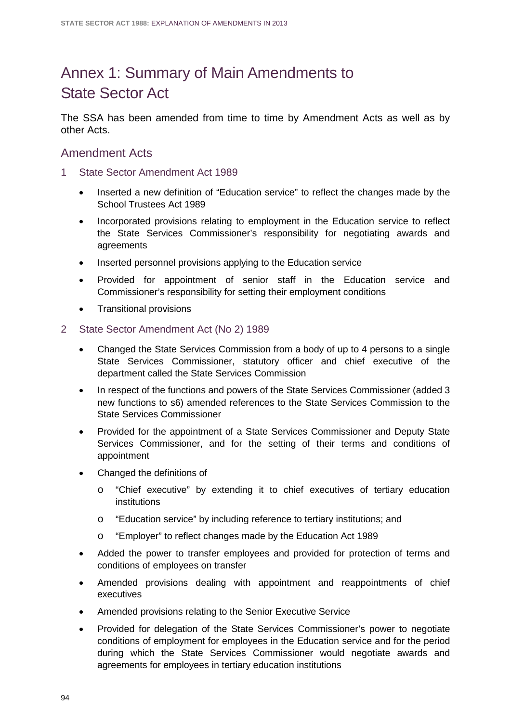# Annex 1: Summary of Main Amendments to State Sector Act

The SSA has been amended from time to time by Amendment Acts as well as by other Acts.

## Amendment Acts

- 1 State Sector Amendment Act 1989
	- Inserted a new definition of "Education service" to reflect the changes made by the School Trustees Act 1989
	- Incorporated provisions relating to employment in the Education service to reflect the State Services Commissioner's responsibility for negotiating awards and agreements
	- Inserted personnel provisions applying to the Education service
	- Provided for appointment of senior staff in the Education service and Commissioner's responsibility for setting their employment conditions
	- Transitional provisions
- 2 State Sector Amendment Act (No 2) 1989
	- Changed the State Services Commission from a body of up to 4 persons to a single State Services Commissioner, statutory officer and chief executive of the department called the State Services Commission
	- In respect of the functions and powers of the State Services Commissioner (added 3 new functions to s6) amended references to the State Services Commission to the State Services Commissioner
	- Provided for the appointment of a State Services Commissioner and Deputy State Services Commissioner, and for the setting of their terms and conditions of appointment
	- Changed the definitions of
		- o "Chief executive" by extending it to chief executives of tertiary education institutions
		- o "Education service" by including reference to tertiary institutions; and
		- o "Employer" to reflect changes made by the Education Act 1989
	- Added the power to transfer employees and provided for protection of terms and conditions of employees on transfer
	- Amended provisions dealing with appointment and reappointments of chief executives
	- Amended provisions relating to the Senior Executive Service
	- Provided for delegation of the State Services Commissioner's power to negotiate conditions of employment for employees in the Education service and for the period during which the State Services Commissioner would negotiate awards and agreements for employees in tertiary education institutions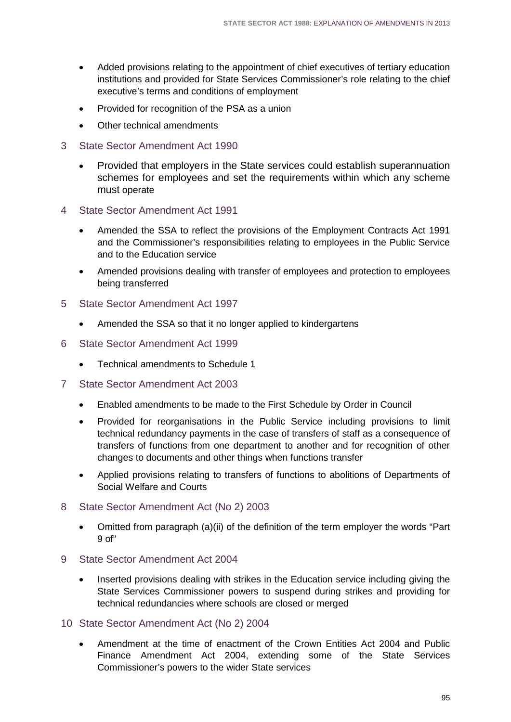- Added provisions relating to the appointment of chief executives of tertiary education institutions and provided for State Services Commissioner's role relating to the chief executive's terms and conditions of employment
- Provided for recognition of the PSA as a union
- Other technical amendments
- 3 State Sector Amendment Act 1990
	- Provided that employers in the State services could establish superannuation schemes for employees and set the requirements within which any scheme must operate
- 4 State Sector Amendment Act 1991
	- Amended the SSA to reflect the provisions of the Employment Contracts Act 1991 and the Commissioner's responsibilities relating to employees in the Public Service and to the Education service
	- Amended provisions dealing with transfer of employees and protection to employees being transferred
- 5 State Sector Amendment Act 1997
	- Amended the SSA so that it no longer applied to kindergartens
- 6 State Sector Amendment Act 1999
	- Technical amendments to Schedule 1
- 7 State Sector Amendment Act 2003
	- Enabled amendments to be made to the First Schedule by Order in Council
	- Provided for reorganisations in the Public Service including provisions to limit technical redundancy payments in the case of transfers of staff as a consequence of transfers of functions from one department to another and for recognition of other changes to documents and other things when functions transfer
	- Applied provisions relating to transfers of functions to abolitions of Departments of Social Welfare and Courts
- 8 State Sector Amendment Act (No 2) 2003
	- Omitted from paragraph (a)(ii) of the definition of the term employer the words "Part 9 of"
- 9 State Sector Amendment Act 2004
	- Inserted provisions dealing with strikes in the Education service including giving the State Services Commissioner powers to suspend during strikes and providing for technical redundancies where schools are closed or merged
- 10 State Sector Amendment Act (No 2) 2004
	- Amendment at the time of enactment of the Crown Entities Act 2004 and Public Finance Amendment Act 2004, extending some of the State Services Commissioner's powers to the wider State services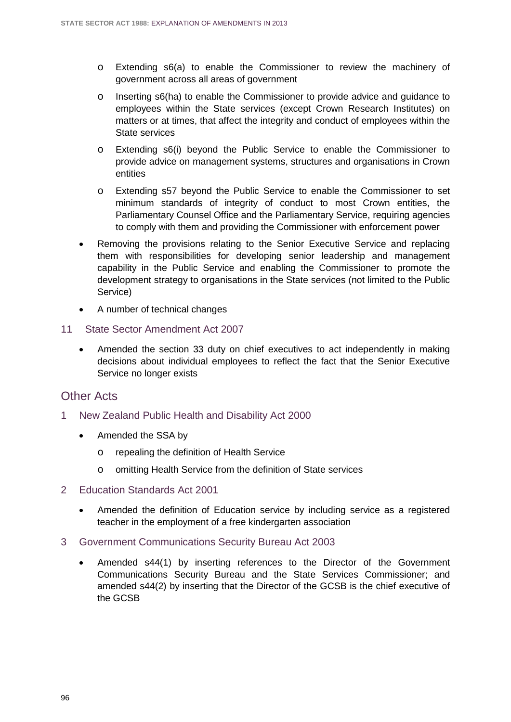- o Extending s6(a) to enable the Commissioner to review the machinery of government across all areas of government
- o Inserting s6(ha) to enable the Commissioner to provide advice and guidance to employees within the State services (except Crown Research Institutes) on matters or at times, that affect the integrity and conduct of employees within the State services
- o Extending s6(i) beyond the Public Service to enable the Commissioner to provide advice on management systems, structures and organisations in Crown entities
- o Extending s57 beyond the Public Service to enable the Commissioner to set minimum standards of integrity of conduct to most Crown entities, the Parliamentary Counsel Office and the Parliamentary Service, requiring agencies to comply with them and providing the Commissioner with enforcement power
- Removing the provisions relating to the Senior Executive Service and replacing them with responsibilities for developing senior leadership and management capability in the Public Service and enabling the Commissioner to promote the development strategy to organisations in the State services (not limited to the Public Service)
- A number of technical changes
- 11 State Sector Amendment Act 2007
	- Amended the section 33 duty on chief executives to act independently in making decisions about individual employees to reflect the fact that the Senior Executive Service no longer exists

## Other Acts

- 1 New Zealand Public Health and Disability Act 2000
	- Amended the SSA by
		- o repealing the definition of Health Service
		- o omitting Health Service from the definition of State services
- 2 Education Standards Act 2001
	- Amended the definition of Education service by including service as a registered teacher in the employment of a free kindergarten association
- 3 Government Communications Security Bureau Act 2003
	- Amended s44(1) by inserting references to the Director of the Government Communications Security Bureau and the State Services Commissioner; and amended s44(2) by inserting that the Director of the GCSB is the chief executive of the GCSB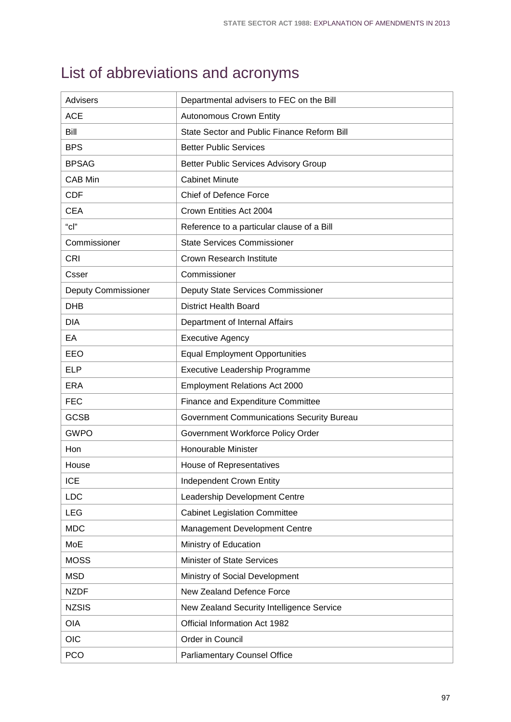# List of abbreviations and acronyms

| <b>Advisers</b>            | Departmental advisers to FEC on the Bill         |
|----------------------------|--------------------------------------------------|
| <b>ACE</b>                 | <b>Autonomous Crown Entity</b>                   |
| Bill                       | State Sector and Public Finance Reform Bill      |
| <b>BPS</b>                 | <b>Better Public Services</b>                    |
| <b>BPSAG</b>               | <b>Better Public Services Advisory Group</b>     |
| <b>CAB Min</b>             | <b>Cabinet Minute</b>                            |
| <b>CDF</b>                 | <b>Chief of Defence Force</b>                    |
| <b>CEA</b>                 | Crown Entities Act 2004                          |
| $"$ c $"$                  | Reference to a particular clause of a Bill       |
| Commissioner               | <b>State Services Commissioner</b>               |
| <b>CRI</b>                 | <b>Crown Research Institute</b>                  |
| Csser                      | Commissioner                                     |
| <b>Deputy Commissioner</b> | <b>Deputy State Services Commissioner</b>        |
| <b>DHB</b>                 | <b>District Health Board</b>                     |
| <b>DIA</b>                 | Department of Internal Affairs                   |
| EA                         | <b>Executive Agency</b>                          |
| EEO                        | <b>Equal Employment Opportunities</b>            |
| <b>ELP</b>                 | Executive Leadership Programme                   |
| <b>ERA</b>                 | <b>Employment Relations Act 2000</b>             |
| <b>FEC</b>                 | Finance and Expenditure Committee                |
| <b>GCSB</b>                | <b>Government Communications Security Bureau</b> |
| <b>GWPO</b>                | Government Workforce Policy Order                |
| Hon                        | Honourable Minister                              |
| House                      | House of Representatives                         |
| <b>ICE</b>                 | Independent Crown Entity                         |
| <b>LDC</b>                 | Leadership Development Centre                    |
| <b>LEG</b>                 | <b>Cabinet Legislation Committee</b>             |
| <b>MDC</b>                 | Management Development Centre                    |
| MoE                        | Ministry of Education                            |
| <b>MOSS</b>                | Minister of State Services                       |
| <b>MSD</b>                 | Ministry of Social Development                   |
| <b>NZDF</b>                | New Zealand Defence Force                        |
| <b>NZSIS</b>               | New Zealand Security Intelligence Service        |
| <b>OIA</b>                 | Official Information Act 1982                    |
| OIC                        | Order in Council                                 |
| <b>PCO</b>                 | <b>Parliamentary Counsel Office</b>              |